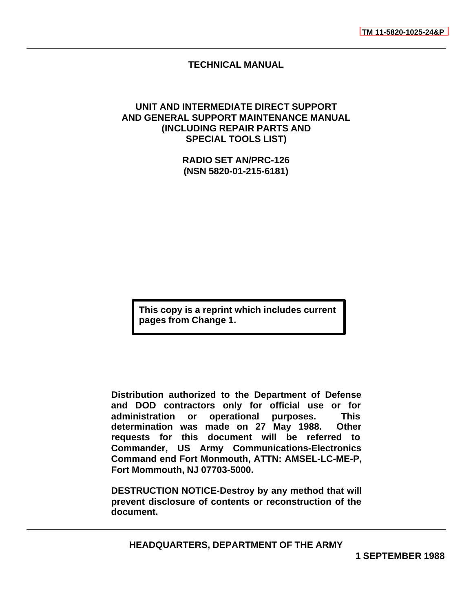# **TECHNICAL MANUAL**

# <span id="page-0-0"></span>**UNIT AND INTERMEDIATE DIRECT SUPPORT AND GENERAL SUPPORT MAINTENANCE MANUAL (INCLUDING REPAIR PARTS AND SPECIAL TOOLS LIST)**

**RADIO SET AN/PRC-126 (NSN 5820-01-215-6181)**

**This copy is a reprint which includes current pages from Change 1.**

**Distribution authorized to the Department of Defense and DOD contractors only for official use or for administration or operational purposes. This determination was made on 27 May 1988. Other requests for this document will be referred to Commander, US Army Communications-Electronics Command end Fort Monmouth, ATTN: AMSEL-LC-ME-P, Fort Mommouth, NJ 07703-5000.**

**DESTRUCTION NOTICE-Destroy by any method that will prevent disclosure of contents or reconstruction of the document.**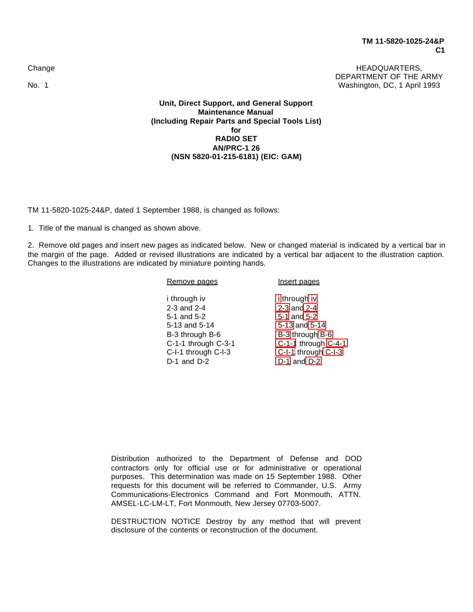Change **HEADQUARTERS,** DEPARTMENT OF THE ARMY No. 1 Washington, DC, 1 April 1993

> **Unit, Direct Support, and General Support Maintenance Manual (Including Repair Parts and Special Tools List) for RADIO SET AN/PRC-1 26 (NSN 5820-01-215-6181) (EIC: GAM)**

TM 11-5820-1025-24&P, dated 1 September 1988, is changed as follows:

1. Title of the manual is changed as shown above.

2. Remove old pages and insert new pages as indicated below. New or changed material is indicated by a vertical bar in the margin of the page. Added or revised illustrations are indicated by a vertical bar adjacent to the illustration caption. Changes to the illustrations are indicated by miniature pointing hands.

| Remove pages        | Insert pages        |
|---------------------|---------------------|
| i through iv        | <i>i</i> through iv |
| 2-3 and 2-4         | 2-3 and 2-4         |
| 5-1 and 5-2         | 5-1 and 5-2         |
| 5-13 and 5-14       | 5-13 and 5-14       |
| B-3 through B-6     | B-3 through B-6     |
| C-1-1 through C-3-1 | C-1-1 through C-4-1 |
| C-I-1 through C-I-3 | C-I-1 through C-I-3 |
| $D-1$ and $D-2$     | $D-1$ and $D-2$     |
|                     |                     |

Distribution authorized to the Department of Defense and DOD contractors only for official use or for administrative or operational purposes. This determination was made on 15 September 1988. Other requests for this document will be referred to Commander, U.S. Army Communications-Electronics Command and Fort Monmouth, ATTN. AMSEL-LC-LM-LT, Fort Monmouth, New Jersey 07703-5007.

DESTRUCTION NOTICE Destroy by any method that will prevent disclosure of the contents or reconstruction of the document.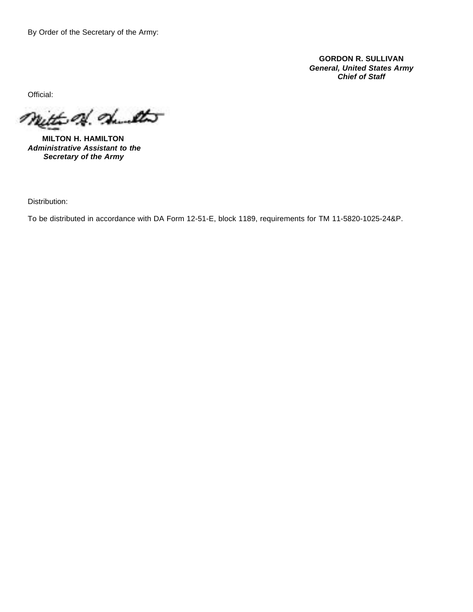By Order of the Secretary of the Army:

**GORDON R. SULLIVAN** *General, United States Army Chief of Staff*

Official:

mitte of daults

**MILTON H. HAMILTON** *Administrative Assistant to the Secretary of the Army*

Distribution:

To be distributed in accordance with DA Form 12-51-E, block 1189, requirements for TM 11-5820-1025-24&P.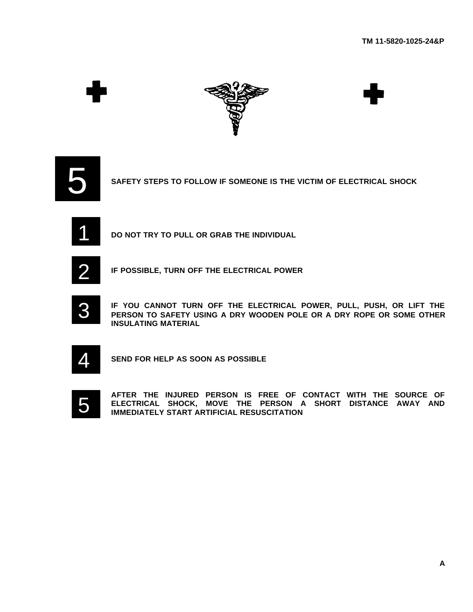





**SAFETY STEPS TO FOLLOW IF SOMEONE IS THE VICTIM OF ELECTRICAL SHOCK**



**DO NOT TRY TO PULL OR GRAB THE INDIVIDUAL**



**IF POSSIBLE, TURN OFF THE ELECTRICAL POWER**



**IF YOU CANNOT TURN OFF THE ELECTRICAL POWER, PULL, PUSH, OR LIFT THE PERSON TO SAFETY USING A DRY WOODEN POLE OR A DRY ROPE OR SOME OTHER INSULATING MATERIAL**



**SEND FOR HELP AS SOON AS POSSIBLE**



**AFTER THE INJURED PERSON IS FREE OF CONTACT WITH THE SOURCE OF ELECTRICAL SHOCK, MOVE THE PERSON A SHORT DISTANCE AWAY AND IMMEDIATELY START ARTIFICIAL RESUSCITATION**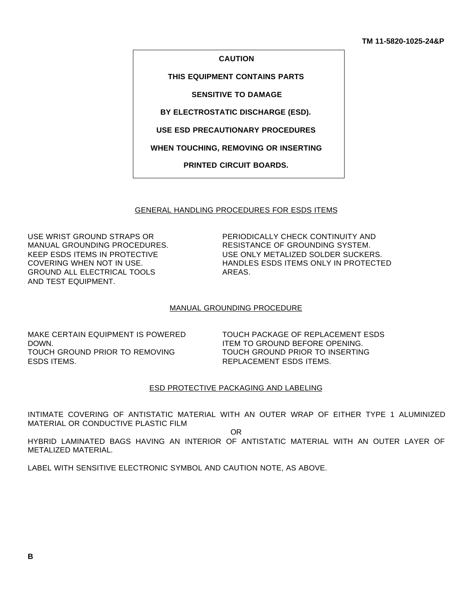#### **CAUTION**

**THIS EQUIPMENT CONTAINS PARTS**

**SENSITIVE TO DAMAGE**

**BY ELECTROSTATIC DISCHARGE (ESD).**

**USE ESD PRECAUTIONARY PROCEDURES**

**WHEN TOUCHING, REMOVING OR INSERTING**

**PRINTED CIRCUIT BOARDS.**

#### GENERAL HANDLING PROCEDURES FOR ESDS ITEMS

GROUND ALL ELECTRICAL TOOLS AREAS. AND TEST EQUIPMENT.

USE WRIST GROUND STRAPS OR PERIODICALLY CHECK CONTINUITY AND MANUAL GROUNDING PROCEDURES. RESISTANCE OF GROUNDING SYSTEM. KEEP ESDS ITEMS IN PROTECTIVE USE ONLY METALIZED SOLDER SUCKERS. COVERING WHEN NOT IN USE. HANDLES ESDS ITEMS ONLY IN PROTECTED

#### MANUAL GROUNDING PROCEDURE

DOWN. DOWN. ITEM TO GROUND BEFORE OPENING. TOUCH GROUND PRIOR TO REMOVING TOUCH GROUND PRIOR TO INSERTING ESDS ITEMS. THE SUBSECTION OF THE REPLACEMENT ESDS ITEMS.

MAKE CERTAIN EQUIPMENT IS POWERED TOUCH PACKAGE OF REPLACEMENT ESDS

### ESD PROTECTIVE PACKAGING AND LABELING

INTIMATE COVERING OF ANTISTATIC MATERIAL WITH AN OUTER WRAP OF EITHER TYPE 1 ALUMINIZED MATERIAL OR CONDUCTIVE PLASTIC FILM

OR

HYBRID LAMINATED BAGS HAVING AN INTERIOR OF ANTISTATIC MATERIAL WITH AN OUTER LAYER OF METALIZED MATERIAL.

LABEL WITH SENSITIVE ELECTRONIC SYMBOL AND CAUTION NOTE, AS ABOVE.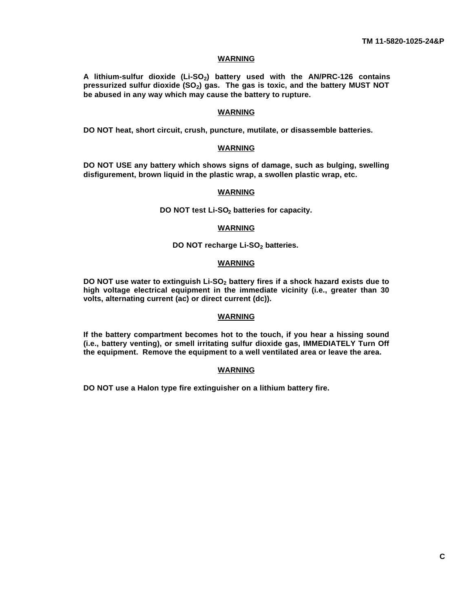### **WARNING**

**A lithium-sulfur dioxide (Li-SO2) battery used with the AN/PRC-126 contains pressurized sulfur dioxide (SO2) gas. The gas is toxic, and the battery MUST NOT be abused in any way which may cause the battery to rupture.**

#### **WARNING**

**DO NOT heat, short circuit, crush, puncture, mutilate, or disassemble batteries.**

### **WARNING**

**DO NOT USE any battery which shows signs of damage, such as bulging, swelling disfigurement, brown liquid in the plastic wrap, a swollen plastic wrap, etc.**

### **WARNING**

#### **DO NOT test Li-SO2 batteries for capacity.**

#### **WARNING**

### **DO NOT recharge Li-SO2 batteries.**

### **WARNING**

**DO NOT use water to extinguish Li-SO2 battery fires if a shock hazard exists due to high voltage electrical equipment in the immediate vicinity (i.e., greater than 30 volts, alternating current (ac) or direct current (dc)).**

### **WARNING**

**If the battery compartment becomes hot to the touch, if you hear a hissing sound (i.e., battery venting), or smell irritating sulfur dioxide gas, IMMEDIATELY Turn Off the equipment. Remove the equipment to a well ventilated area or leave the area.**

### **WARNING**

**DO NOT use a Halon type fire extinguisher on a lithium battery fire.**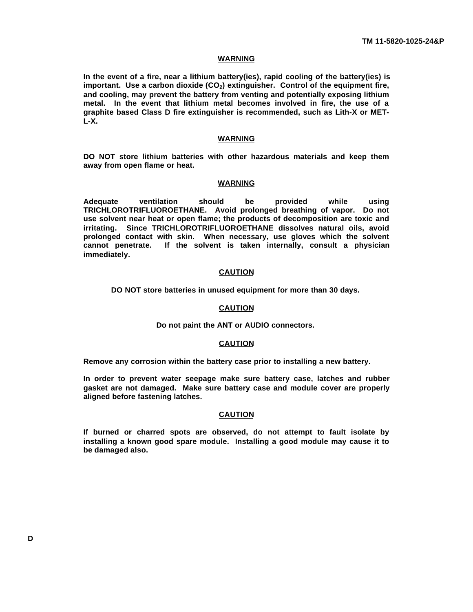### **WARNING**

**In the event of a fire, near a lithium battery(ies), rapid cooling of the battery(ies) is important. Use a carbon dioxide (CO2) extinguisher. Control of the equipment fire, and cooling, may prevent the battery from venting and potentially exposing lithium metal. In the event that lithium metal becomes involved in fire, the use of a graphite based Class D fire extinguisher is recommended, such as Lith-X or MET-L-X.**

#### **WARNING**

**DO NOT store lithium batteries with other hazardous materials and keep them away from open flame or heat.**

### **WARNING**

**Adequate ventilation should be provided while using TRICHLOROTRIFLUOROETHANE. Avoid prolonged breathing of vapor. Do not use solvent near heat or open flame; the products of decomposition are toxic and irritating. Since TRICHLOROTRIFLUOROETHANE dissolves natural oils, avoid prolonged contact with skin. When necessary, use gloves which the solvent cannot penetrate. If the solvent is taken internally, consult a physician immediately.**

### **CAUTION**

**DO NOT store batteries in unused equipment for more than 30 days.**

### **CAUTION**

### **Do not paint the ANT or AUDIO connectors.**

### **CAUTION**

**Remove any corrosion within the battery case prior to installing a new battery.**

**In order to prevent water seepage make sure battery case, latches and rubber gasket are not damaged. Make sure battery case and module cover are properly aligned before fastening latches.**

### **CAUTION**

**If burned or charred spots are observed, do not attempt to fault isolate by installing a known good spare module. Installing a good module may cause it to be damaged also.**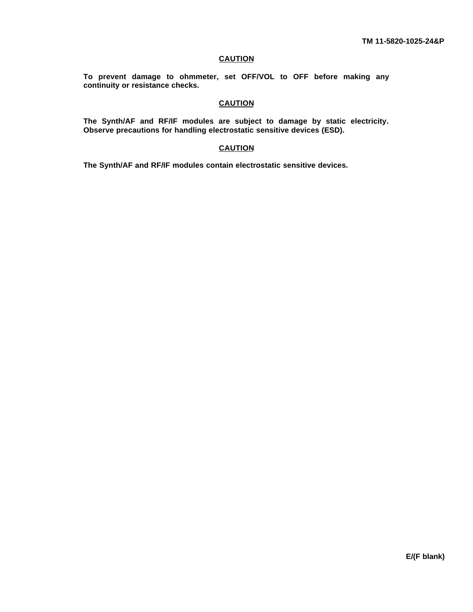### **CAUTION**

**To prevent damage to ohmmeter, set OFF/VOL to OFF before making any continuity or resistance checks.**

# **CAUTION**

**The Synth/AF and RF/IF modules are subject to damage by static electricity. Observe precautions for handling electrostatic sensitive devices (ESD).**

### **CAUTION**

**The Synth/AF and RF/IF modules contain electrostatic sensitive devices.**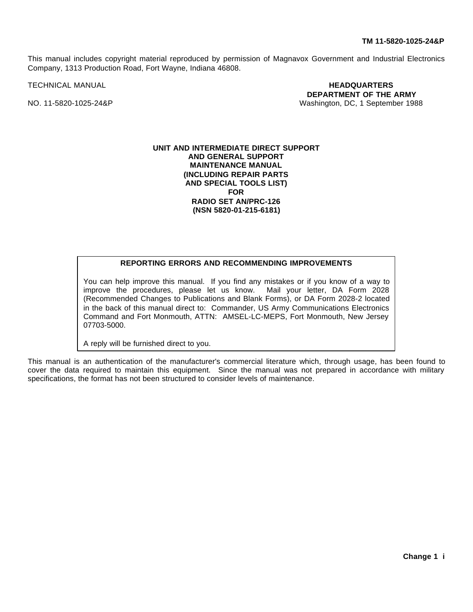This manual includes copyright material reproduced by permission of Magnavox Government and Industrial Electronics Company, 1313 Production Road, Fort Wayne, Indiana 46808.

TECHNICAL MANUAL **HEADQUARTERS DEPARTMENT OF THE ARMY** NO. 11-5820-1025-24&P Washington, DC, 1 September 1988

### **UNIT AND INTERMEDIATE DIRECT SUPPORT AND GENERAL SUPPORT MAINTENANCE MANUAL (INCLUDING REPAIR PARTS AND SPECIAL TOOLS LIST) FOR RADIO SET AN/PRC-126 (NSN 5820-01-215-6181)**

# **REPORTING ERRORS AND RECOMMENDING IMPROVEMENTS**

You can help improve this manual. If you find any mistakes or if you know of a way to improve the procedures, please let us know. Mail your letter, DA Form 2028 (Recommended Changes to Publications and Blank Forms), or DA Form 2028-2 located in the back of this manual direct to: Commander, US Army Communications Electronics Command and Fort Monmouth, ATTN: AMSEL-LC-MEPS, Fort Monmouth, New Jersey 07703-5000.

<span id="page-8-0"></span>A reply will be furnished direct to you.

This manual is an authentication of the manufacturer's commercial literature which, through usage, has been found to cover the data required to maintain this equipment. Since the manual was not prepared in accordance with military specifications, the format has not been structured to consider levels of maintenance.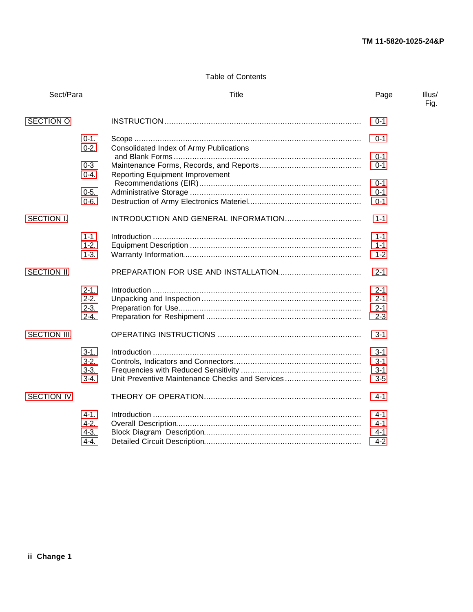# <span id="page-9-0"></span>Table of Contents

| Sect/Para           |                     | Title                                           | Page    | Illus/<br>Fig. |
|---------------------|---------------------|-------------------------------------------------|---------|----------------|
| <b>SECTION O</b>    |                     |                                                 | $0 - 1$ |                |
|                     | $0-1.$<br>$0-2.$    | Consolidated Index of Army Publications         | $0 - 1$ |                |
|                     |                     |                                                 | $0 - 1$ |                |
|                     | $0 - 3$<br>$0 - 4.$ | <b>Reporting Equipment Improvement</b>          | $0 - 1$ |                |
|                     |                     |                                                 | $0 - 1$ |                |
|                     | $0 - 5.$            |                                                 | $0 - 1$ |                |
|                     | $0 - 6.$            |                                                 | $0 - 1$ |                |
| SECTION I.          |                     |                                                 | $1 - 1$ |                |
|                     | $1 - 1$             |                                                 | $1 - 1$ |                |
|                     | $1 - 2.$            |                                                 | $1 - 1$ |                |
|                     | $1-3.$              |                                                 | $1 - 2$ |                |
|                     |                     |                                                 |         |                |
| SECTION II.         |                     |                                                 | $2 - 1$ |                |
|                     | $2 - 1.$            |                                                 | $2 - 1$ |                |
|                     | $2 - 2.$            |                                                 | $2 - 1$ |                |
|                     | $2 - 3.$            |                                                 | $2 - 1$ |                |
|                     | $2 - 4.$            |                                                 | $2 - 3$ |                |
|                     |                     |                                                 |         |                |
| <b>SECTION III.</b> |                     |                                                 | $3 - 1$ |                |
|                     | $3-1.$              |                                                 | $3 - 1$ |                |
|                     | $3-2.$              |                                                 | $3 - 1$ |                |
|                     | $3-3.$              |                                                 | $3 - 1$ |                |
|                     | $3-4.$              | Unit Preventive Maintenance Checks and Services | $3-5$   |                |
|                     |                     |                                                 |         |                |
| SECTION IV.         |                     |                                                 | 4-1     |                |
|                     | $4 - 1.$            |                                                 | $4 - 1$ |                |
|                     | $4 - 2.$            |                                                 | $4 - 1$ |                |
|                     | $4-3.$              |                                                 | $4 - 1$ |                |
|                     | $4 - 4$ .           |                                                 | $4 - 2$ |                |
|                     |                     |                                                 |         |                |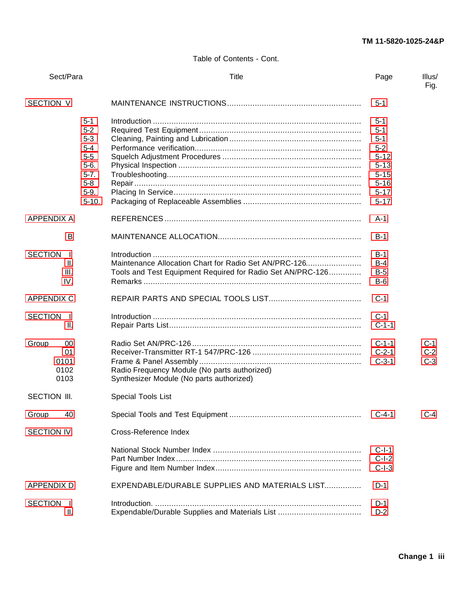Table of Contents - Cont.

| Sect/Para                                 |                                                                                                          | Title                                                                                                               | Page                                                                                                             | Illus/<br>Fig.          |
|-------------------------------------------|----------------------------------------------------------------------------------------------------------|---------------------------------------------------------------------------------------------------------------------|------------------------------------------------------------------------------------------------------------------|-------------------------|
| SECTION V.                                |                                                                                                          |                                                                                                                     | $5-1$                                                                                                            |                         |
|                                           | $5 - 1$<br>$5-2$<br>$5 - 3$<br>$5 - 4$<br>$5 - 5$<br>$5-6.$<br>$5 - 7$ .<br>$5 - 8$<br>$5-9.$<br>$5-10.$ |                                                                                                                     | $5 - 1$<br>$5 - 1$<br>$5 - 1$<br>$5 - 2$<br>$5 - 12$<br>$5 - 13$<br>$5 - 15$<br>$5 - 16$<br>$5 - 17$<br>$5 - 17$ |                         |
| <b>APPENDIX A</b>                         |                                                                                                          |                                                                                                                     | $A-1$                                                                                                            |                         |
| B                                         |                                                                                                          |                                                                                                                     | $B-1$                                                                                                            |                         |
| <b>SECTION</b><br>Ι.<br>Ш.<br>III.<br>IV. |                                                                                                          | Maintenance Allocation Chart for Radio Set AN/PRC-126<br>Tools and Test Equipment Required for Radio Set AN/PRC-126 | $B-1$<br>$B-4$<br>$B-5$<br>$B-6$                                                                                 |                         |
| <b>APPENDIX C</b>                         |                                                                                                          |                                                                                                                     | $C-1$                                                                                                            |                         |
| <b>SECTION</b><br>- I.<br>II.             |                                                                                                          |                                                                                                                     | $C-1$<br>$C-1-1$                                                                                                 |                         |
| Group<br>00<br>01<br>0101<br>0102<br>0103 |                                                                                                          | Radio Frequency Module (No parts authorized)<br>Synthesizer Module (No parts authorized)                            | $C-1-1$<br>$C-2-1$<br>$C-3-1$                                                                                    | $C-1$<br>$C-2$<br>$C-3$ |
| <b>SECTION III.</b>                       |                                                                                                          | Special Tools List                                                                                                  |                                                                                                                  |                         |
| 40<br>Group                               |                                                                                                          |                                                                                                                     | $C-4-1$                                                                                                          | $C-4$                   |
| SECTION IV.                               |                                                                                                          | Cross-Reference Index                                                                                               |                                                                                                                  |                         |
|                                           |                                                                                                          |                                                                                                                     | $C-I-1$<br>$C-I-2$<br>$C-I-3$                                                                                    |                         |
| <b>APPENDIX D</b>                         |                                                                                                          | EXPENDABLE/DURABLE SUPPLIES AND MATERIALS LIST                                                                      | $D-1$                                                                                                            |                         |
| <b>SECTION</b><br>Ι.<br>II.               |                                                                                                          | Expendable/Durable Supplies and Materials List                                                                      | $D-1$<br>$D-2$                                                                                                   |                         |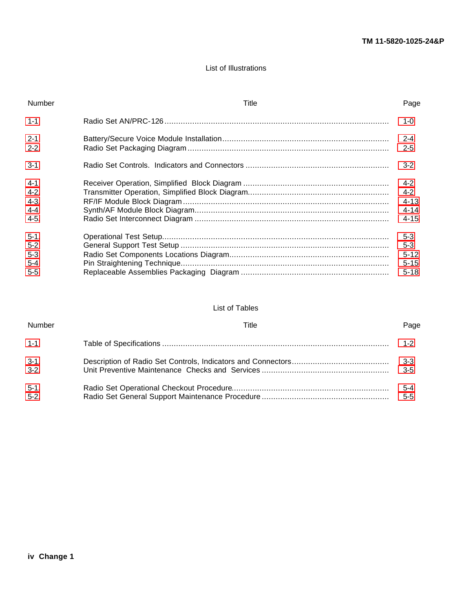## List of Illustrations

| Number                                             | Title | Page                                                   |
|----------------------------------------------------|-------|--------------------------------------------------------|
| $1 - 1$                                            |       | $1 - 0$                                                |
| $2 - 1$<br>$2 - 2$ .                               |       | $2 - 4$<br>$2 - 5$                                     |
| $3 - 1$                                            |       | $3-2$                                                  |
| $4 - 1$<br>$4-2.$<br>$4-3.$<br>$4 - 4$<br>$4 - 5.$ |       | $4 - 2$<br>$4 - 2$<br>$4 - 13$<br>$4 - 14$<br>$4 - 15$ |
| $5-1.$<br>$5 - 2$<br>$5-3$<br>$5 - 4$              |       | $5 - 3$<br>$5 - 3$<br>$5 - 12$<br>$5 - 15$             |
| $5 - 5$                                            |       | $5 - 18$                                               |

## List of Tables

<span id="page-11-0"></span>

| Number            | Title | Page           |
|-------------------|-------|----------------|
| $1 - 1$           |       | 1-2            |
| $3-1.$<br>$3 - 2$ |       | $3-5$          |
| $5-1.$<br>$5-2.$  |       | 5-4<br>$5 - 5$ |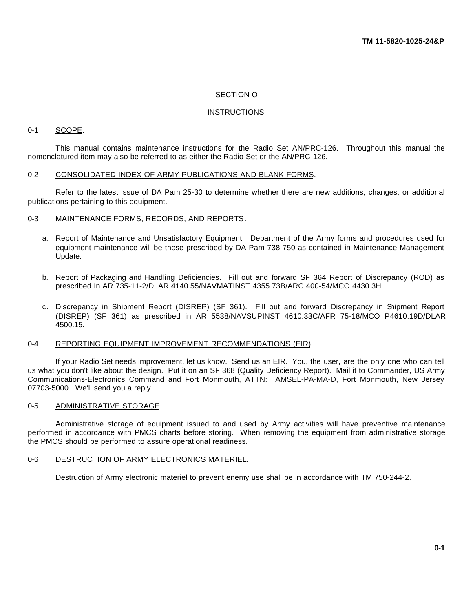### <span id="page-12-0"></span>SECTION O

### **INSTRUCTIONS**

### <span id="page-12-1"></span>0-1 SCOPE.

<span id="page-12-2"></span>This manual contains maintenance instructions for the Radio Set AN/PRC-126. Throughout this manual the nomenclatured item may also be referred to as either the Radio Set or the AN/PRC-126.

#### 0-2 CONSOLIDATED INDEX OF ARMY PUBLICATIONS AND BLANK FORMS.

<span id="page-12-3"></span>Refer to the latest issue of DA Pam 25-30 to determine whether there are new additions, changes, or additional publications pertaining to this equipment.

### 0-3 MAINTENANCE FORMS, RECORDS, AND REPORTS.

- a. Report of Maintenance and Unsatisfactory Equipment. Department of the Army forms and procedures used for equipment maintenance will be those prescribed by DA Pam 738-750 as contained in Maintenance Management Update.
- b. Report of Packaging and Handling Deficiencies. Fill out and forward SF 364 Report of Discrepancy (ROD) as prescribed In AR 735-11-2/DLAR 4140.55/NAVMATINST 4355.73B/ARC 400-54/MCO 4430.3H.
- <span id="page-12-4"></span>c. Discrepancy in Shipment Report (DISREP) (SF 361). Fill out and forward Discrepancy in Shipment Report (DISREP) (SF 361) as prescribed in AR 5538/NAVSUPINST 4610.33C/AFR 75-18/MCO P4610.19D/DLAR 4500.15.

### 0-4 REPORTING EQUIPMENT IMPROVEMENT RECOMMENDATIONS (EIR).

<span id="page-12-5"></span>If your Radio Set needs improvement, let us know. Send us an EIR. You, the user, are the only one who can tell us what you don't like about the design. Put it on an SF 368 (Quality Deficiency Report). Mail it to Commander, US Army Communications-Electronics Command and Fort Monmouth, ATTN: AMSEL-PA-MA-D, Fort Monmouth, New Jersey 07703-5000. We'll send you a reply.

### 0-5 ADMINISTRATIVE STORAGE.

<span id="page-12-6"></span>Administrative storage of equipment issued to and used by Army activities will have preventive maintenance performed in accordance with PMCS charts before storing. When removing the equipment from administrative storage the PMCS should be performed to assure operational readiness.

#### 0-6 DESTRUCTION OF ARMY ELECTRONICS MATERIEL.

<span id="page-12-7"></span>Destruction of Army electronic materiel to prevent enemy use shall be in accordance with TM 750-244-2.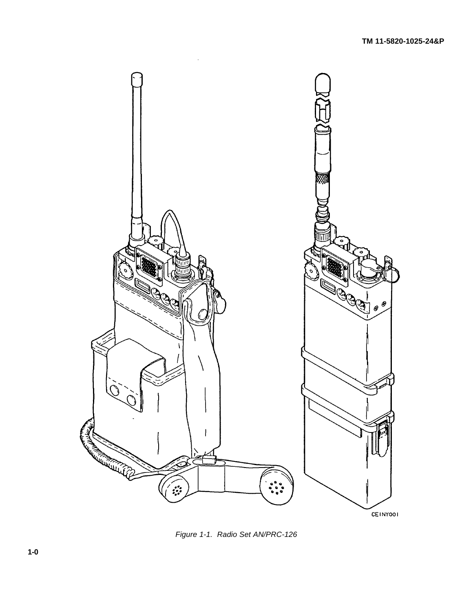

<span id="page-13-1"></span><span id="page-13-0"></span>*Figure 1-1. Radio Set AN/PRC-126*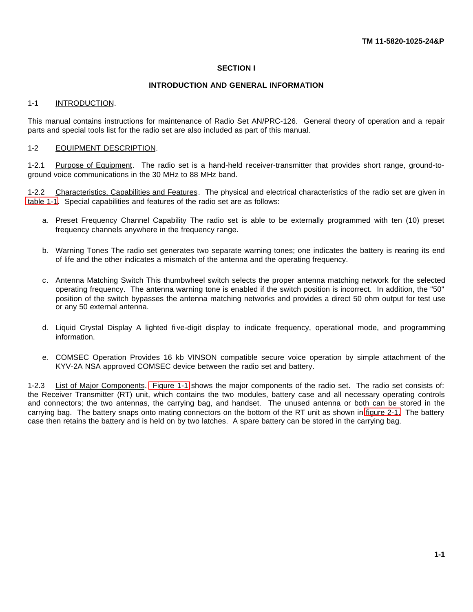### <span id="page-14-0"></span>**SECTION I**

## **INTRODUCTION AND GENERAL INFORMATION**

### <span id="page-14-1"></span>1-1 INTRODUCTION.

<span id="page-14-2"></span>This manual contains instructions for maintenance of Radio Set AN/PRC-126. General theory of operation and a repair parts and special tools list for the radio set are also included as part of this manual.

### 1-2 EQUIPMENT DESCRIPTION.

1-2.1 Purpose of Equipment. The radio set is a hand-held receiver-transmitter that provides short range, ground-toground voice communications in the 30 MHz to 88 MHz band.

1-2.2 Characteristics, Capabilities and Features. The physical and electrical characteristics of the radio set are given in [table 1-1.](#page-15-2) Special capabilities and features of the radio set are as follows:

- a. Preset Frequency Channel Capability The radio set is able to be externally programmed with ten (10) preset frequency channels anywhere in the frequency range.
- b. Warning Tones The radio set generates two separate warning tones; one indicates the battery is nearing its end of life and the other indicates a mismatch of the antenna and the operating frequency.
- c. Antenna Matching Switch This thumbwheel switch selects the proper antenna matching network for the selected operating frequency. The antenna warning tone is enabled if the switch position is incorrect. In addition, the "50" position of the switch bypasses the antenna matching networks and provides a direct 50 ohm output for test use or any 50 external antenna.
- d. Liquid Crystal Display A lighted fi ve-digit display to indicate frequency, operational mode, and programming information.
- <span id="page-14-3"></span>e. COMSEC Operation Provides 16 kb VINSON compatible secure voice operation by simple attachment of the KYV-2A NSA approved COMSEC device between the radio set and battery.

1-2.3 List of Major Components. [Figure 1-1](#page-13-0) shows the major components of the radio set. The radio set consists of: the Receiver Transmitter (RT) unit, which contains the two modules, battery case and all necessary operating controls and connectors; the two antennas, the carrying bag, and handset. The unused antenna or both can be stored in the carrying bag. The battery snaps onto mating connectors on the bottom of the RT unit as shown in [figure 2-1.](#page-19-1) The battery case then retains the battery and is held on by two latches. A spare battery can be stored in the carrying bag.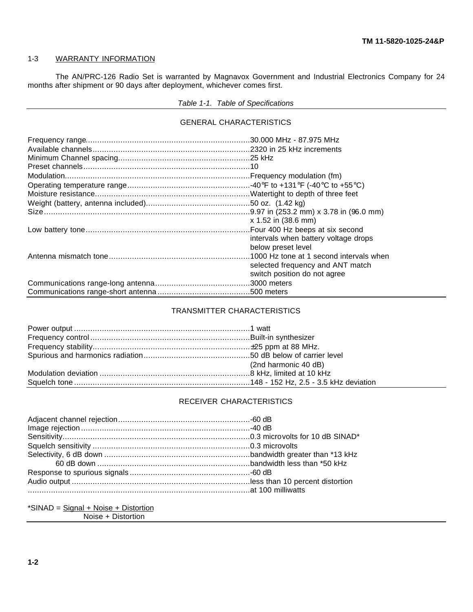### <span id="page-15-0"></span>1-3 WARRANTY INFORMATION

The AN/PRC-126 Radio Set is warranted by Magnavox Government and Industrial Electronics Company for 24 months after shipment or 90 days after deployment, whichever comes first.

# <span id="page-15-2"></span>*Table 1-1. Table of Specifications*

### GENERAL CHARACTERISTICS

| x 1.52 in (38.6 mm)                  |
|--------------------------------------|
|                                      |
| intervals when battery voltage drops |
| below preset level                   |
|                                      |
| selected frequency and ANT match     |
| switch position do not agree         |
|                                      |
|                                      |

# TRANSMITTER CHARACTERISTICS

| (2nd harmonic 40 dB) |
|----------------------|
|                      |
|                      |

# RECEIVER CHARACTERISTICS

<span id="page-15-1"></span>\*SINAD = Signal + Noise + Distortion Noise + Distortion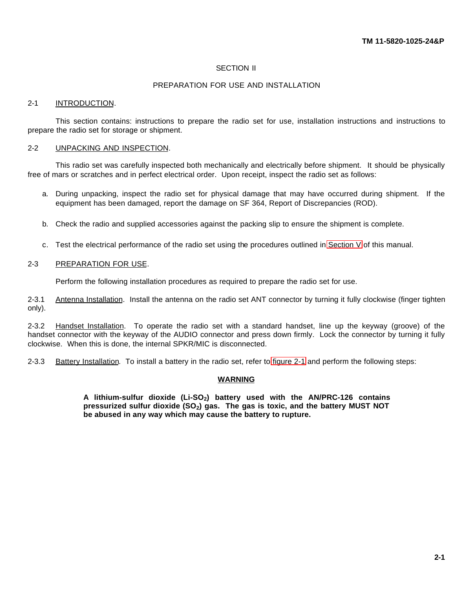# <span id="page-16-0"></span>SECTION II

### PREPARATION FOR USE AND INSTALLATION

### <span id="page-16-1"></span>2-1 INTRODUCTION.

<span id="page-16-2"></span>This section contains: instructions to prepare the radio set for use, installation instructions and instructions to prepare the radio set for storage or shipment.

### 2-2 UNPACKING AND INSPECTION.

This radio set was carefully inspected both mechanically and electrically before shipment. It should be physically free of mars or scratches and in perfect electrical order. Upon receipt, inspect the radio set as follows:

- a. During unpacking, inspect the radio set for physical damage that may have occurred during shipment. If the equipment has been damaged, report the damage on SF 364, Report of Discrepancies (ROD).
- <span id="page-16-3"></span>b. Check the radio and supplied accessories against the packing slip to ensure the shipment is complete.
- c. Test the electrical performance of the radio set using the procedures outlined in [Section V](#page-42-1) of this manual.

### 2-3 PREPARATION FOR USE.

Perform the following installation procedures as required to prepare the radio set for use.

2-3.1 Antenna Installation. Install the antenna on the radio set ANT connector by turning it fully clockwise (finger tighten only).

2-3.2 Handset Installation. To operate the radio set with a standard handset, line up the keyway (groove) of the handset connector with the keyway of the AUDIO connector and press down firmly. Lock the connector by turning it fully clockwise. When this is done, the internal SPKR/MIC is disconnected.

2-3.3 Battery Installation. To install a battery in the radio set, refer to [figure 2-1](#page-19-1) and perform the following steps:

### <span id="page-16-4"></span>**WARNING**

**A lithium-sulfur dioxide (Li-SO2) battery used with the AN/PRC-126 contains pressurized sulfur dioxide (SO2) gas. The gas is toxic, and the battery MUST NOT be abused in any way which may cause the battery to rupture.**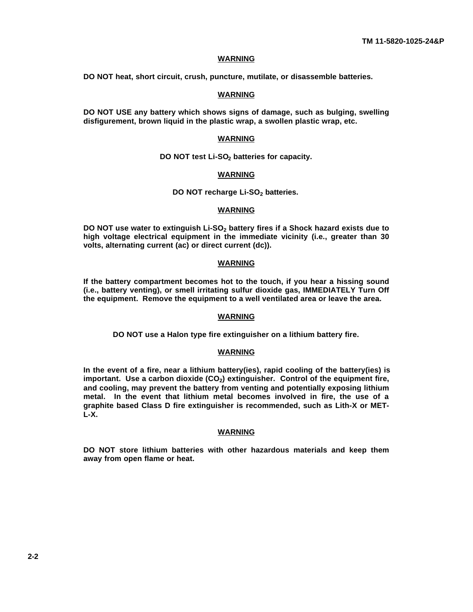#### **WARNING**

**DO NOT heat, short circuit, crush, puncture, mutilate, or disassemble batteries.**

### **WARNING**

**DO NOT USE any battery which shows signs of damage, such as bulging, swelling disfigurement, brown liquid in the plastic wrap, a swollen plastic wrap, etc.**

#### **WARNING**

**DO NOT test Li-SO2 batteries for capacity.**

#### **WARNING**

**DO NOT recharge Li-SO2 batteries.**

#### **WARNING**

**DO NOT use water to extinguish Li-SO2 battery fires if a Shock hazard exists due to high voltage electrical equipment in the immediate vicinity (i.e., greater than 30 volts, alternating current (ac) or direct current (dc)).**

### **WARNING**

**If the battery compartment becomes hot to the touch, if you hear a hissing sound (i.e., battery venting), or smell irritating sulfur dioxide gas, IMMEDIATELY Turn Off the equipment. Remove the equipment to a well ventilated area or leave the area.**

## **WARNING**

**DO NOT use a Halon type fire extinguisher on a lithium battery fire.**

### **WARNING**

**In the event of a fire, near a lithium battery(ies), rapid cooling of the battery(ies) is important. Use a carbon dioxide (CO2) extinguisher. Control of the equipment fire, and cooling, may prevent the battery from venting and potentially exposing lithium metal. In the event that lithium metal becomes involved in fire, the use of a graphite based Class D fire extinguisher is recommended, such as Lith-X or MET-L-X.**

#### **WARNING**

**DO NOT store lithium batteries with other hazardous materials and keep them away from open flame or heat.**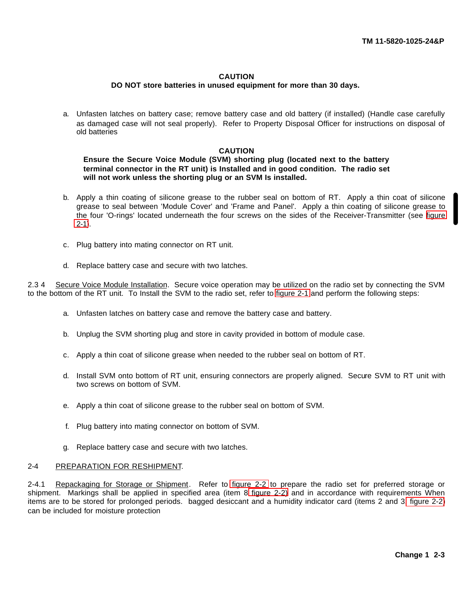### **CAUTION**

### **DO NOT store batteries in unused equipment for more than 30 days.**

a. Unfasten latches on battery case; remove battery case and old battery (if installed) (Handle case carefully as damaged case will not seal properly). Refer to Property Disposal Officer for instructions on disposal of old batteries

### **CAUTION**

### **Ensure the Secure Voice Module (SVM) shorting plug (located next to the battery terminal connector in the RT unit) is Installed and in good condition. The radio set will not work unless the shorting plug or an SVM Is installed.**

- b. Apply a thin coating of silicone grease to the rubber seal on bottom of RT. Apply a thin coat of silicone grease to seal between 'Module Cover' and 'Frame and Panel'. Apply a thin coating of silicone grease to the four 'O-rings' located underneath the four screws on the sides of the Receiver-Transmitter (see [figure](#page-19-1) [2-1\)](#page-19-1).
- c. Plug battery into mating connector on RT unit.
- d. Replace battery case and secure with two latches.

2.3 4 Secure Voice Module Installation. Secure voice operation may be utilized on the radio set by connecting the SVM to the bottom of the RT unit. To Install the SVM to the radio set, refer to [figure 2-1](#page-19-1) and perform the following steps:

- a. Unfasten latches on battery case and remove the battery case and battery.
- b. Unplug the SVM shorting plug and store in cavity provided in bottom of module case.
- c. Apply a thin coat of silicone grease when needed to the rubber seal on bottom of RT.
- d. Install SVM onto bottom of RT unit, ensuring connectors are properly aligned. Secure SVM to RT unit with two screws on bottom of SVM.
- e. Apply a thin coat of silicone grease to the rubber seal on bottom of SVM.
- f. Plug battery into mating connector on bottom of SVM.
- <span id="page-18-0"></span>g. Replace battery case and secure with two latches.

### <span id="page-18-1"></span>2-4 PREPARATION FOR RESHIPMENT.

2-4.1 Repackaging for Storage or Shipment. Refer to [figure 2-2](#page-20-0) to prepare the radio set for preferred storage or shipment. Markings shall be applied in specified area (item 8 [figure 2-2\)](#page-20-0) and in accordance with requirements When items are to be stored for prolonged periods. bagged desiccant and a humidity indicator card (items 2 and 3[, figure 2-2\)](#page-20-0) can be included for moisture protection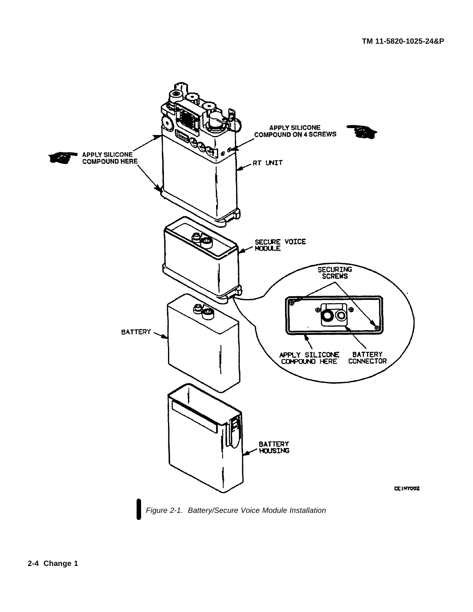<span id="page-19-1"></span><span id="page-19-0"></span>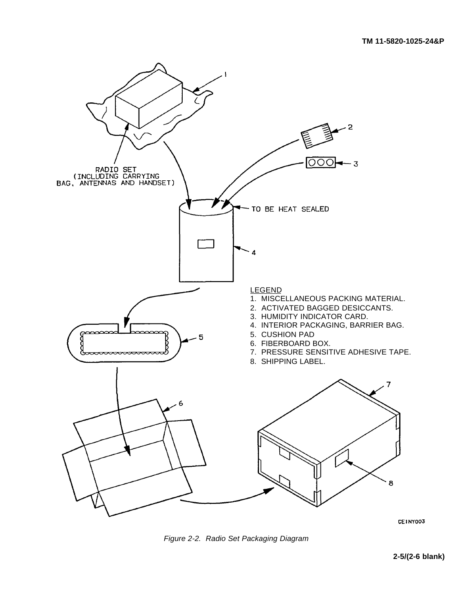

<span id="page-20-1"></span>CEINY003

<span id="page-20-0"></span>*Figure 2-2. Radio Set Packaging Diagram*

**2-5/(2-6 blank)**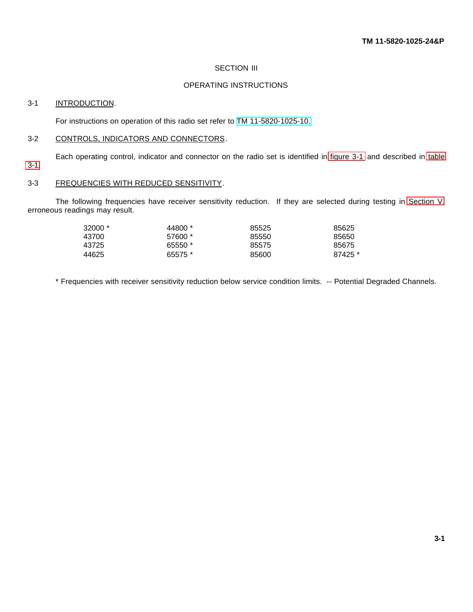### <span id="page-21-0"></span>**SECTION III**

# OPERATING INSTRUCTIONS

### <span id="page-21-2"></span><span id="page-21-1"></span>3-1 INTRODUCTION.

For instructions on operation of this radio set refer to [TM 11-5820-1025-10.](#page-0-0)

#### 3-2 CONTROLS, INDICATORS AND CONNECTORS.

Each operating control, indicator and connector on the radio set is identified in [figure 3-1](#page-22-0) and described in [table](#page-23-0)

# <span id="page-21-3"></span>[3-1.](#page-23-0)

# 3-3 FREQUENCIES WITH REDUCED SENSITIVITY.

The following frequencies have receiver sensitivity reduction. If they are selected during testing in [Section V,](#page-42-1) erroneous readings may result.

| $32000*$ | 44800 * | 85525 | 85625   |
|----------|---------|-------|---------|
| 43700    | 57600 * | 85550 | 85650   |
| 43725    | 65550 * | 85575 | 85675   |
| 44625    | 65575 * | 85600 | 87425 * |

<span id="page-21-4"></span>\* Frequencies with receiver sensitivity reduction below service condition limits. -- Potential Degraded Channels.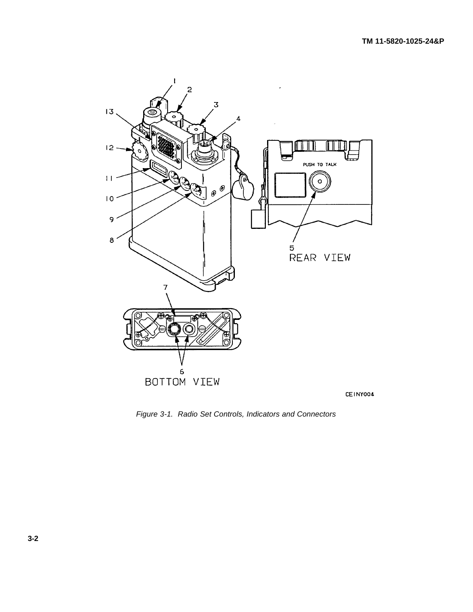

CEINY004

<span id="page-22-1"></span><span id="page-22-0"></span>*Figure 3-1. Radio Set Controls, Indicators and Connectors*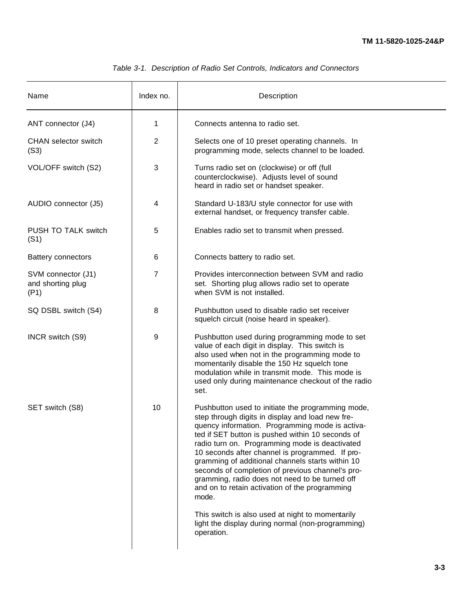<span id="page-23-1"></span><span id="page-23-0"></span>

| Name                                            | Index no. | Description                                                                                                                                                                                                                                                                                                                                                                                                                                                                                                                                                                                                                                                   |
|-------------------------------------------------|-----------|---------------------------------------------------------------------------------------------------------------------------------------------------------------------------------------------------------------------------------------------------------------------------------------------------------------------------------------------------------------------------------------------------------------------------------------------------------------------------------------------------------------------------------------------------------------------------------------------------------------------------------------------------------------|
| ANT connector (J4)                              | 1         | Connects antenna to radio set.                                                                                                                                                                                                                                                                                                                                                                                                                                                                                                                                                                                                                                |
| <b>CHAN</b> selector switch<br>(S3)             | 2         | Selects one of 10 preset operating channels. In<br>programming mode, selects channel to be loaded.                                                                                                                                                                                                                                                                                                                                                                                                                                                                                                                                                            |
| VOL/OFF switch (S2)                             | 3         | Turns radio set on (clockwise) or off (full<br>counterclockwise). Adjusts level of sound<br>heard in radio set or handset speaker.                                                                                                                                                                                                                                                                                                                                                                                                                                                                                                                            |
| AUDIO connector (J5)                            | 4         | Standard U-183/U style connector for use with<br>external handset, or frequency transfer cable.                                                                                                                                                                                                                                                                                                                                                                                                                                                                                                                                                               |
| PUSH TO TALK switch<br>(S1)                     | 5         | Enables radio set to transmit when pressed.                                                                                                                                                                                                                                                                                                                                                                                                                                                                                                                                                                                                                   |
| <b>Battery connectors</b>                       | 6         | Connects battery to radio set.                                                                                                                                                                                                                                                                                                                                                                                                                                                                                                                                                                                                                                |
| SVM connector (J1)<br>and shorting plug<br>(P1) | 7         | Provides interconnection between SVM and radio<br>set. Shorting plug allows radio set to operate<br>when SVM is not installed.                                                                                                                                                                                                                                                                                                                                                                                                                                                                                                                                |
| SQ DSBL switch (S4)                             | 8         | Pushbutton used to disable radio set receiver<br>squelch circuit (noise heard in speaker).                                                                                                                                                                                                                                                                                                                                                                                                                                                                                                                                                                    |
| INCR switch (S9)                                | 9         | Pushbutton used during programming mode to set<br>value of each digit in display. This switch is<br>also used when not in the programming mode to<br>momentarily disable the 150 Hz squelch tone<br>modulation while in transmit mode. This mode is<br>used only during maintenance checkout of the radio<br>set.                                                                                                                                                                                                                                                                                                                                             |
| SET switch (S8)                                 | 10        | Pushbutton used to initiate the programming mode,<br>step through digits in display and load new fre-<br>quency information. Programming mode is activa-<br>ted if SET button is pushed within 10 seconds of<br>radio turn on. Programming mode is deactivated<br>10 seconds after channel is programmed. If pro-<br>gramming of additional channels starts within 10<br>seconds of completion of previous channel's pro-<br>gramming, radio does not need to be turned off<br>and on to retain activation of the programming<br>mode.<br>This switch is also used at night to momentarily<br>light the display during normal (non-programming)<br>operation. |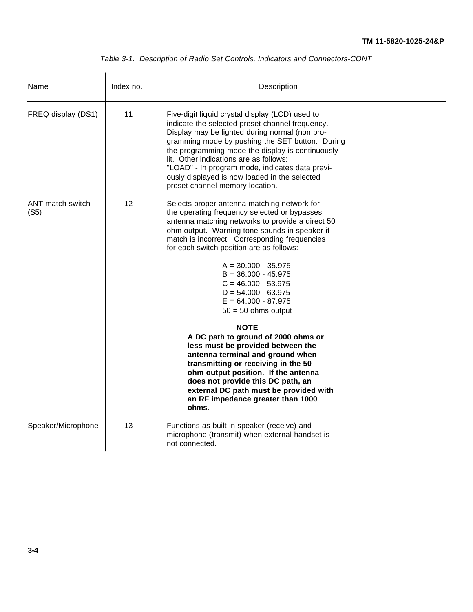| Table 3-1. Description of Radio Set Controls, Indicators and Connectors-CONT |
|------------------------------------------------------------------------------|
|------------------------------------------------------------------------------|

| Name                     | Index no.         | Description                                                                                                                                                                                                                                                                                                                                                                                                                                                                                                                                                                                                                                                                                                                                                                                   |  |
|--------------------------|-------------------|-----------------------------------------------------------------------------------------------------------------------------------------------------------------------------------------------------------------------------------------------------------------------------------------------------------------------------------------------------------------------------------------------------------------------------------------------------------------------------------------------------------------------------------------------------------------------------------------------------------------------------------------------------------------------------------------------------------------------------------------------------------------------------------------------|--|
| FREQ display (DS1)       | 11                | Five-digit liquid crystal display (LCD) used to<br>indicate the selected preset channel frequency.<br>Display may be lighted during normal (non pro-<br>gramming mode by pushing the SET button. During<br>the programming mode the display is continuously<br>lit. Other indications are as follows:<br>"LOAD" - In program mode, indicates data previ-<br>ously displayed is now loaded in the selected<br>preset channel memory location.                                                                                                                                                                                                                                                                                                                                                  |  |
| ANT match switch<br>(S5) | $12 \overline{ }$ | Selects proper antenna matching network for<br>the operating frequency selected or bypasses<br>antenna matching networks to provide a direct 50<br>ohm output. Warning tone sounds in speaker if<br>match is incorrect. Corresponding frequencies<br>for each switch position are as follows:<br>$A = 30.000 - 35.975$<br>$B = 36.000 - 45.975$<br>$C = 46.000 - 53.975$<br>$D = 54.000 - 63.975$<br>$E = 64.000 - 87.975$<br>$50 = 50$ ohms output<br><b>NOTE</b><br>A DC path to ground of 2000 ohms or<br>less must be provided between the<br>antenna terminal and ground when<br>transmitting or receiving in the 50<br>ohm output position. If the antenna<br>does not provide this DC path, an<br>external DC path must be provided with<br>an RF impedance greater than 1000<br>ohms. |  |
|                          |                   |                                                                                                                                                                                                                                                                                                                                                                                                                                                                                                                                                                                                                                                                                                                                                                                               |  |
| Speaker/Microphone       | 13                | Functions as built-in speaker (receive) and<br>microphone (transmit) when external handset is<br>not connected.                                                                                                                                                                                                                                                                                                                                                                                                                                                                                                                                                                                                                                                                               |  |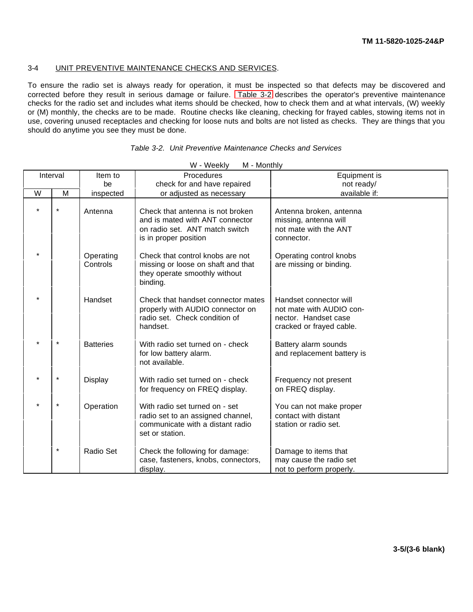# <span id="page-25-0"></span>3-4 UNIT PREVENTIVE MAINTENANCE CHECKS AND SERVICES.

To ensure the radio set is always ready for operation, it must be inspected so that defects may be discovered and corrected before they result in serious damage or failure. [Table 3-2](#page-25-2) describes the operator's preventive maintenance checks for the radio set and includes what items should be checked, how to check them and at what intervals, (W) weekly or (M) monthly, the checks are to be made. Routine checks like cleaning, checking for frayed cables, stowing items not in use, covering unused receptacles and checking for loose nuts and bolts are not listed as checks. They are things that you should do anytime you see they must be done.

| M - Monthly<br>W - Weekly |          |                       |                                                                                                                                |                                                                                                        |  |
|---------------------------|----------|-----------------------|--------------------------------------------------------------------------------------------------------------------------------|--------------------------------------------------------------------------------------------------------|--|
|                           | Interval | Item to               | Procedures                                                                                                                     | Equipment is                                                                                           |  |
|                           |          | be                    | check for and have repaired                                                                                                    | not ready/                                                                                             |  |
| W                         | M        | inspected             | or adjusted as necessary                                                                                                       | available if:                                                                                          |  |
| $\ast$                    | $^\ast$  | Antenna               | Check that antenna is not broken<br>and is mated with ANT connector<br>on radio set. ANT match switch<br>is in proper position | Antenna broken, antenna<br>missing, antenna will<br>not mate with the ANT<br>connector.                |  |
| $\star$                   |          | Operating<br>Controls | Check that control knobs are not<br>missing or loose on shaft and that<br>they operate smoothly without<br>binding.            | Operating control knobs<br>are missing or binding.                                                     |  |
|                           |          | Handset               | Check that handset connector mates<br>properly with AUDIO connector on<br>radio set. Check condition of<br>handset.            | Handset connector will<br>not mate with AUDIO con-<br>nector. Handset case<br>cracked or frayed cable. |  |
|                           | $\star$  | <b>Batteries</b>      | With radio set turned on - check<br>for low battery alarm.<br>not available.                                                   | Battery alarm sounds<br>and replacement battery is                                                     |  |
| $\star$                   | $\star$  | <b>Display</b>        | With radio set turned on - check<br>for frequency on FREQ display.                                                             | Frequency not present<br>on FREQ display.                                                              |  |
|                           | $\star$  | Operation             | With radio set turned on - set<br>radio set to an assigned channel,<br>communicate with a distant radio<br>set or station.     | You can not make proper<br>contact with distant<br>station or radio set.                               |  |
|                           | $\star$  | Radio Set             | Check the following for damage:<br>case, fasteners, knobs, connectors,<br>display.                                             | Damage to items that<br>may cause the radio set<br>not to perform properly.                            |  |

### <span id="page-25-2"></span><span id="page-25-1"></span>*Table 3-2. Unit Preventive Maintenance Checks and Services*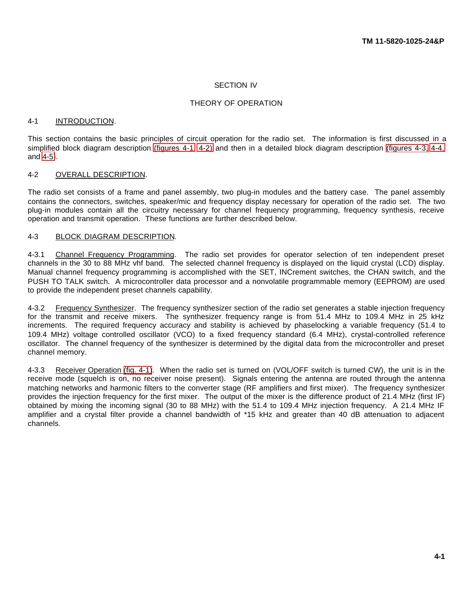### <span id="page-26-0"></span>SECTION IV

### THEORY OF OPERATION

### <span id="page-26-1"></span>4-1 INTRODUCTION.

<span id="page-26-2"></span>This section contains the basic principles of circuit operation for the radio set. The information is first discussed in a simplified block diagram description [\(figures 4-1,](#page-27-2) [4-2\)](#page-27-3) and then in a detailed block diagram description [\(figures 4-3,](#page-38-0) [4-4,](#page-39-0) and [4-5\)](#page-40-0).

### 4-2 OVERALL DESCRIPTION.

<span id="page-26-3"></span>The radio set consists of a frame and panel assembly, two plug-in modules and the battery case. The panel assembly contains the connectors, switches, speaker/mic and frequency display necessary for operation of the radio set. The two plug-in modules contain all the circuitry necessary for channel frequency programming, frequency synthesis, receive operation and transmit operation. These functions are further described below.

#### 4-3 BLOCK DIAGRAM DESCRIPTION.

4-3.1 Channel Frequency Programming. The radio set provides for operator selection of ten independent preset channels in the 30 to 88 MHz vhf band. The selected channel frequency is displayed on the liquid crystal (LCD) display. Manual channel frequency programming is accomplished with the SET, INCrement switches, the CHAN switch, and the PUSH TO TALK switch. A microcontroller data processor and a nonvolatile programmable memory (EEPROM) are used to provide the independent preset channels capability.

4-3.2 Frequency Synthesizer. The frequency synthesizer section of the radio set generates a stable injection frequency for the transmit and receive mixers. The synthesizer frequency range is from 51.4 MHz to 109.4 MHz in 25 kHz increments. The required frequency accuracy and stability is achieved by phaselocking a variable frequency (51.4 to 109.4 MHz) voltage controlled oscillator (VCO) to a fixed frequency standard (6.4 MHz), crystal-controlled reference oscillator. The channel frequency of the synthesizer is determined by the digital data from the microcontroller and preset channel memory.

<span id="page-26-4"></span>4-3.3 Receiver Operation [\(fig. 4-1\)](#page-27-2). When the radio set is turned on (VOL/OFF switch is turned CW), the unit is in the receive mode (squelch is on, no receiver noise present). Signals entering the antenna are routed through the antenna matching networks and harmonic filters to the converter stage (RF amplifiers and first mixer). The frequency synthesizer provides the injection frequency for the first mixer. The output of the mixer is the difference product of 21.4 MHz (first IF) obtained by mixing the incoming signal (30 to 88 MHz) with the 51.4 to 109.4 MHz injection frequency. A 21.4 MHz IF amplifier and a crystal filter provide a channel bandwidth of \*15 kHz and greater than 40 dB attenuation to adjacent channels.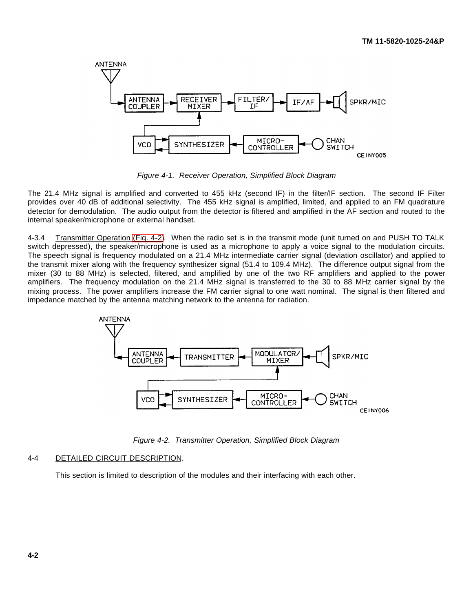

<span id="page-27-2"></span>*Figure 4-1. Receiver Operation, Simplified Block Diagram*

The 21.4 MHz signal is amplified and converted to 455 kHz (second IF) in the filter/IF section. The second IF Filter provides over 40 dB of additional selectivity. The 455 kHz signal is amplified, limited, and applied to an FM quadrature detector for demodulation. The audio output from the detector is filtered and amplified in the AF section and routed to the internal speaker/microphone or external handset.

4-3.4 Transmitter Operation [\(Fig. 4-2\)](#page-27-3). When the radio set is in the transmit mode (unit turned on and PUSH TO TALK switch depressed), the speaker/microphone is used as a microphone to apply a voice signal to the modulation circuits. The speech signal is frequency modulated on a 21.4 MHz intermediate carrier signal (deviation oscillator) and applied to the transmit mixer along with the frequency synthesizer signal (51.4 to 109.4 MHz). The difference output signal from the mixer (30 to 88 MHz) is selected, filtered, and amplified by one of the two RF amplifiers and applied to the power amplifiers. The frequency modulation on the 21.4 MHz signal is transferred to the 30 to 88 MHz carrier signal by the mixing process. The power amplifiers increase the FM carrier signal to one watt nominal. The signal is then filtered and impedance matched by the antenna matching network to the antenna for radiation.



<span id="page-27-3"></span>*Figure 4-2. Transmitter Operation, Simplified Block Diagram*

### <span id="page-27-0"></span>4-4 DETAILED CIRCUIT DESCRIPTION.

<span id="page-27-1"></span>This section is limited to description of the modules and their interfacing with each other.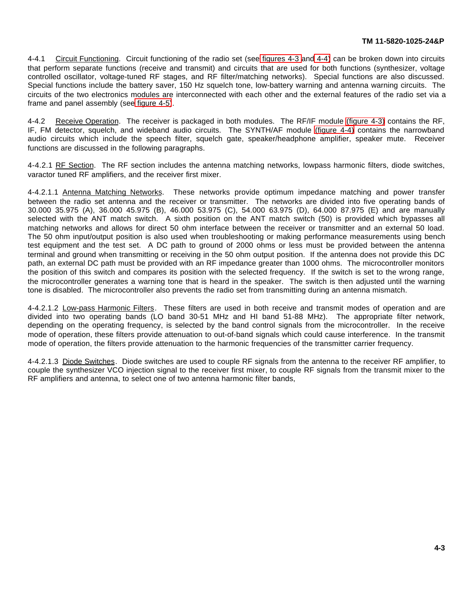4-4.1 Circuit Functioning. Circuit functioning of the radio set (see [figures 4-3](#page-38-0) and [4-4\)](#page-39-0) can be broken down into circuits that perform separate functions (receive and transmit) and circuits that are used for both functions (synthesizer, voltage controlled oscillator, voltage-tuned RF stages, and RF filter/matching networks). Special functions are also discussed. Special functions include the battery saver, 150 Hz squelch tone, low-battery warning and antenna warning circuits. The circuits of the two electronics modules are interconnected with each other and the external features of the radio set via a frame and panel assembly (see [figure 4-5\)](#page-40-0).

4-4.2 Receive Operation. The receiver is packaged in both modules. The RF/IF module [\(figure 4-3\)](#page-38-0) contains the RF, IF, FM detector, squelch, and wideband audio circuits. The SYNTH/AF module [\(figure 4-4\)](#page-39-0) contains the narrowband audio circuits which include the speech filter, squelch gate, speaker/headphone amplifier, speaker mute. Receiver functions are discussed in the following paragraphs.

4-4.2.1 RF Section. The RF section includes the antenna matching networks, lowpass harmonic filters, diode switches, varactor tuned RF amplifiers, and the receiver first mixer.

4-4.2.1.1 Antenna Matching Networks. These networks provide optimum impedance matching and power transfer between the radio set antenna and the receiver or transmitter. The networks are divided into five operating bands of 30.000 35.975 (A), 36.000 45.975 (B), 46.000 53.975 (C), 54.000 63.975 (D), 64.000 87.975 (E) and are manually selected with the ANT match switch. A sixth position on the ANT match switch (50) is provided which bypasses all matching networks and allows for direct 50 ohm interface between the receiver or transmitter and an external 50 load. The 50 ohm input/output position is also used when troubleshooting or making performance measurements using bench test equipment and the test set. A DC path to ground of 2000 ohms or less must be provided between the antenna terminal and ground when transmitting or receiving in the 50 ohm output position. If the antenna does not provide this DC path, an external DC path must be provided with an RF impedance greater than 1000 ohms. The microcontroller monitors the position of this switch and compares its position with the selected frequency. If the switch is set to the wrong range, the microcontroller generates a warning tone that is heard in the speaker. The switch is then adjusted until the warning tone is disabled. The microcontroller also prevents the radio set from transmitting during an antenna mismatch.

4-4.2.1.2 Low-pass Harmonic Filters. These filters are used in both receive and transmit modes of operation and are divided into two operating bands (LO band 30-51 MHz and HI band 51-88 MHz). The appropriate filter network, depending on the operating frequency, is selected by the band control signals from the microcontroller. In the receive mode of operation, these filters provide attenuation to out-of-band signals which could cause interference. In the transmit mode of operation, the filters provide attenuation to the harmonic frequencies of the transmitter carrier frequency.

4-4.2.1.3 Diode Switches. Diode switches are used to couple RF signals from the antenna to the receiver RF amplifier, to couple the synthesizer VCO injection signal to the receiver first mixer, to couple RF signals from the transmit mixer to the RF amplifiers and antenna, to select one of two antenna harmonic filter bands,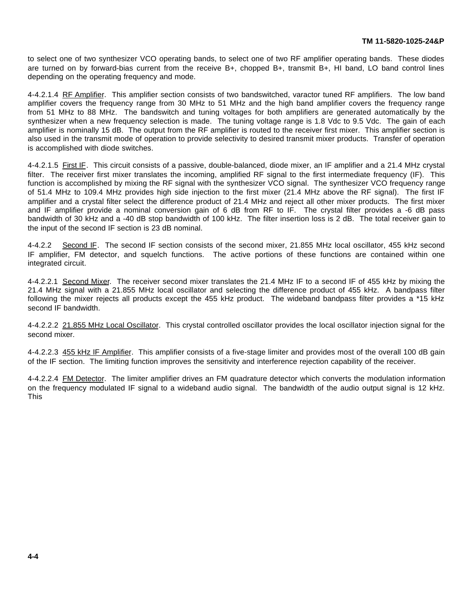<span id="page-29-0"></span>to select one of two synthesizer VCO operating bands, to select one of two RF amplifier operating bands. These diodes are turned on by forward-bias current from the receive B+, chopped B+, transmit B+, HI band, LO band control lines depending on the operating frequency and mode.

4-4.2.1.4 RF Amplifier. This amplifier section consists of two bandswitched, varactor tuned RF amplifiers. The low band amplifier covers the frequency range from 30 MHz to 51 MHz and the high band amplifier covers the frequency range from 51 MHz to 88 MHz. The bandswitch and tuning voltages for both amplifiers are generated automatically by the synthesizer when a new frequency selection is made. The tuning voltage range is 1.8 Vdc to 9.5 Vdc. The gain of each amplifier is nominally 15 dB. The output from the RF amplifier is routed to the receiver first mixer. This amplifier section is also used in the transmit mode of operation to provide selectivity to desired transmit mixer products. Transfer of operation is accomplished with diode switches.

4-4.2.1.5 First IF. This circuit consists of a passive, double-balanced, diode mixer, an IF amplifier and a 21.4 MHz crystal filter. The receiver first mixer translates the incoming, amplified RF signal to the first intermediate frequency (IF). This function is accomplished by mixing the RF signal with the synthesizer VCO signal. The synthesizer VCO frequency range of 51.4 MHz to 109.4 MHz provides high side injection to the first mixer (21.4 MHz above the RF signal). The first IF amplifier and a crystal filter select the difference product of 21.4 MHz and reject all other mixer products. The first mixer and IF amplifier provide a nominal conversion gain of 6 dB from RF to IF. The crystal filter provides a -6 dB pass bandwidth of 30 kHz and a -40 dB stop bandwidth of 100 kHz. The filter insertion loss is 2 dB. The total receiver gain to the input of the second IF section is 23 dB nominal.

4-4.2.2 Second IF. The second IF section consists of the second mixer, 21.855 MHz local oscillator, 455 kHz second IF amplifier, FM detector, and squelch functions. The active portions of these functions are contained within one integrated circuit.

4-4.2.2.1 Second Mixer. The receiver second mixer translates the 21.4 MHz IF to a second IF of 455 kHz by mixing the 21.4 MHz signal with a 21.855 MHz local oscillator and selecting the difference product of 455 kHz. A bandpass filter following the mixer rejects all products except the 455 kHz product. The wideband bandpass filter provides a \*15 kHz second IF bandwidth.

4-4.2.2.2 21.855 MHz Local Oscillator. This crystal controlled oscillator provides the local oscillator injection signal for the second mixer.

4-4.2.2.3 455 kHz IF Amplifier. This amplifier consists of a five-stage limiter and provides most of the overall 100 dB gain of the IF section. The limiting function improves the sensitivity and interference rejection capability of the receiver.

4-4.2.2.4 FM Detector. The limiter amplifier drives an FM quadrature detector which converts the modulation information on the frequency modulated IF signal to a wideband audio signal. The bandwidth of the audio output signal is 12 kHz. This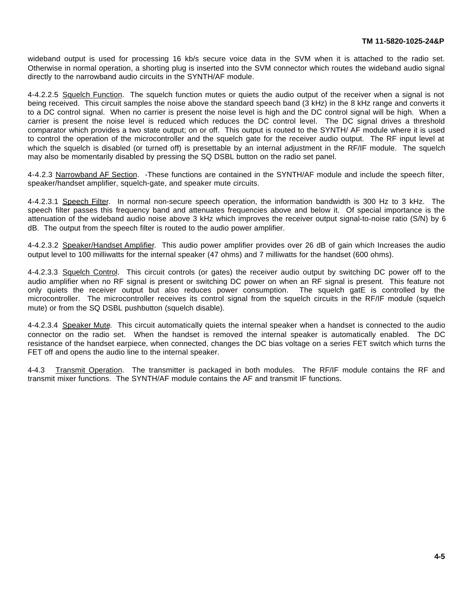wideband output is used for processing 16 kb/s secure voice data in the SVM when it is attached to the radio set. Otherwise in normal operation, a shorting plug is inserted into the SVM connector which routes the wideband audio signal directly to the narrowband audio circuits in the SYNTH/AF module.

4-4.2.2.5 Squelch Function. The squelch function mutes or quiets the audio output of the receiver when a signal is not being received. This circuit samples the noise above the standard speech band (3 kHz) in the 8 kHz range and converts it to a DC control signal. When no carrier is present the noise level is high and the DC control signal will be high. When a carrier is present the noise level is reduced which reduces the DC control level. The DC signal drives a threshold comparator which provides a two state output; on or off. This output is routed to the SYNTH/ AF module where it is used to control the operation of the microcontroller and the squelch gate for the receiver audio output. The RF input level at which the squelch is disabled (or turned off) is presettable by an internal adjustment in the RF/IF module. The squelch may also be momentarily disabled by pressing the SQ DSBL button on the radio set panel.

4-4.2.3 Narrowband AF Section. -These functions are contained in the SYNTH/AF module and include the speech filter, speaker/handset amplifier, squelch-gate, and speaker mute circuits.

4-4.2.3.1 Speech Filter. In normal non-secure speech operation, the information bandwidth is 300 Hz to 3 kHz. The speech filter passes this frequency band and attenuates frequencies above and below it. Of special importance is the attenuation of the wideband audio noise above 3 kHz which improves the receiver output signal-to-noise ratio (S/N) by 6 dB. The output from the speech filter is routed to the audio power amplifier.

4-4.2.3.2 Speaker/Handset Amplifier. This audio power amplifier provides over 26 dB of gain which Increases the audio output level to 100 milliwatts for the internal speaker (47 ohms) and 7 milliwatts for the handset (600 ohms).

4-4.2.3.3 Squelch Control. This circuit controls (or gates) the receiver audio output by switching DC power off to the audio amplifier when no RF signal is present or switching DC power on when an RF signal is present. This feature not only quiets the receiver output but also reduces power consumption. The squelch gatE is controlled by the microcontroller. The microcontroller receives its control signal from the squelch circuits in the RF/IF module (squelch mute) or from the SQ DSBL pushbutton (squelch disable).

4-4.2.3.4 Speaker Mute. This circuit automatically quiets the internal speaker when a handset is connected to the audio connector on the radio set. When the handset is removed the internal speaker is automatically enabled. The DC resistance of the handset earpiece, when connected, changes the DC bias voltage on a series FET switch which turns the FET off and opens the audio line to the internal speaker.

4-4.3 Transmit Operation. The transmitter is packaged in both modules. The RF/IF module contains the RF and transmit mixer functions. The SYNTH/AF module contains the AF and transmit IF functions.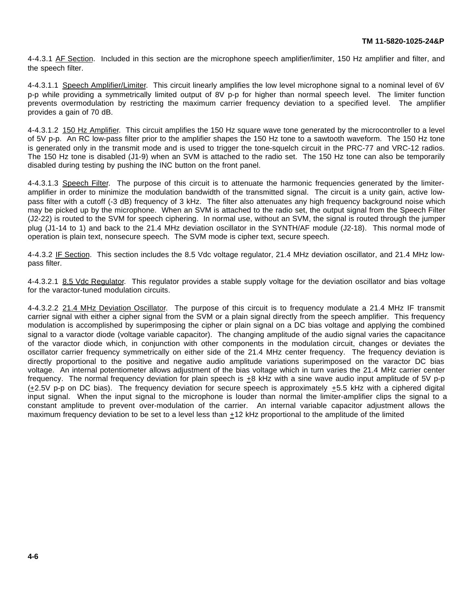4-4.3.1 AF Section. Included in this section are the microphone speech amplifier/limiter, 150 Hz amplifier and filter, and the speech filter.

4-4.3.1.1 Speech Amplifier/Limiter. This circuit linearly amplifies the low level microphone signal to a nominal level of 6V p-p while providing a symmetrically limited output of 8V p-p for higher than normal speech level. The limiter function prevents overmodulation by restricting the maximum carrier frequency deviation to a specified level. The amplifier provides a gain of 70 dB.

4-4.3.1.2 150 Hz Amplifier. This circuit amplifies the 150 Hz square wave tone generated by the microcontroller to a level of 5V p-p. An RC low-pass filter prior to the amplifier shapes the 150 Hz tone to a sawtooth waveform. The 150 Hz tone is generated only in the transmit mode and is used to trigger the tone-squelch circuit in the PRC-77 and VRC-12 radios. The 150 Hz tone is disabled (J1-9) when an SVM is attached to the radio set. The 150 Hz tone can also be temporarily disabled during testing by pushing the INC button on the front panel.

4-4.3.1.3 Speech Filter. The purpose of this circuit is to attenuate the harmonic frequencies generated by the limiteramplifier in order to minimize the modulation bandwidth of the transmitted signal. The circuit is a unity gain, active lowpass filter with a cutoff (-3 dB) frequency of 3 kHz. The filter also attenuates any high frequency background noise which may be picked up by the microphone. When an SVM is attached to the radio set, the output signal from the Speech Filter (J2-22) is routed to the SVM for speech ciphering. In normal use, without an SVM, the signal is routed through the jumper plug (J1-14 to 1) and back to the 21.4 MHz deviation oscillator in the SYNTH/AF module (J2-18). This normal mode of operation is plain text, nonsecure speech. The SVM mode is cipher text, secure speech.

4-4.3.2 IF Section. This section includes the 8.5 Vdc voltage regulator, 21.4 MHz deviation oscillator, and 21.4 MHz lowpass filter.

4-4.3.2.1 8.5 Vdc Regulator. This regulator provides a stable supply voltage for the deviation oscillator and bias voltage for the varactor-tuned modulation circuits.

4-4.3.2.2 21.4 MHz Deviation Oscillator. The purpose of this circuit is to frequency modulate a 21.4 MHz IF transmit carrier signal with either a cipher signal from the SVM or a plain signal directly from the speech amplifier. This frequency modulation is accomplished by superimposing the cipher or plain signal on a DC bias voltage and applying the combined signal to a varactor diode (voltage variable capacitor). The changing amplitude of the audio signal varies the capacitance of the varactor diode which, in conjunction with other components in the modulation circuit, changes or deviates the oscillator carrier frequency symmetrically on either side of the 21.4 MHz center frequency. The frequency deviation is directly proportional to the positive and negative audio amplitude variations superimposed on the varactor DC bias voltage. An internal potentiometer allows adjustment of the bias voltage which in turn varies the 21.4 MHz carrier center frequency. The normal frequency deviation for plain speech is  $\pm 8$  kHz with a sine wave audio input amplitude of 5V p-p (+2.5V p-p on DC bias). The frequency deviation for secure speech is approximately +5.5 kHz with a ciphered digital input signal. When the input signal to the microphone is louder than normal the limiter-amplifier clips the signal to a constant amplitude to prevent over-modulation of the carrier. An internal variable capacitor adjustment allows the maximum frequency deviation to be set to a level less than +12 kHz proportional to the amplitude of the limited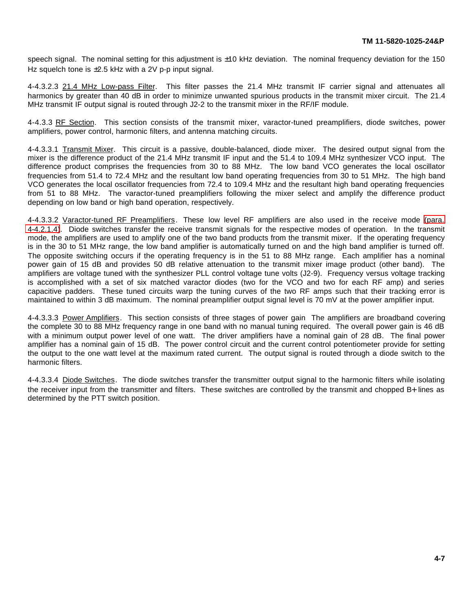speech signal. The nominal setting for this adjustment is ±10 kHz deviation. The nominal frequency deviation for the 150 Hz squelch tone is  $\pm 2.5$  kHz with a 2V p-p input signal.

4-4.3.2.3 21.4 MHz Low-pass Filter. This filter passes the 21.4 MHz transmit IF carrier signal and attenuates all harmonics by greater than 40 dB in order to minimize unwanted spurious products in the transmit mixer circuit. The 21.4 MHz transmit IF output signal is routed through J2-2 to the transmit mixer in the RF/IF module.

4-4.3.3 RF Section. This section consists of the transmit mixer, varactor-tuned preamplifiers, diode switches, power amplifiers, power control, harmonic filters, and antenna matching circuits.

4-4.3.3.1 Transmit Mixer. This circuit is a passive, double-balanced, diode mixer. The desired output signal from the mixer is the difference product of the 21.4 MHz transmit IF input and the 51.4 to 109.4 MHz synthesizer VCO input. The difference product comprises the frequencies from 30 to 88 MHz. The low band VCO generates the local oscillator frequencies from 51.4 to 72.4 MHz and the resultant low band operating frequencies from 30 to 51 MHz. The high band VCO generates the local oscillator frequencies from 72.4 to 109.4 MHz and the resultant high band operating frequencies from 51 to 88 MHz. The varactor-tuned preamplifiers following the mixer select and amplify the difference product depending on low band or high band operation, respectively.

4-4.3.3.2 Varactor-tuned RF Preamplifiers. These low level RF amplifiers are also used in the receive mode [\(para.](#page-29-0) [4-4.2.1.4\)](#page-29-0). Diode switches transfer the receive transmit signals for the respective modes of operation. In the transmit mode, the amplifiers are used to amplify one of the two band products from the transmit mixer. If the operating frequency is in the 30 to 51 MHz range, the low band amplifier is automatically turned on and the high band amplifier is turned off. The opposite switching occurs if the operating frequency is in the 51 to 88 MHz range. Each amplifier has a nominal power gain of 15 dB and provides 50 dB relative attenuation to the transmit mixer image product (other band). The amplifiers are voltage tuned with the synthesizer PLL control voltage tune volts (J2-9). Frequency versus voltage tracking is accomplished with a set of six matched varactor diodes (two for the VCO and two for each RF amp) and series capacitive padders. These tuned circuits warp the tuning curves of the two RF amps such that their tracking error is maintained to within 3 dB maximum. The nominal preamplifier output signal level is 70 mV at the power amplifier input.

4-4.3.3.3 Power Amplifiers. This section consists of three stages of power gain The amplifiers are broadband covering the complete 30 to 88 MHz frequency range in one band with no manual tuning required. The overall power gain is 46 dB with a minimum output power level of one watt. The driver amplifiers have a nominal gain of 28 dB. The final power amplifier has a nominal gain of 15 dB. The power control circuit and the current control potentiometer provide for setting the output to the one watt level at the maximum rated current. The output signal is routed through a diode switch to the harmonic filters.

4-4.3.3.4 Diode Switches. The diode switches transfer the transmitter output signal to the harmonic filters while isolating the receiver input from the transmitter and filters. These switches are controlled by the transmit and chopped B+ lines as determined by the PTT switch position.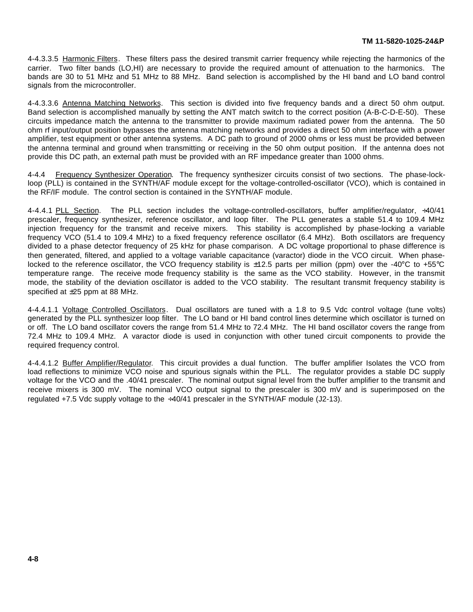4-4.3.3.5 Harmonic Filters. These filters pass the desired transmit carrier frequency while rejecting the harmonics of the carrier. Two filter bands (LO,HI) are necessary to provide the required amount of attenuation to the harmonics. The bands are 30 to 51 MHz and 51 MHz to 88 MHz. Band selection is accomplished by the HI band and LO band control signals from the microcontroller.

4-4.3.3.6 Antenna Matching Networks. This section is divided into five frequency bands and a direct 50 ohm output. Band selection is accomplished manually by setting the ANT match switch to the correct position (A-B-C-D-E-50). These circuits impedance match the antenna to the transmitter to provide maximum radiated power from the antenna. The 50 ohm rf input/output position bypasses the antenna matching networks and provides a direct 50 ohm interface with a power amplifier, test equipment or other antenna systems. A DC path to ground of 2000 ohms or less must be provided between the antenna terminal and ground when transmitting or receiving in the 50 ohm output position. If the antenna does not provide this DC path, an external path must be provided with an RF impedance greater than 1000 ohms.

4-4.4 Frequency Synthesizer Operation. The frequency synthesizer circuits consist of two sections. The phase-lockloop (PLL) is contained in the SYNTH/AF module except for the voltage-controlled-oscillator (VCO), which is contained in the RF/IF module. The control section is contained in the SYNTH/AF module.

4-4.4.1 PLL Section. The PLL section includes the voltage-controlled-oscillators, buffer amplifier/regulator, ÷40/41 prescaler, frequency synthesizer, reference oscillator, and loop filter. The PLL generates a stable 51.4 to 109.4 MHz injection frequency for the transmit and receive mixers. This stability is accomplished by phase-locking a variable frequency VCO (51.4 to 109.4 MHz) to a fixed frequency reference oscillator (6.4 MHz). Both oscillators are frequency divided to a phase detector frequency of 25 kHz for phase comparison. A DC voltage proportional to phase difference is then generated, filtered, and applied to a voltage variable capacitance (varactor) diode in the VCO circuit. When phaselocked to the reference oscillator, the VCO frequency stability is ±12.5 parts per million (ppm) over the -40°C to +55°C temperature range. The receive mode frequency stability is the same as the VCO stability. However, in the transmit mode, the stability of the deviation oscillator is added to the VCO stability. The resultant transmit frequency stability is specified at ±25 ppm at 88 MHz.

4-4.4.1.1 Voltage Controlled Oscillators. Dual oscillators are tuned with a 1.8 to 9.5 Vdc control voltage (tune volts) generated by the PLL synthesizer loop filter. The LO band or HI band control lines determine which oscillator is turned on or off. The LO band oscillator covers the range from 51.4 MHz to 72.4 MHz. The HI band oscillator covers the range from 72.4 MHz to 109.4 MHz. A varactor diode is used in conjunction with other tuned circuit components to provide the required frequency control.

4-4.4.1.2 Buffer Amplifier/Regulator. This circuit provides a dual function. The buffer amplifier Isolates the VCO from load reflections to minimize VCO noise and spurious signals within the PLL. The regulator provides a stable DC supply voltage for the VCO and the .40/41 prescaler. The nominal output signal level from the buffer amplifier to the transmit and receive mixers is 300 mV. The nominal VCO output signal to the prescaler is 300 mV and is superimposed on the regulated  $+7.5$  Vdc supply voltage to the  $\div 40/41$  prescaler in the SYNTH/AF module (J2-13).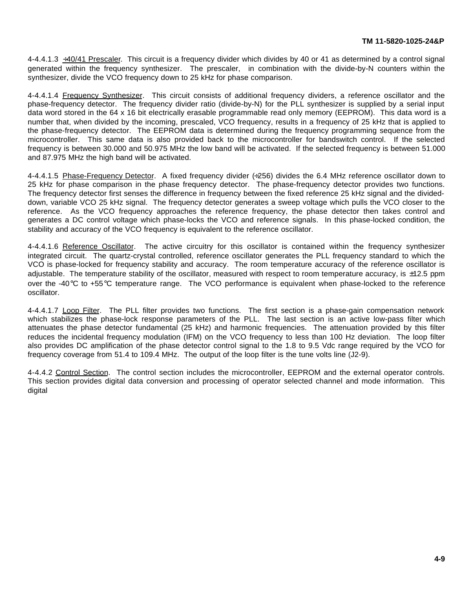$4-4.4.1.3 \div 40/41$  Prescaler. This circuit is a frequency divider which divides by 40 or 41 as determined by a control signal generated within the frequency synthesizer. The prescaler, in combination with the divide-by-N counters within the synthesizer, divide the VCO frequency down to 25 kHz for phase comparison.

4-4.4.1.4 Frequency Synthesizer. This circuit consists of additional frequency dividers, a reference oscillator and the phase-frequency detector. The frequency divider ratio (divide-by-N) for the PLL synthesizer is supplied by a serial input data word stored in the 64 x 16 bit electrically erasable programmable read only memory (EEPROM). This data word is a number that, when divided by the incoming, prescaled, VCO frequency, results in a frequency of 25 kHz that is applied to the phase-frequency detector. The EEPROM data is determined during the frequency programming sequence from the microcontroller. This same data is also provided back to the microcontroller for bandswitch control. If the selected frequency is between 30.000 and 50.975 MHz the low band will be activated. If the selected frequency is between 51.000 and 87.975 MHz the high band will be activated.

4-4.4.1.5 Phase-Frequency Detector. A fixed frequency divider (÷256) divides the 6.4 MHz reference oscillator down to 25 kHz for phase comparison in the phase frequency detector. The phase-frequency detector provides two functions. The frequency detector first senses the difference in frequency between the fixed reference 25 kHz signal and the divideddown, variable VCO 25 kHz signal. The frequency detector generates a sweep voltage which pulls the VCO closer to the reference. As the VCO frequency approaches the reference frequency, the phase detector then takes control and generates a DC control voltage which phase-locks the VCO and reference signals. In this phase-locked condition, the stability and accuracy of the VCO frequency is equivalent to the reference oscillator.

4-4.4.1.6 Reference Oscillator. The active circuitry for this oscillator is contained within the frequency synthesizer integrated circuit. The quartz-crystal controlled, reference oscillator generates the PLL frequency standard to which the VCO is phase-locked for frequency stability and accuracy. The room temperature accuracy of the reference oscillator is adjustable. The temperature stability of the oscillator, measured with respect to room temperature accuracy, is  $\pm 12.5$  ppm over the -40°C to +55°C temperature range. The VCO performance is equivalent when phase-locked to the reference oscillator.

4-4.4.1.7 Loop Filter. The PLL filter provides two functions. The first section is a phase-gain compensation network which stabilizes the phase-lock response parameters of the PLL. The last section is an active low-pass filter which attenuates the phase detector fundamental (25 kHz) and harmonic frequencies. The attenuation provided by this filter reduces the incidental frequency modulation (IFM) on the VCO frequency to less than 100 Hz deviation. The loop filter also provides DC amplification of the phase detector control signal to the 1.8 to 9.5 Vdc range required by the VCO for frequency coverage from 51.4 to 109.4 MHz. The output of the loop filter is the tune volts line (J2-9).

4-4.4.2 Control Section. The control section includes the microcontroller, EEPROM and the external operator controls. This section provides digital data conversion and processing of operator selected channel and mode information. This digital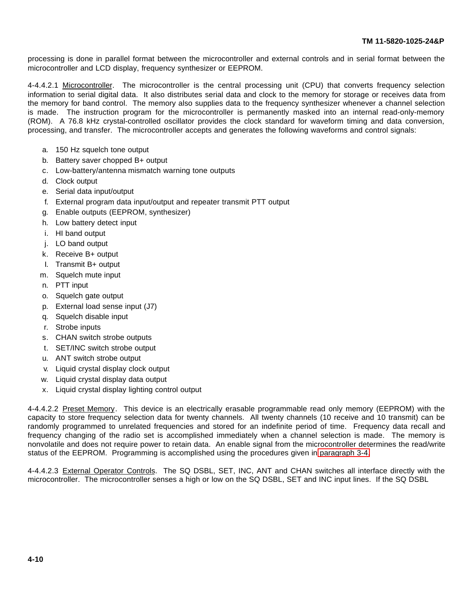processing is done in parallel format between the microcontroller and external controls and in serial format between the microcontroller and LCD display, frequency synthesizer or EEPROM.

4-4.4.2.1 Microcontroller. The microcontroller is the central processing unit (CPU) that converts frequency selection information to serial digital data. It also distributes serial data and clock to the memory for storage or receives data from the memory for band control. The memory also supplies data to the frequency synthesizer whenever a channel selection is made. The instruction program for the microcontroller is permanently masked into an internal read-only-memory (ROM). A 76.8 kHz crystal-controlled oscillator provides the clock standard for waveform timing and data conversion, processing, and transfer. The microcontroller accepts and generates the following waveforms and control signals:

- a. 150 Hz squelch tone output
- b. Battery saver chopped B+ output
- c. Low-battery/antenna mismatch warning tone outputs
- d. Clock output
- e. Serial data input/output
- f. External program data input/output and repeater transmit PTT output
- g. Enable outputs (EEPROM, synthesizer)
- h. Low battery detect input
- i. HI band output
- j. LO band output
- k. Receive B+ output
- I. Transmit B+ output
- m. Squelch mute input
- n. PTT input
- o. Squelch gate output
- p. External load sense input (J7)
- q. Squelch disable input
- r. Strobe inputs
- s. CHAN switch strobe outputs
- t. SET/INC switch strobe output
- u. ANT switch strobe output
- v. Liquid crystal display clock output
- w. Liquid crystal display data output
- x. Liquid crystal display lighting control output

4-4.4.2.2 Preset Memory. This device is an electrically erasable programmable read only memory (EEPROM) with the capacity to store frequency selection data for twenty channels. All twenty channels (10 receive and 10 transmit) can be randomly programmed to unrelated frequencies and stored for an indefinite period of time. Frequency data recall and frequency changing of the radio set is accomplished immediately when a channel selection is made. The memory is nonvolatile and does not require power to retain data. An enable signal from the microcontroller determines the read/write status of the EEPROM. Programming is accomplished using the procedures given in [paragraph 3-4.](#page-25-0)

4-4.4.2.3 External Operator Controls. The SQ DSBL, SET, INC, ANT and CHAN switches all interface directly with the microcontroller. The microcontroller senses a high or low on the SQ DSBL, SET and INC input lines. If the SQ DSBL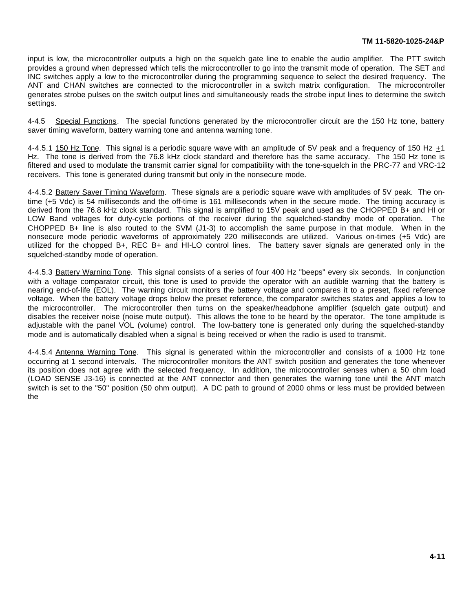input is low, the microcontroller outputs a high on the squelch gate line to enable the audio amplifier. The PTT switch provides a ground when depressed which tells the microcontroller to go into the transmit mode of operation. The SET and INC switches apply a low to the microcontroller during the programming sequence to select the desired frequency. The ANT and CHAN switches are connected to the microcontroller in a switch matrix configuration. The microcontroller generates strobe pulses on the switch output lines and simultaneously reads the strobe input lines to determine the switch settings.

4-4.5 Special Functions. The special functions generated by the microcontroller circuit are the 150 Hz tone, battery saver timing waveform, battery warning tone and antenna warning tone.

4-4.5.1 150 Hz Tone. This signal is a periodic square wave with an amplitude of 5V peak and a frequency of 150 Hz  $\pm$ 1 Hz. The tone is derived from the 76.8 kHz clock standard and therefore has the same accuracy. The 150 Hz tone is filtered and used to modulate the transmit carrier signal for compatibility with the tone-squelch in the PRC-77 and VRC-12 receivers. This tone is generated during transmit but only in the nonsecure mode.

4-4.5.2 Battery Saver Timing Waveform. These signals are a periodic square wave with amplitudes of 5V peak. The ontime (+5 Vdc) is 54 milliseconds and the off-time is 161 milliseconds when in the secure mode. The timing accuracy is derived from the 76.8 kHz clock standard. This signal is amplified to 15V peak and used as the CHOPPED B+ and HI or LOW Band voltages for duty-cycle portions of the receiver during the squelched-standby mode of operation. The CHOPPED B+ line is also routed to the SVM (J1-3) to accomplish the same purpose in that module. When in the nonsecure mode periodic waveforms of approximately 220 milliseconds are utilized. Various on-times (+5 Vdc) are utilized for the chopped B+, REC B+ and HI-LO control lines. The battery saver signals are generated only in the squelched-standby mode of operation.

4-4.5.3 Battery Warning Tone. This signal consists of a series of four 400 Hz "beeps" every six seconds. In conjunction with a voltage comparator circuit, this tone is used to provide the operator with an audible warning that the battery is nearing end-of-life (EOL). The warning circuit monitors the battery voltage and compares it to a preset, fixed reference voltage. When the battery voltage drops below the preset reference, the comparator switches states and applies a low to the microcontroller. The microcontroller then turns on the speaker/headphone amplifier (squelch gate output) and disables the receiver noise (noise mute output). This allows the tone to be heard by the operator. The tone amplitude is adjustable with the panel VOL (volume) control. The low-battery tone is generated only during the squelched-standby mode and is automatically disabled when a signal is being received or when the radio is used to transmit.

4-4.5.4 Antenna Warning Tone. This signal is generated within the microcontroller and consists of a 1000 Hz tone occurring at 1 second intervals. The microcontroller monitors the ANT switch position and generates the tone whenever its position does not agree with the selected frequency. In addition, the microcontroller senses when a 50 ohm load (LOAD SENSE J3-16) is connected at the ANT connector and then generates the warning tone until the ANT match switch is set to the "50" position (50 ohm output). A DC path to ground of 2000 ohms or less must be provided between the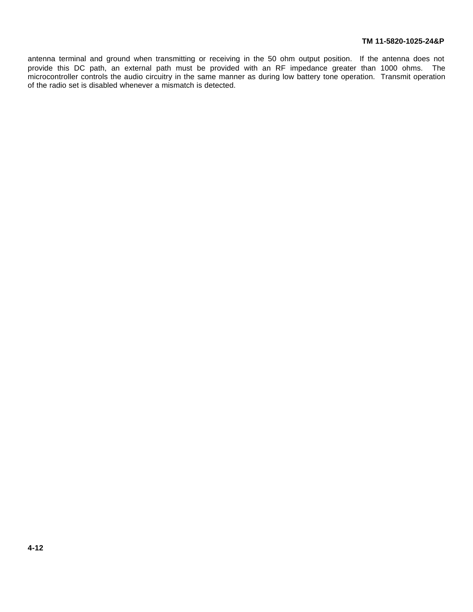antenna terminal and ground when transmitting or receiving in the 50 ohm output position. If the antenna does not provide this DC path, an external path must be provided with an RF impedance greater than 1000 ohms. The microcontroller controls the audio circuitry in the same manner as during low battery tone operation. Transmit operation of the radio set is disabled whenever a mismatch is detected.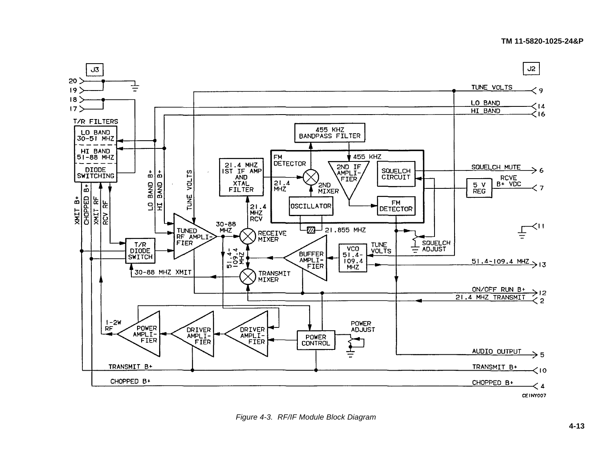#### **TM 11-5820-1025-24&P**



*Figure 4-3. RF/IF Module Block Diagram*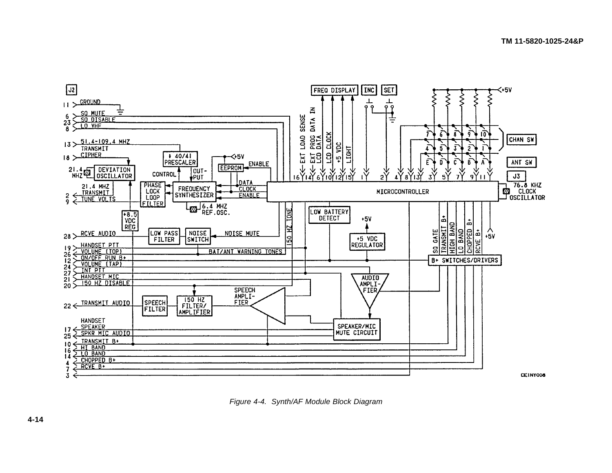

*Figure 4-4. Synth/AF Module Block Diagram*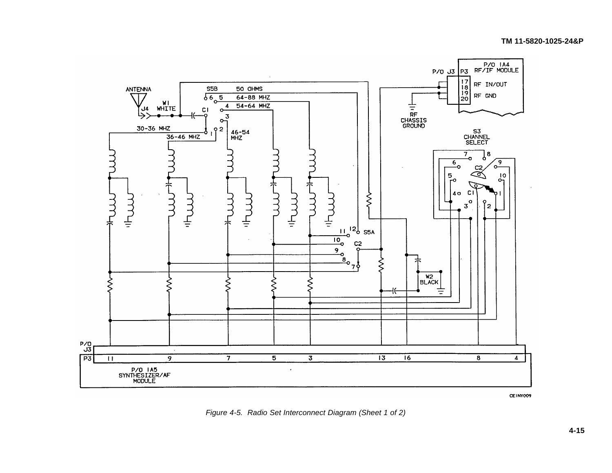## **TM 11-5820-1025-24&P**



CEINY009

*Figure 4-5. Radio Set Interconnect Diagram (Sheet 1 of 2)*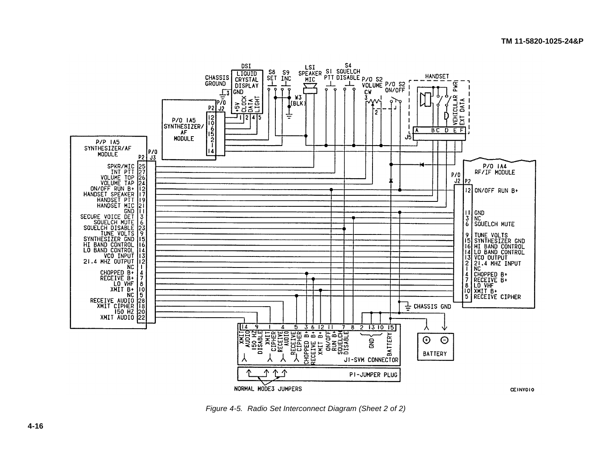

*Figure 4-5. Radio Set Interconnect Diagram (Sheet 2 of 2)*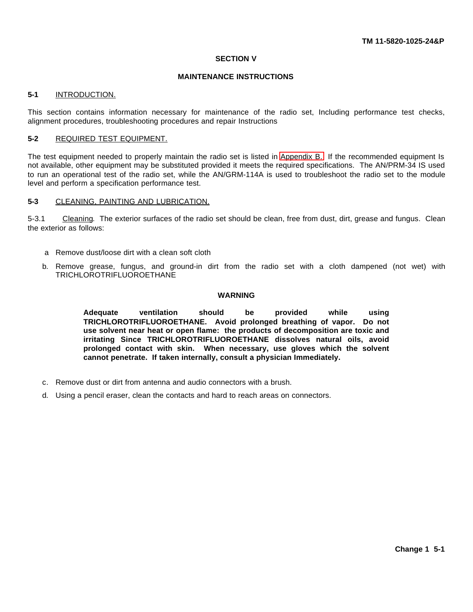#### **SECTION V**

## **MAINTENANCE INSTRUCTIONS**

## **5-1** INTRODUCTION.

This section contains information necessary for maintenance of the radio set, Including performance test checks, alignment procedures, troubleshooting procedures and repair Instructions

#### **5-2** REQUIRED TEST EQUIPMENT.

The test equipment needed to properly maintain the radio set is listed in [Appendix B.](#page-61-0) If the recommended equipment Is not available, other equipment may be substituted provided it meets the required specifications. The AN/PRM-34 IS used to run an operational test of the radio set, while the AN/GRM-114A is used to troubleshoot the radio set to the module level and perform a specification performance test.

## **5-3** CLEANING, PAINTING AND LUBRICATION.

5-3.1 Cleaning. The exterior surfaces of the radio set should be clean, free from dust, dirt, grease and fungus. Clean the exterior as follows:

- a Remove dust/loose dirt with a clean soft cloth
- b. Remove grease, fungus, and ground-in dirt from the radio set with a cloth dampened (not wet) with TRICHLOROTRIFLUOROETHANE

## **WARNING**

**Adequate ventilation should be provided while using TRICHLOROTRIFLUOROETHANE. Avoid prolonged breathing of vapor. Do not use solvent near heat or open flame: the products of decomposition are toxic and irritating Since TRICHLOROTRIFLUOROETHANE dissolves natural oils, avoid prolonged contact with skin. When necessary, use gloves which the solvent cannot penetrate. If taken internally, consult a physician Immediately.**

- c. Remove dust or dirt from antenna and audio connectors with a brush.
- d. Using a pencil eraser, clean the contacts and hard to reach areas on connectors.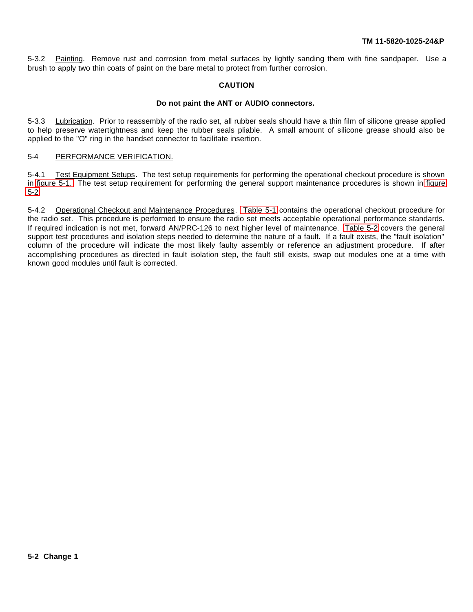5-3.2 Painting. Remove rust and corrosion from metal surfaces by lightly sanding them with fine sandpaper. Use a brush to apply two thin coats of paint on the bare metal to protect from further corrosion.

## **CAUTION**

#### **Do not paint the ANT or AUDIO connectors.**

<span id="page-43-0"></span>5-3.3 Lubrication. Prior to reassembly of the radio set, all rubber seals should have a thin film of silicone grease applied to help preserve watertightness and keep the rubber seals pliable. A small amount of silicone grease should also be applied to the "O" ring in the handset connector to facilitate insertion.

## 5-4 PERFORMANCE VERIFICATION.

5-4.1 Test Equipment Setups. The test setup requirements for performing the operational checkout procedure is shown in [figure 5-1.](#page-44-0) The test setup requirement for performing the general support maintenance procedures is shown in [figure](#page-44-1) [5-2.](#page-44-1)

5-4.2 Operational Checkout and Maintenance Procedures. [Table 5-1](#page-45-0) contains the operational checkout procedure for the radio set. This procedure is performed to ensure the radio set meets acceptable operational performance standards. If required indication is not met, forward AN/PRC-126 to next higher level of maintenance. [Table 5-2](#page-46-0) covers the general support test procedures and isolation steps needed to determine the nature of a fault. If a fault exists, the "fault isolation" column of the procedure will indicate the most likely faulty assembly or reference an adjustment procedure. If after accomplishing procedures as directed in fault isolation step, the fault still exists, swap out modules one at a time with known good modules until fault is corrected.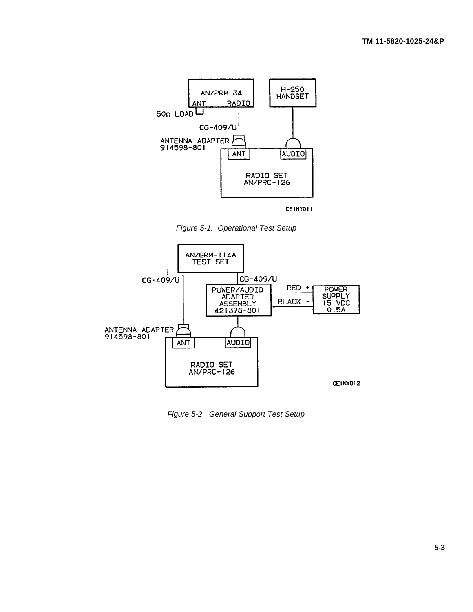

CEINYOLI

<span id="page-44-0"></span>*Figure 5-1. Operational Test Setup*



<span id="page-44-1"></span>*Figure 5-2. General Support Test Setup*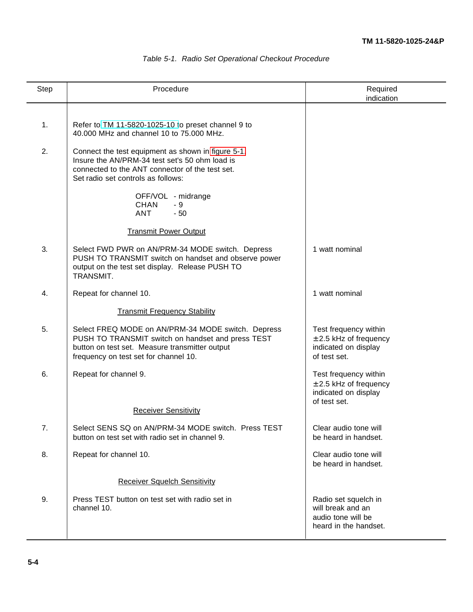| Step | Procedure                                                                                                                                                                                          | Required<br>indication                                                                      |
|------|----------------------------------------------------------------------------------------------------------------------------------------------------------------------------------------------------|---------------------------------------------------------------------------------------------|
| 1.   | Refer to TM 11-5820-1025-10 to preset channel 9 to<br>40,000 MHz and channel 10 to 75,000 MHz.                                                                                                     |                                                                                             |
| 2.   | Connect the test equipment as shown in figure 5-1.<br>Insure the AN/PRM-34 test set's 50 ohm load is<br>connected to the ANT connector of the test set.<br>Set radio set controls as follows:      |                                                                                             |
|      | OFF/VOL - midrange<br><b>CHAN</b><br>- 9<br><b>ANT</b><br>$-50$                                                                                                                                    |                                                                                             |
|      | <b>Transmit Power Output</b>                                                                                                                                                                       |                                                                                             |
| 3.   | Select FWD PWR on AN/PRM-34 MODE switch. Depress<br>PUSH TO TRANSMIT switch on handset and observe power<br>output on the test set display. Release PUSH TO<br>TRANSMIT.                           | 1 watt nominal                                                                              |
| 4.   | Repeat for channel 10.                                                                                                                                                                             | 1 watt nominal                                                                              |
|      | <b>Transmit Frequency Stability</b>                                                                                                                                                                |                                                                                             |
| 5.   | Select FREQ MODE on AN/PRM-34 MODE switch. Depress<br>PUSH TO TRANSMIT switch on handset and press TEST<br>button on test set. Measure transmitter output<br>frequency on test set for channel 10. | Test frequency within<br>$\pm$ 2.5 kHz of frequency<br>indicated on display<br>of test set. |
| 6.   | Repeat for channel 9.                                                                                                                                                                              | Test frequency within<br>$\pm$ 2.5 kHz of frequency<br>indicated on display<br>of test set. |
|      | <b>Receiver Sensitivity</b>                                                                                                                                                                        |                                                                                             |
| 7.   | Select SENS SQ on AN/PRM-34 MODE switch. Press TEST<br>button on test set with radio set in channel 9.                                                                                             | Clear audio tone will<br>be heard in handset.                                               |
| 8.   | Repeat for channel 10.                                                                                                                                                                             | Clear audio tone will<br>be heard in handset.                                               |
|      | <b>Receiver Squelch Sensitivity</b>                                                                                                                                                                |                                                                                             |
| 9.   | Press TEST button on test set with radio set in<br>channel 10.                                                                                                                                     | Radio set squelch in<br>will break and an<br>audio tone will be<br>heard in the handset.    |

# <span id="page-45-0"></span>*Table 5-1. Radio Set Operational Checkout Procedure*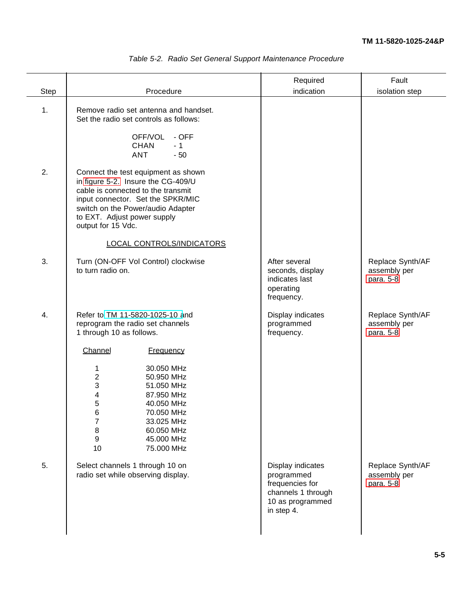<span id="page-46-0"></span>

|                |                                                                                                                                                                                                                                                | Required                                                                                                   | Fault                                         |
|----------------|------------------------------------------------------------------------------------------------------------------------------------------------------------------------------------------------------------------------------------------------|------------------------------------------------------------------------------------------------------------|-----------------------------------------------|
| Step           | Procedure                                                                                                                                                                                                                                      | indication                                                                                                 | isolation step                                |
|                |                                                                                                                                                                                                                                                |                                                                                                            |                                               |
| $\mathbf{1}$ . | Remove radio set antenna and handset.<br>Set the radio set controls as follows:                                                                                                                                                                |                                                                                                            |                                               |
|                | OFF/VOL<br>- OFF<br>CHAN<br>$-1$<br>ANT<br>$-50$                                                                                                                                                                                               |                                                                                                            |                                               |
| 2.             | Connect the test equipment as shown<br>in figure 5-2. Insure the CG-409/U<br>cable is connected to the transmit<br>input connector. Set the SPKR/MIC<br>switch on the Power/audio Adapter<br>to EXT. Adjust power supply<br>output for 15 Vdc. |                                                                                                            |                                               |
|                | <b>LOCAL CONTROLS/INDICATORS</b>                                                                                                                                                                                                               |                                                                                                            |                                               |
| 3.             | Turn (ON-OFF Vol Control) clockwise<br>to turn radio on.                                                                                                                                                                                       | After several<br>seconds, display<br>indicates last<br>operating<br>frequency.                             | Replace Synth/AF<br>assembly per<br>para. 5-8 |
| 4.             | Refer to TM 11-5820-1025-10 and<br>reprogram the radio set channels<br>1 through 10 as follows.                                                                                                                                                | Display indicates<br>programmed<br>frequency.                                                              | Replace Synth/AF<br>assembly per<br>para. 5-8 |
|                | Channel<br><b>Frequency</b>                                                                                                                                                                                                                    |                                                                                                            |                                               |
|                | 30.050 MHz<br>1<br>2<br>50.950 MHz<br>3<br>51.050 MHz<br>4<br>87.950 MHz<br>5<br>40.050 MHz<br>6<br>70.050 MHz<br>$\overline{7}$<br>33.025 MHz<br>8<br>60.050 MHz<br>$\boldsymbol{9}$<br>45.000 MHz<br>10<br>75.000 MHz                        |                                                                                                            |                                               |
| 5.             | Select channels 1 through 10 on<br>radio set while observing display.                                                                                                                                                                          | Display indicates<br>programmed<br>frequencies for<br>channels 1 through<br>10 as programmed<br>in step 4. | Replace Synth/AF<br>assembly per<br>para. 5-8 |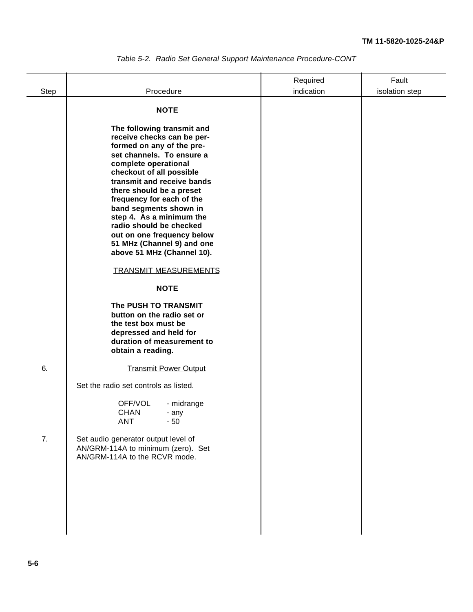|      |                                                                                                                                                                                                                                                                              | Required   | Fault          |
|------|------------------------------------------------------------------------------------------------------------------------------------------------------------------------------------------------------------------------------------------------------------------------------|------------|----------------|
| Step | Procedure                                                                                                                                                                                                                                                                    | indication | isolation step |
|      | <b>NOTE</b><br>The following transmit and<br>receive checks can be per-<br>formed on any of the pre-<br>set channels. To ensure a<br>complete operational<br>checkout of all possible<br>transmit and receive bands<br>there should be a preset<br>frequency for each of the |            |                |
|      | band segments shown in<br>step 4. As a minimum the<br>radio should be checked<br>out on one frequency below<br>51 MHz (Channel 9) and one<br>above 51 MHz (Channel 10).                                                                                                      |            |                |
|      | <b>TRANSMIT MEASUREMENTS</b>                                                                                                                                                                                                                                                 |            |                |
|      | <b>NOTE</b>                                                                                                                                                                                                                                                                  |            |                |
|      | The PUSH TO TRANSMIT<br>button on the radio set or<br>the test box must be<br>depressed and held for<br>duration of measurement to<br>obtain a reading.                                                                                                                      |            |                |
| 6.   | <b>Transmit Power Output</b>                                                                                                                                                                                                                                                 |            |                |
|      | Set the radio set controls as listed.                                                                                                                                                                                                                                        |            |                |
|      | OFF/VOL<br>- midrange<br><b>CHAN</b><br>- any<br><b>ANT</b><br>$-50$                                                                                                                                                                                                         |            |                |
| 7.   | Set audio generator output level of<br>AN/GRM-114A to minimum (zero). Set<br>AN/GRM-114A to the RCVR mode.                                                                                                                                                                   |            |                |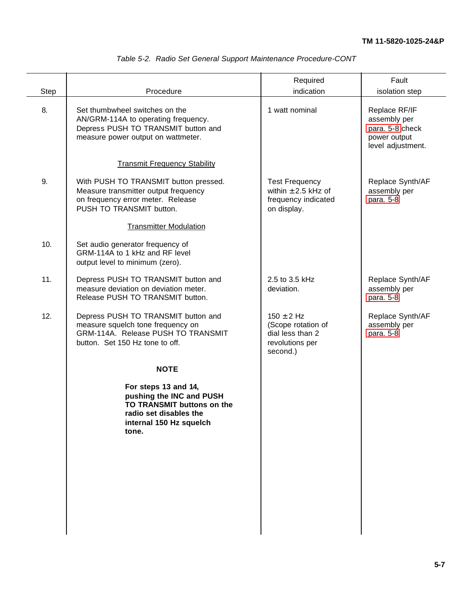|                                                                                                                                                    |                                                                                         | Fault                                                                                 |
|----------------------------------------------------------------------------------------------------------------------------------------------------|-----------------------------------------------------------------------------------------|---------------------------------------------------------------------------------------|
|                                                                                                                                                    |                                                                                         | isolation step                                                                        |
| Set thumbwheel switches on the<br>AN/GRM-114A to operating frequency.<br>Depress PUSH TO TRANSMIT button and<br>measure power output on wattmeter. | 1 watt nominal                                                                          | Replace RF/IF<br>assembly per<br>para. 5-8 check<br>power output<br>level adjustment. |
| <b>Transmit Frequency Stability</b>                                                                                                                |                                                                                         |                                                                                       |
| With PUSH TO TRANSMIT button pressed.<br>Measure transmitter output frequency<br>on frequency error meter. Release<br>PUSH TO TRANSMIT button.     | <b>Test Frequency</b><br>within $\pm$ 2.5 kHz of<br>frequency indicated<br>on display.  | Replace Synth/AF<br>assembly per<br>para. 5-8                                         |
| <b>Transmitter Modulation</b>                                                                                                                      |                                                                                         |                                                                                       |
| Set audio generator frequency of<br>GRM-114A to 1 kHz and RF level<br>output level to minimum (zero).                                              |                                                                                         |                                                                                       |
| Depress PUSH TO TRANSMIT button and<br>measure deviation on deviation meter.<br>Release PUSH TO TRANSMIT button.                                   | 2.5 to 3.5 kHz<br>deviation.                                                            | Replace Synth/AF<br>assembly per<br>para. 5-8                                         |
| Depress PUSH TO TRANSMIT button and<br>measure squelch tone frequency on<br>GRM-114A. Release PUSH TO TRANSMIT<br>button. Set 150 Hz tone to off.  | $150 \pm 2$ Hz<br>(Scope rotation of<br>dial less than 2<br>revolutions per<br>second.) | Replace Synth/AF<br>assembly per<br>para. 5-8                                         |
| <b>NOTE</b>                                                                                                                                        |                                                                                         |                                                                                       |
| For steps 13 and 14,<br>pushing the INC and PUSH<br>TO TRANSMIT buttons on the<br>radio set disables the<br>internal 150 Hz squelch<br>tone.       |                                                                                         |                                                                                       |
|                                                                                                                                                    | Procedure                                                                               | Required<br>indication                                                                |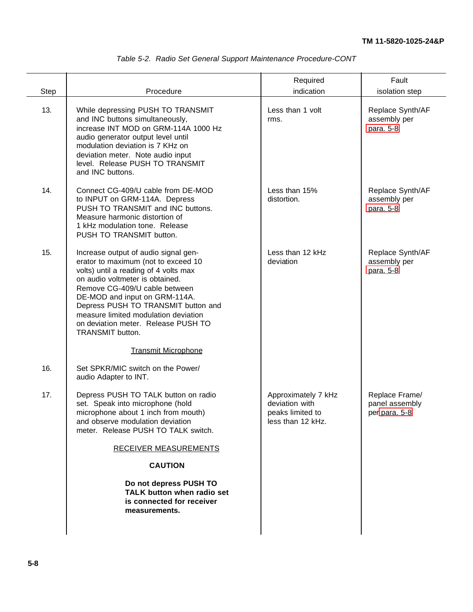|  | Table 5-2. Radio Set General Support Maintenance Procedure-CONT |  |
|--|-----------------------------------------------------------------|--|

|      |                                                                                                                                                                                                                                                                                                                                                                     | Required                                                                       | Fault                                             |
|------|---------------------------------------------------------------------------------------------------------------------------------------------------------------------------------------------------------------------------------------------------------------------------------------------------------------------------------------------------------------------|--------------------------------------------------------------------------------|---------------------------------------------------|
| Step | Procedure                                                                                                                                                                                                                                                                                                                                                           | indication                                                                     | isolation step                                    |
| 13.  | While depressing PUSH TO TRANSMIT<br>and INC buttons simultaneously,<br>increase INT MOD on GRM-114A 1000 Hz<br>audio generator output level until<br>modulation deviation is 7 KHz on<br>deviation meter. Note audio input<br>level. Release PUSH TO TRANSMIT<br>and INC buttons.                                                                                  | Less than 1 volt<br>rms.                                                       | Replace Synth/AF<br>assembly per<br>para. 5-8     |
| 14.  | Connect CG-409/U cable from DE-MOD<br>to INPUT on GRM-114A. Depress<br>PUSH TO TRANSMIT and INC buttons.<br>Measure harmonic distortion of<br>1 kHz modulation tone. Release<br>PUSH TO TRANSMIT button.                                                                                                                                                            | Less than 15%<br>distortion.                                                   | Replace Synth/AF<br>assembly per<br>para. 5-8     |
| 15.  | Increase output of audio signal gen-<br>erator to maximum (not to exceed 10<br>volts) until a reading of 4 volts max<br>on audio voltmeter is obtained.<br>Remove CG-409/U cable between<br>DE-MOD and input on GRM-114A.<br>Depress PUSH TO TRANSMIT button and<br>measure limited modulation deviation<br>on deviation meter. Release PUSH TO<br>TRANSMIT button. | Less than 12 kHz<br>deviation                                                  | Replace Synth/AF<br>assembly per<br>para. 5-8     |
|      | <b>Transmit Microphone</b>                                                                                                                                                                                                                                                                                                                                          |                                                                                |                                                   |
| 16.  | Set SPKR/MIC switch on the Power/<br>audio Adapter to INT.                                                                                                                                                                                                                                                                                                          |                                                                                |                                                   |
| 17.  | Depress PUSH TO TALK button on radio<br>set. Speak into microphone (hold<br>microphone about 1 inch from mouth)<br>and observe modulation deviation<br>meter. Release PUSH TO TALK switch.<br><b>RECEIVER MEASUREMENTS</b><br><b>CAUTION</b><br>Do not depress PUSH TO<br><b>TALK button when radio set</b><br>is connected for receiver<br>measurements.           | Approximately 7 kHz<br>deviation with<br>peaks limited to<br>less than 12 kHz. | Replace Frame/<br>panel assembly<br>per para. 5-8 |
|      |                                                                                                                                                                                                                                                                                                                                                                     |                                                                                |                                                   |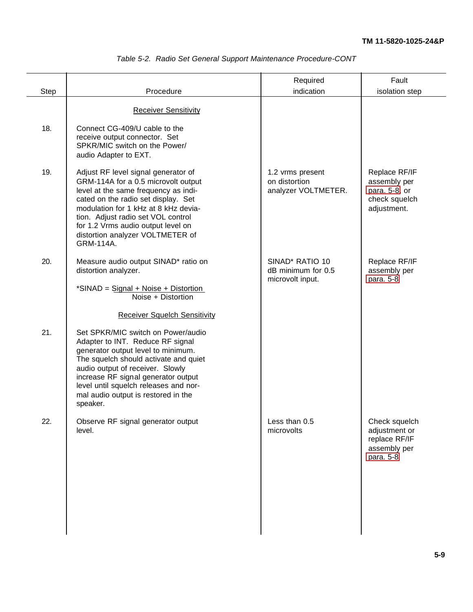|             |                                                                                                                                                                                                                                                                                                                                | Required                                                              | Fault                                                                          |
|-------------|--------------------------------------------------------------------------------------------------------------------------------------------------------------------------------------------------------------------------------------------------------------------------------------------------------------------------------|-----------------------------------------------------------------------|--------------------------------------------------------------------------------|
| <b>Step</b> | Procedure                                                                                                                                                                                                                                                                                                                      | indication                                                            | isolation step                                                                 |
|             | <b>Receiver Sensitivity</b>                                                                                                                                                                                                                                                                                                    |                                                                       |                                                                                |
| 18.         | Connect CG-409/U cable to the<br>receive output connector. Set<br>SPKR/MIC switch on the Power/<br>audio Adapter to EXT.                                                                                                                                                                                                       |                                                                       |                                                                                |
| 19.         | Adjust RF level signal generator of<br>GRM-114A for a 0.5 microvolt output<br>level at the same frequency as indi-<br>cated on the radio set display. Set<br>modulation for 1 kHz at 8 kHz devia-<br>tion. Adjust radio set VOL control<br>for 1.2 Vrms audio output level on<br>distortion analyzer VOLTMETER of<br>GRM-114A. | 1.2 vrms present<br>on distortion<br>analyzer VOLTMETER.              | Replace RF/IF<br>assembly per<br>para. 5-8, or<br>check squelch<br>adjustment. |
| 20.         | Measure audio output SINAD* ratio on<br>distortion analyzer.<br>*SINAD = Signal + Noise + Distortion<br>Noise + Distortion                                                                                                                                                                                                     | SINAD <sup>*</sup> RATIO 10<br>dB minimum for 0.5<br>microvolt input. | Replace RF/IF<br>assembly per<br>para. 5-8                                     |
|             | <b>Receiver Squelch Sensitivity</b>                                                                                                                                                                                                                                                                                            |                                                                       |                                                                                |
| 21.         | Set SPKR/MIC switch on Power/audio<br>Adapter to INT. Reduce RF signal<br>generator output level to minimum.<br>The squelch should activate and quiet<br>audio output of receiver. Slowly<br>increase RF signal generator output<br>level until squelch releases and nor-<br>mal audio output is restored in the<br>speaker.   |                                                                       |                                                                                |
| 22.         | Observe RF signal generator output<br>level.                                                                                                                                                                                                                                                                                   | Less than 0.5<br>microvolts                                           | Check squelch<br>adjustment or<br>replace RF/IF<br>assembly per<br>para. 5-8   |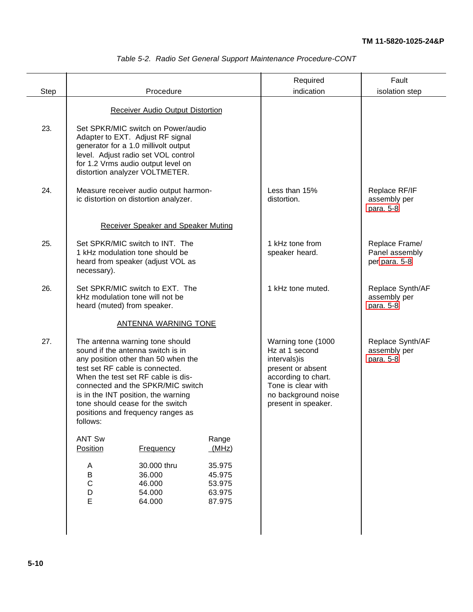|      |                                                                                                   | Procedure                                                                                                                                                                                                                                                                                                                                 |                                                | Required                                                                                                                                                              | Fault                                             |
|------|---------------------------------------------------------------------------------------------------|-------------------------------------------------------------------------------------------------------------------------------------------------------------------------------------------------------------------------------------------------------------------------------------------------------------------------------------------|------------------------------------------------|-----------------------------------------------------------------------------------------------------------------------------------------------------------------------|---------------------------------------------------|
| Step |                                                                                                   |                                                                                                                                                                                                                                                                                                                                           |                                                | indication                                                                                                                                                            | isolation step                                    |
|      |                                                                                                   | <b>Receiver Audio Output Distortion</b>                                                                                                                                                                                                                                                                                                   |                                                |                                                                                                                                                                       |                                                   |
| 23.  |                                                                                                   | Set SPKR/MIC switch on Power/audio<br>Adapter to EXT. Adjust RF signal<br>generator for a 1.0 millivolt output<br>level. Adjust radio set VOL control<br>for 1.2 Vrms audio output level on<br>distortion analyzer VOLTMETER.                                                                                                             |                                                |                                                                                                                                                                       |                                                   |
| 24.  |                                                                                                   | Measure receiver audio output harmon-<br>ic distortion on distortion analyzer.                                                                                                                                                                                                                                                            |                                                | Less than 15%<br>distortion.                                                                                                                                          | Replace RF/IF<br>assembly per<br>para. 5-8        |
|      |                                                                                                   | <b>Receiver Speaker and Speaker Muting</b>                                                                                                                                                                                                                                                                                                |                                                |                                                                                                                                                                       |                                                   |
| 25.  | necessary).                                                                                       | Set SPKR/MIC switch to INT. The<br>1 kHz modulation tone should be<br>heard from speaker (adjust VOL as                                                                                                                                                                                                                                   |                                                | 1 kHz tone from<br>speaker heard.                                                                                                                                     | Replace Frame/<br>Panel assembly<br>per para. 5-8 |
| 26.  | Set SPKR/MIC switch to EXT. The<br>kHz modulation tone will not be<br>heard (muted) from speaker. |                                                                                                                                                                                                                                                                                                                                           | 1 kHz tone muted.                              | Replace Synth/AF<br>assembly per<br>para. 5-8                                                                                                                         |                                                   |
|      |                                                                                                   | <b>ANTENNA WARNING TONE</b>                                                                                                                                                                                                                                                                                                               |                                                |                                                                                                                                                                       |                                                   |
| 27.  | follows:                                                                                          | The antenna warning tone should<br>sound if the antenna switch is in<br>any position other than 50 when the<br>test set RF cable is connected.<br>When the test set RF cable is dis-<br>connected and the SPKR/MIC switch<br>is in the INT position, the warning<br>tone should cease for the switch<br>positions and frequency ranges as |                                                | Warning tone (1000<br>Hz at 1 second<br>intervals) is<br>present or absent<br>according to chart.<br>Tone is clear with<br>no background noise<br>present in speaker. | Replace Synth/AF<br>assembly per<br>para. 5-8     |
|      | <b>ANT Sw</b><br>Position                                                                         | <b>Frequency</b>                                                                                                                                                                                                                                                                                                                          | Range<br>(MHz)                                 |                                                                                                                                                                       |                                                   |
|      | A<br>B<br>$\mathsf C$<br>D<br>E                                                                   | 30.000 thru<br>36.000<br>46.000<br>54.000<br>64.000                                                                                                                                                                                                                                                                                       | 35.975<br>45.975<br>53.975<br>63.975<br>87.975 |                                                                                                                                                                       |                                                   |
|      |                                                                                                   |                                                                                                                                                                                                                                                                                                                                           |                                                |                                                                                                                                                                       |                                                   |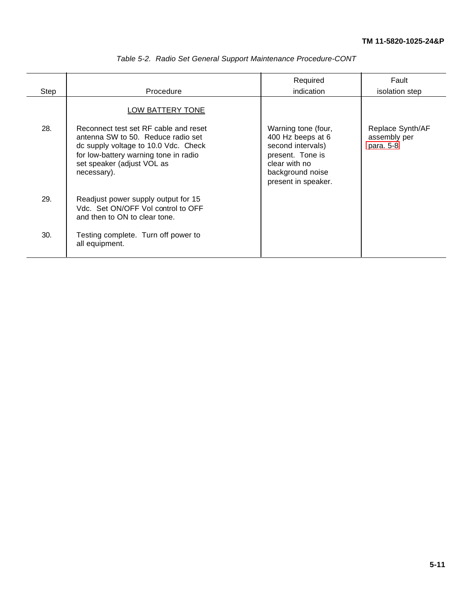|      |                                                                                                                                                                                                           | Required                                                                                                                                      | Fault                                         |
|------|-----------------------------------------------------------------------------------------------------------------------------------------------------------------------------------------------------------|-----------------------------------------------------------------------------------------------------------------------------------------------|-----------------------------------------------|
| Step | Procedure                                                                                                                                                                                                 | indication                                                                                                                                    | isolation step                                |
|      | LOW BATTERY TONE                                                                                                                                                                                          |                                                                                                                                               |                                               |
| 28.  | Reconnect test set RF cable and reset<br>antenna SW to 50. Reduce radio set<br>dc supply voltage to 10.0 Vdc. Check<br>for low-battery warning tone in radio<br>set speaker (adjust VOL as<br>necessary). | Warning tone (four,<br>400 Hz beeps at 6<br>second intervals)<br>present. Tone is<br>clear with no<br>background noise<br>present in speaker. | Replace Synth/AF<br>assembly per<br>para. 5-8 |
| 29.  | Readjust power supply output for 15<br>Vdc. Set ON/OFF Vol control to OFF<br>and then to ON to clear tone.                                                                                                |                                                                                                                                               |                                               |
| 30.  | Testing complete. Turn off power to<br>all equipment.                                                                                                                                                     |                                                                                                                                               |                                               |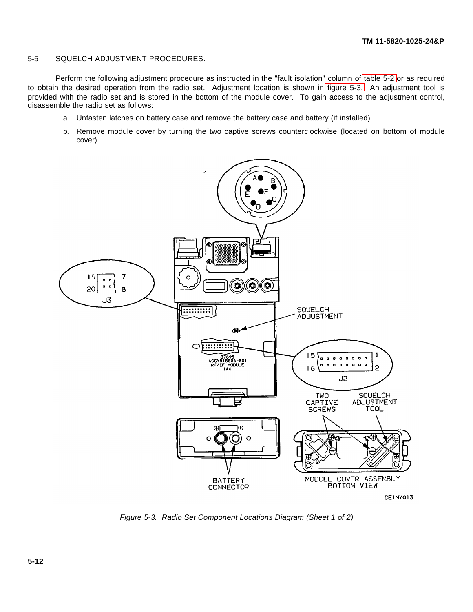## 5-5 SQUELCH ADJUSTMENT PROCEDURES.

Perform the following adjustment procedure as instructed in the "fault isolation" column of [table 5-2](#page-46-0) or as required to obtain the desired operation from the radio set. Adjustment location is shown in [figure 5-3.](#page-53-0) An adjustment tool is provided with the radio set and is stored in the bottom of the module cover. To gain access to the adjustment control, disassemble the radio set as follows:

- a. Unfasten latches on battery case and remove the battery case and battery (if installed).
- b. Remove module cover by turning the two captive screws counterclockwise (located on bottom of module cover).



<span id="page-53-0"></span>*Figure 5-3. Radio Set Component Locations Diagram (Sheet 1 of 2)*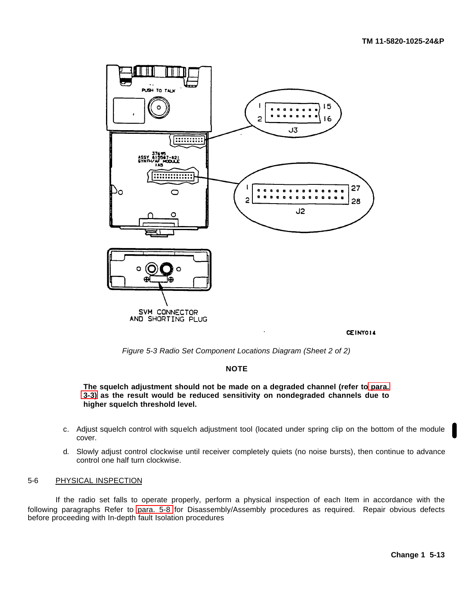

CEINY014

*Figure 5-3 Radio Set Component Locations Diagram (Sheet 2 of 2)*

## **NOTE**

**The squelch adjustment should not be made on a degraded channel (refer to [para.](#page-21-0) [3-3\)](#page-21-0) as the result would be reduced sensitivity on nondegraded channels due to higher squelch threshold level.**

- c. Adjust squelch control with squelch adjustment tool (located under spring clip on the bottom of the module cover.
- d. Slowly adjust control clockwise until receiver completely quiets (no noise bursts), then continue to advance control one half turn clockwise.

#### <span id="page-54-0"></span>5-6 PHYSICAL INSPECTION

If the radio set falls to operate properly, perform a physical inspection of each Item in accordance with the following paragraphs Refer to [para. 5-8](#page-57-0) for Disassembly/Assembly procedures as required. Repair obvious defects before proceeding with In-depth fault Isolation procedures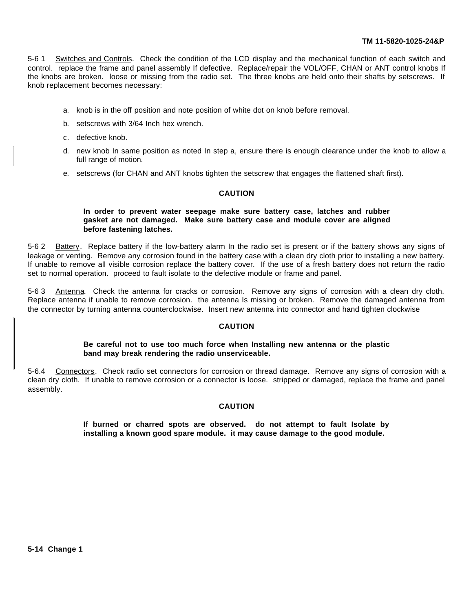5-6 1 Switches and Controls. Check the condition of the LCD display and the mechanical function of each switch and control. replace the frame and panel assembly If defective. Replace/repair the VOL/OFF, CHAN or ANT control knobs If the knobs are broken. loose or missing from the radio set. The three knobs are held onto their shafts by setscrews. If knob replacement becomes necessary:

- a. knob is in the off position and note position of white dot on knob before removal.
- b. setscrews with 3/64 Inch hex wrench.
- c. defective knob.
- d. new knob In same position as noted In step a, ensure there is enough clearance under the knob to allow a full range of motion.
- e. setscrews (for CHAN and ANT knobs tighten the setscrew that engages the flattened shaft first).

## **CAUTION**

## **In order to prevent water seepage make sure battery case, latches and rubber gasket are not damaged. Make sure battery case and module cover are aligned before fastening latches.**

5-6 2 Battery. Replace battery if the low-battery alarm In the radio set is present or if the battery shows any signs of leakage or venting. Remove any corrosion found in the battery case with a clean dry cloth prior to installing a new battery. If unable to remove all visible corrosion replace the battery cover. If the use of a fresh battery does not return the radio set to normal operation. proceed to fault isolate to the defective module or frame and panel.

5-6 3 Antenna. Check the antenna for cracks or corrosion. Remove any signs of corrosion with a clean dry cloth. Replace antenna if unable to remove corrosion. the antenna Is missing or broken. Remove the damaged antenna from the connector by turning antenna counterclockwise. Insert new antenna into connector and hand tighten clockwise

## **CAUTION**

## **Be careful not to use too much force when Installing new antenna or the plastic band may break rendering the radio unserviceable.**

5-6.4 Connectors. Check radio set connectors for corrosion or thread damage. Remove any signs of corrosion with a clean dry cloth. If unable to remove corrosion or a connector is loose. stripped or damaged, replace the frame and panel assembly.

#### **CAUTION**

**If burned or charred spots are observed. do not attempt to fault Isolate by installing a known good spare module. it may cause damage to the good module.**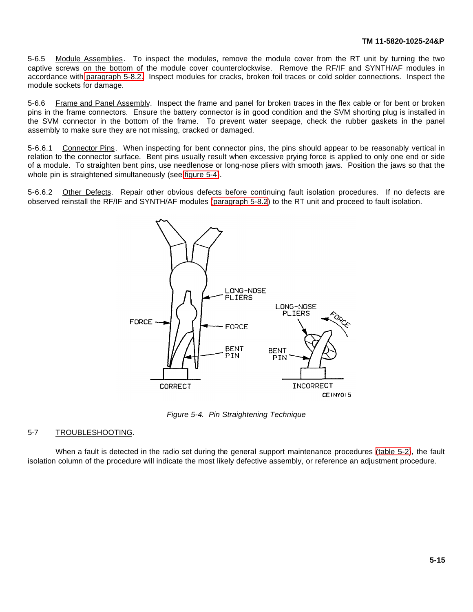5-6.5 Module Assemblies. To inspect the modules, remove the module cover from the RT unit by turning the two captive screws on the bottom of the module cover counterclockwise. Remove the RF/IF and SYNTH/AF modules in accordance with [paragraph 5-8.2.](#page-57-1) Inspect modules for cracks, broken foil traces or cold solder connections. Inspect the module sockets for damage.

5-6.6 Frame and Panel Assembly. Inspect the frame and panel for broken traces in the flex cable or for bent or broken pins in the frame connectors. Ensure the battery connector is in good condition and the SVM shorting plug is installed in the SVM connector in the bottom of the frame. To prevent water seepage, check the rubber gaskets in the panel assembly to make sure they are not missing, cracked or damaged.

5-6.6.1 Connector Pins. When inspecting for bent connector pins, the pins should appear to be reasonably vertical in relation to the connector surface. Bent pins usually result when excessive prying force is applied to only one end or side of a module. To straighten bent pins, use needlenose or long-nose pliers with smooth jaws. Position the jaws so that the whole pin is straightened simultaneously (see [figure 5-4\)](#page-56-0).

5-6.6.2 Other Defects. Repair other obvious defects before continuing fault isolation procedures. If no defects are observed reinstall the RF/IF and SYNTH/AF modules [\(paragraph 5-8.2\)](#page-57-1) to the RT unit and proceed to fault isolation.



<span id="page-56-0"></span>*Figure 5-4. Pin Straightening Technique*

## <span id="page-56-1"></span>5-7 TROUBLESHOOTING.

When a fault is detected in the radio set during the general support maintenance procedures [\(table 5-2\)](#page-46-0), the fault isolation column of the procedure will indicate the most likely defective assembly, or reference an adjustment procedure.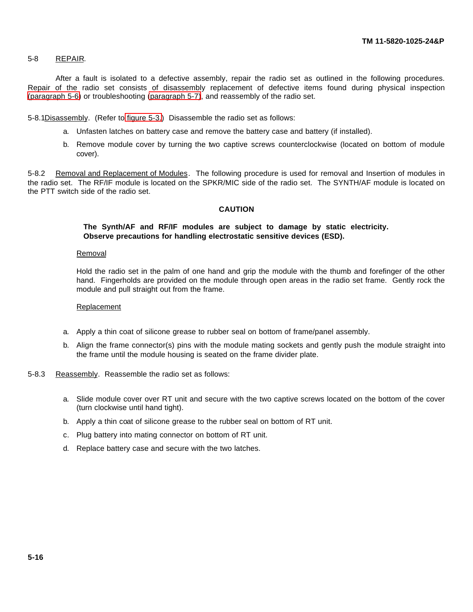## <span id="page-57-0"></span>5-8 REPAIR.

After a fault is isolated to a defective assembly, repair the radio set as outlined in the following procedures. Repair of the radio set consists of disassembly replacement of defective items found during physical inspection [\(paragraph 5-6\)](#page-54-0) or troubleshooting [\(paragraph 5-7\)](#page-56-1), and reassembly of the radio set.

<span id="page-57-1"></span>5-8.1Disassembly. (Refer to [figure 5-3.](#page-53-0)) Disassemble the radio set as follows:

- a. Unfasten latches on battery case and remove the battery case and battery (if installed).
- b. Remove module cover by turning the two captive screws counterclockwise (located on bottom of module cover).

5-8.2 Removal and Replacement of Modules. The following procedure is used for removal and Insertion of modules in the radio set. The RF/IF module is located on the SPKR/MIC side of the radio set. The SYNTH/AF module is located on the PTT switch side of the radio set.

## **CAUTION**

## **The Synth/AF and RF/IF modules are subject to damage by static electricity. Observe precautions for handling electrostatic sensitive devices (ESD).**

#### Removal

Hold the radio set in the palm of one hand and grip the module with the thumb and forefinger of the other hand. Fingerholds are provided on the module through open areas in the radio set frame. Gently rock the module and pull straight out from the frame.

#### Replacement

- a. Apply a thin coat of silicone grease to rubber seal on bottom of frame/panel assembly.
- b. Align the frame connector(s) pins with the module mating sockets and gently push the module straight into the frame until the module housing is seated on the frame divider plate.
- 5-8.3 Reassembly. Reassemble the radio set as follows:
	- a. Slide module cover over RT unit and secure with the two captive screws located on the bottom of the cover (turn clockwise until hand tight).
	- b. Apply a thin coat of silicone grease to the rubber seal on bottom of RT unit.
	- c. Plug battery into mating connector on bottom of RT unit.
	- d. Replace battery case and secure with the two latches.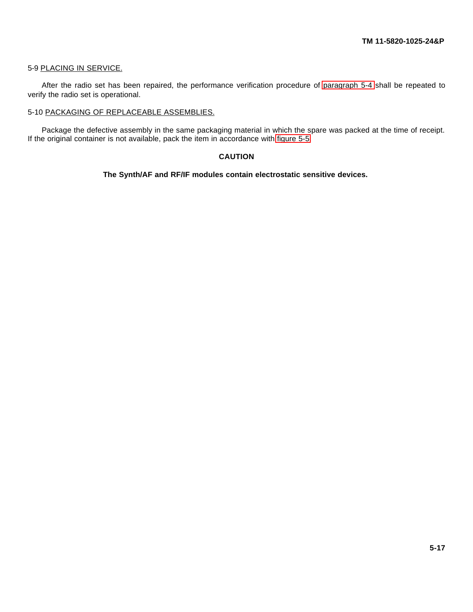## 5-9 PLACING IN SERVICE.

After the radio set has been repaired, the performance verification procedure of [paragraph 5-4](#page-43-0) shall be repeated to verify the radio set is operational.

## 5-10 PACKAGING OF REPLACEABLE ASSEMBLIES.

Package the defective assembly in the same packaging material in which the spare was packed at the time of receipt. If the original container is not available, pack the item in accordance with [figure 5-5.](#page-59-0)

## **CAUTION**

**The Synth/AF and RF/IF modules contain electrostatic sensitive devices.**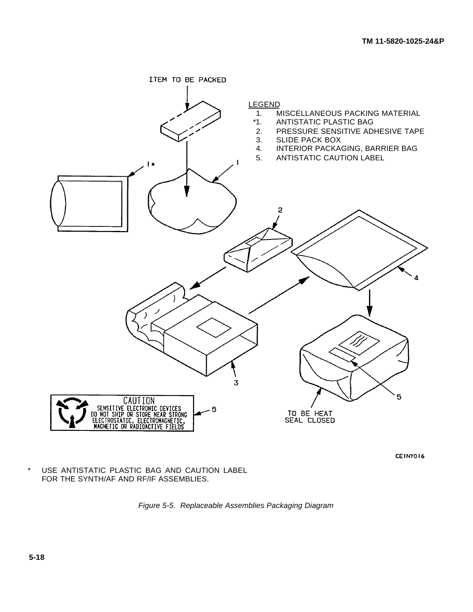

CEINYOI6

\* USE ANTISTATIC PLASTIC BAG AND CAUTION LABEL FOR THE SYNTH/AF AND RF/IF ASSEMBLIES.

<span id="page-59-0"></span>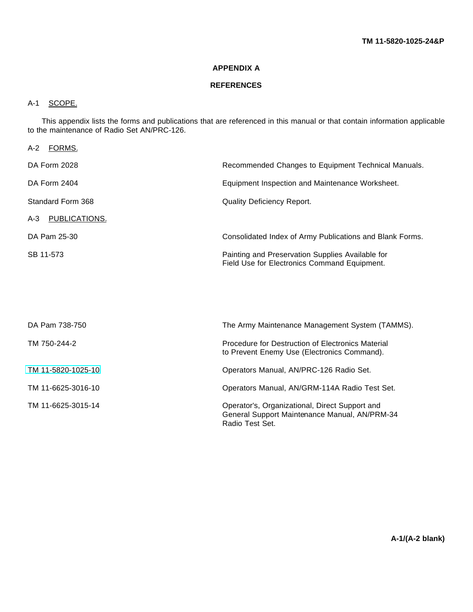## **APPENDIX A**

## **REFERENCES**

## A-1 SCOPE.

This appendix lists the forms and publications that are referenced in this manual or that contain information applicable to the maintenance of Radio Set AN/PRC-126.

| A-2 FORMS.         |                                                                                                                    |
|--------------------|--------------------------------------------------------------------------------------------------------------------|
| DA Form 2028       | Recommended Changes to Equipment Technical Manuals.                                                                |
| DA Form 2404       | Equipment Inspection and Maintenance Worksheet.                                                                    |
| Standard Form 368  | <b>Quality Deficiency Report.</b>                                                                                  |
| A-3 PUBLICATIONS.  |                                                                                                                    |
| DA Pam 25-30       | Consolidated Index of Army Publications and Blank Forms.                                                           |
| SB 11-573          | Painting and Preservation Supplies Available for<br>Field Use for Electronics Command Equipment.                   |
|                    |                                                                                                                    |
|                    |                                                                                                                    |
| DA Pam 738-750     | The Army Maintenance Management System (TAMMS).                                                                    |
| TM 750-244-2       | Procedure for Destruction of Electronics Material<br>to Prevent Enemy Use (Electronics Command).                   |
| TM 11-5820-1025-10 | Operators Manual, AN/PRC-126 Radio Set.                                                                            |
| TM 11-6625-3016-10 | Operators Manual, AN/GRM-114A Radio Test Set.                                                                      |
| TM 11-6625-3015-14 | Operator's, Organizational, Direct Support and<br>General Support Maintenance Manual, AN/PRM-34<br>Radio Test Set. |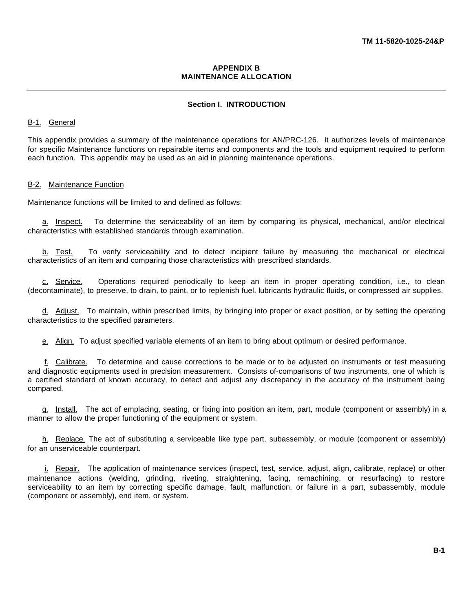## <span id="page-61-0"></span>**APPENDIX B MAINTENANCE ALLOCATION**

## **Section I. INTRODUCTION**

## B-1. General

This appendix provides a summary of the maintenance operations for AN/PRC-126. It authorizes levels of maintenance for specific Maintenance functions on repairable items and components and the tools and equipment required to perform each function. This appendix may be used as an aid in planning maintenance operations.

#### B-2. Maintenance Function

Maintenance functions will be limited to and defined as follows:

a. Inspect. To determine the serviceability of an item by comparing its physical, mechanical, and/or electrical characteristics with established standards through examination.

b. Test. To verify serviceability and to detect incipient failure by measuring the mechanical or electrical characteristics of an item and comparing those characteristics with prescribed standards.

c. Service. Operations required periodically to keep an item in proper operating condition, i.e., to clean (decontaminate), to preserve, to drain, to paint, or to replenish fuel, lubricants hydraulic fluids, or compressed air supplies.

d. Adjust. To maintain, within prescribed limits, by bringing into proper or exact position, or by setting the operating characteristics to the specified parameters.

e. Align. To adjust specified variable elements of an item to bring about optimum or desired performance.

f. Calibrate. To determine and cause corrections to be made or to be adjusted on instruments or test measuring and diagnostic equipments used in precision measurement. Consists of-comparisons of two instruments, one of which is a certified standard of known accuracy, to detect and adjust any discrepancy in the accuracy of the instrument being compared.

g. Install. The act of emplacing, seating, or fixing into position an item, part, module (component or assembly) in a manner to allow the proper functioning of the equipment or system.

h. Replace. The act of substituting a serviceable like type part, subassembly, or module (component or assembly) for an unserviceable counterpart.

i. Repair. The application of maintenance services (inspect, test, service, adjust, align, calibrate, replace) or other maintenance actions (welding, grinding, riveting, straightening, facing, remachining, or resurfacing) to restore serviceability to an item by correcting specific damage, fault, malfunction, or failure in a part, subassembly, module (component or assembly), end item, or system.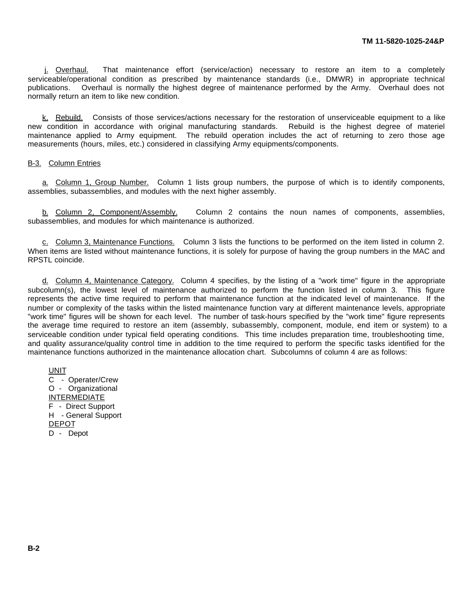i. Overhaul. That maintenance effort (service/action) necessary to restore an item to a completely serviceable/operational condition as prescribed by maintenance standards (i.e., DMWR) in appropriate technical publications. Overhaul is normally the highest degree of maintenance performed by the Army. Overhaul does not normally return an item to like new condition.

k. Rebuild. Consists of those services/actions necessary for the restoration of unserviceable equipment to a like new condition in accordance with original manufacturing standards. Rebuild is the highest degree of materiel maintenance applied to Army equipment. The rebuild operation includes the act of returning to zero those age measurements (hours, miles, etc.) considered in classifying Army equipments/components.

#### B-3. Column Entries

a. Column 1, Group Number. Column 1 lists group numbers, the purpose of which is to identify components, assemblies, subassemblies, and modules with the next higher assembly.

b. Column 2, Component/Assembly. Column 2 contains the noun names of components, assemblies, subassemblies, and modules for which maintenance is authorized.

c. Column 3, Maintenance Functions. Column 3 lists the functions to be performed on the item listed in column 2. When items are listed without maintenance functions, it is solely for purpose of having the group numbers in the MAC and RPSTL coincide.

d. Column 4, Maintenance Category. Column 4 specifies, by the listing of a "work time" figure in the appropriate subcolumn(s), the lowest level of maintenance authorized to perform the function listed in column 3. This figure represents the active time required to perform that maintenance function at the indicated level of maintenance. If the number or complexity of the tasks within the listed maintenance function vary at different maintenance levels, appropriate "work time" figures will be shown for each level. The number of task-hours specified by the "work time" figure represents the average time required to restore an item (assembly, subassembly, component, module, end item or system) to a serviceable condition under typical field operating conditions. This time includes preparation time, troubleshooting time, and quality assurance/quality control time in addition to the time required to perform the specific tasks identified for the maintenance functions authorized in the maintenance allocation chart. Subcolumns of column 4 are as follows:

UNIT C - Operater/Crew O - Organizational INTERMEDIATE F - Direct Support H - General Support DEPOT D - Depot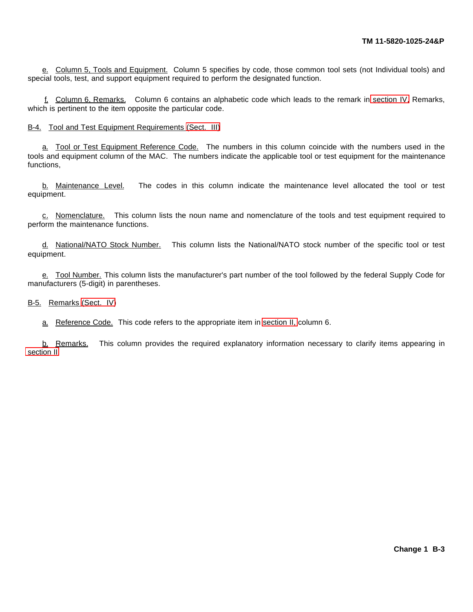e. Column 5, Tools and Equipment. Column 5 specifies by code, those common tool sets (not Individual tools) and special tools, test, and support equipment required to perform the designated function.

f. Column 6, Remarks. Column 6 contains an alphabetic code which leads to the remark in [section IV,](#page-66-0) Remarks, which is pertinent to the item opposite the particular code.

B-4. Tool and Test Equipment Requirements [\(Sect. III\)](#page-65-0)

a. Tool or Test Equipment Reference Code. The numbers in this column coincide with the numbers used in the tools and equipment column of the MAC. The numbers indicate the applicable tool or test equipment for the maintenance functions,

b. Maintenance Level. The codes in this column indicate the maintenance level allocated the tool or test equipment.

c. Nomenclature. This column lists the noun name and nomenclature of the tools and test equipment required to perform the maintenance functions.

d. National/NATO Stock Number. This column lists the National/NATO stock number of the specific tool or test equipment.

e. Tool Number. This column lists the manufacturer's part number of the tool followed by the federal Supply Code for manufacturers (5-digit) in parentheses.

B-5. Remarks [\(Sect. IV\)](#page-66-0)

a. Reference Code. This code refers to the appropriate item in [section II,](#page-64-0) column 6.

b. Remarks. This column provides the required explanatory information necessary to clarify items appearing in [section II.](#page-64-0)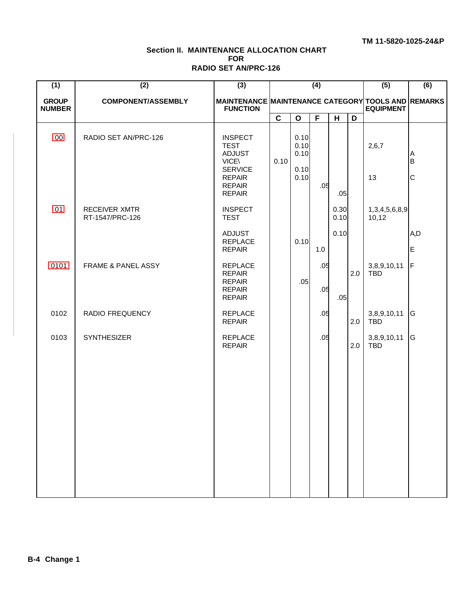## <span id="page-64-0"></span>**Section II. MAINTENANCE ALLOCATION CHART FOR RADIO SET AN/PRC-126**

| (1)                           | (2)                                     | (3)                                                                                                                                 |             |                                      | (4)        |              |     | (5)                           | (6)               |
|-------------------------------|-----------------------------------------|-------------------------------------------------------------------------------------------------------------------------------------|-------------|--------------------------------------|------------|--------------|-----|-------------------------------|-------------------|
| <b>GROUP</b><br><b>NUMBER</b> | <b>COMPONENT/ASSEMBLY</b>               | MAINTENANCE MAINTENANCE CATEGORY TOOLS AND REMARKS<br><b>FUNCTION</b>                                                               |             |                                      |            |              |     | <b>EQUIPMENT</b>              |                   |
|                               |                                         |                                                                                                                                     | $\mathbf c$ | $\mathbf{o}$                         | F          | H            | D   |                               |                   |
| 00                            | RADIO SET AN/PRC-126                    | <b>INSPECT</b><br><b>TEST</b><br><b>ADJUST</b><br><b>VICE\</b><br><b>SERVICE</b><br><b>REPAIR</b><br><b>REPAIR</b><br><b>REPAIR</b> | 0.10        | 0.10<br>0.10<br>0.10<br>0.10<br>0.10 | .05        | .05          |     | 2,6,7<br>13                   | A<br>$\sf B$<br>C |
| 01                            | <b>RECEIVER XMTR</b><br>RT-1547/PRC-126 | <b>INSPECT</b><br><b>TEST</b>                                                                                                       |             |                                      |            | 0.30<br>0.10 |     | 1, 3, 4, 5, 6, 8, 9,<br>10,12 |                   |
|                               |                                         | <b>ADJUST</b><br><b>REPLACE</b><br><b>REPAIR</b>                                                                                    |             | 0.10                                 | 1.0        | 0.10         |     |                               | A,D<br>E          |
| 0101                          | <b>FRAME &amp; PANEL ASSY</b>           | <b>REPLACE</b><br><b>REPAIR</b><br><b>REPAIR</b><br><b>REPAIR</b><br><b>REPAIR</b>                                                  |             | .05                                  | .05<br>.05 | .05          | 2.0 | 3,8,9,10,11<br><b>TBD</b>     | F                 |
| 0102                          | RADIO FREQUENCY                         | <b>REPLACE</b><br><b>REPAIR</b>                                                                                                     |             |                                      | .05        |              | 2.0 | 3,8,9,10,11<br><b>TBD</b>     | G                 |
| 0103                          | <b>SYNTHESIZER</b>                      | <b>REPLACE</b><br><b>REPAIR</b>                                                                                                     |             |                                      | .05        |              | 2.0 | 3,8,9,10,11<br><b>TBD</b>     | G                 |
|                               |                                         |                                                                                                                                     |             |                                      |            |              |     |                               |                   |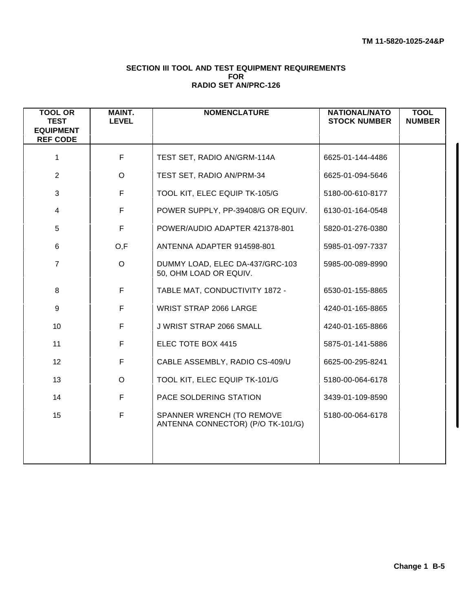## <span id="page-65-0"></span>**SECTION III TOOL AND TEST EQUIPMENT REQUIREMENTS FOR RADIO SET AN/PRC-126**

| <b>TOOL OR</b><br><b>TEST</b><br><b>EQUIPMENT</b><br><b>REF CODE</b> | <b>MAINT.</b><br><b>LEVEL</b> | <b>NOMENCLATURE</b>                                            | <b>NATIONAL/NATO</b><br><b>STOCK NUMBER</b> | <b>TOOL</b><br><b>NUMBER</b> |
|----------------------------------------------------------------------|-------------------------------|----------------------------------------------------------------|---------------------------------------------|------------------------------|
| 1                                                                    | F                             | TEST SET, RADIO AN/GRM-114A                                    | 6625-01-144-4486                            |                              |
| 2                                                                    | $\circ$                       | TEST SET, RADIO AN/PRM-34                                      | 6625-01-094-5646                            |                              |
| 3                                                                    | F                             | TOOL KIT, ELEC EQUIP TK-105/G                                  | 5180-00-610-8177                            |                              |
| $\overline{\mathbf{4}}$                                              | F                             | POWER SUPPLY, PP-39408/G OR EQUIV.                             | 6130-01-164-0548                            |                              |
| 5                                                                    | F                             | POWER/AUDIO ADAPTER 421378-801                                 | 5820-01-276-0380                            |                              |
| 6                                                                    | O,F                           | ANTENNA ADAPTER 914598-801                                     | 5985-01-097-7337                            |                              |
| $\overline{7}$                                                       | $\circ$                       | DUMMY LOAD, ELEC DA-437/GRC-103<br>50, OHM LOAD OR EQUIV.      | 5985-00-089-8990                            |                              |
| 8                                                                    | F                             | TABLE MAT, CONDUCTIVITY 1872 -                                 | 6530-01-155-8865                            |                              |
| 9                                                                    | F                             | <b>WRIST STRAP 2066 LARGE</b>                                  | 4240-01-165-8865                            |                              |
| 10                                                                   | F                             | J WRIST STRAP 2066 SMALL                                       | 4240-01-165-8866                            |                              |
| 11                                                                   | F                             | ELEC TOTE BOX 4415                                             | 5875-01-141-5886                            |                              |
| 12                                                                   | F                             | CABLE ASSEMBLY, RADIO CS-409/U                                 | 6625-00-295-8241                            |                              |
| 13                                                                   | $\circ$                       | TOOL KIT, ELEC EQUIP TK-101/G                                  | 5180-00-064-6178                            |                              |
| 14                                                                   | F                             | PACE SOLDERING STATION                                         | 3439-01-109-8590                            |                              |
| 15                                                                   | F                             | SPANNER WRENCH (TO REMOVE<br>ANTENNA CONNECTOR) (P/O TK-101/G) | 5180-00-064-6178                            |                              |
|                                                                      |                               |                                                                |                                             |                              |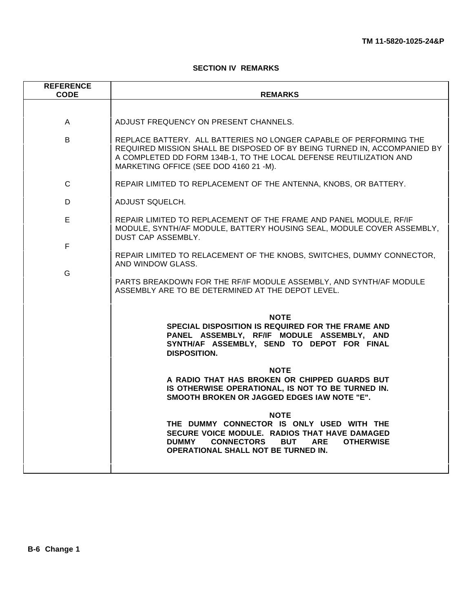## <span id="page-66-0"></span>**SECTION IV REMARKS**

| <b>REFERENCE</b><br><b>CODE</b> | <b>REMARKS</b>                                                                                                                                                                                                                                                                                           |
|---------------------------------|----------------------------------------------------------------------------------------------------------------------------------------------------------------------------------------------------------------------------------------------------------------------------------------------------------|
|                                 |                                                                                                                                                                                                                                                                                                          |
| A                               | ADJUST FREQUENCY ON PRESENT CHANNELS.                                                                                                                                                                                                                                                                    |
| B                               | REPLACE BATTERY. ALL BATTERIES NO LONGER CAPABLE OF PERFORMING THE<br>REQUIRED MISSION SHALL BE DISPOSED OF BY BEING TURNED IN, ACCOMPANIED BY<br>A COMPLETED DD FORM 134B-1, TO THE LOCAL DEFENSE REUTILIZATION AND<br>MARKETING OFFICE (SEE DOD 4160 21 -M).                                           |
| C                               | REPAIR LIMITED TO REPLACEMENT OF THE ANTENNA, KNOBS, OR BATTERY.                                                                                                                                                                                                                                         |
| D                               | ADJUST SQUELCH.                                                                                                                                                                                                                                                                                          |
| E                               | REPAIR LIMITED TO REPLACEMENT OF THE FRAME AND PANEL MODULE, RF/IF<br>MODULE, SYNTH/AF MODULE, BATTERY HOUSING SEAL, MODULE COVER ASSEMBLY,<br>DUST CAP ASSEMBLY.                                                                                                                                        |
| F                               | REPAIR LIMITED TO RELACEMENT OF THE KNOBS, SWITCHES, DUMMY CONNECTOR,                                                                                                                                                                                                                                    |
| G                               | AND WINDOW GLASS.<br>PARTS BREAKDOWN FOR THE RF/IF MODULE ASSEMBLY, AND SYNTH/AF MODULE<br>ASSEMBLY ARE TO BE DETERMINED AT THE DEPOT LEVEL.                                                                                                                                                             |
|                                 | <b>NOTE</b><br>SPECIAL DISPOSITION IS REQUIRED FOR THE FRAME AND<br>PANEL ASSEMBLY, RF/IF MODULE ASSEMBLY, AND<br>SYNTH/AF ASSEMBLY, SEND TO DEPOT FOR FINAL<br><b>DISPOSITION.</b><br><b>NOTE</b><br>A RADIO THAT HAS BROKEN OR CHIPPED GUARDS BUT<br>IS OTHERWISE OPERATIONAL, IS NOT TO BE TURNED IN. |
|                                 | SMOOTH BROKEN OR JAGGED EDGES IAW NOTE "E".<br><b>NOTE</b><br>THE DUMMY CONNECTOR IS ONLY USED WITH THE<br>SECURE VOICE MODULE. RADIOS THAT HAVE DAMAGED<br><b>DUMMY</b><br><b>CONNECTORS</b><br><b>BUT</b><br><b>ARE</b><br><b>OTHERWISE</b><br>OPERATIONAL SHALL NOT BE TURNED IN.                     |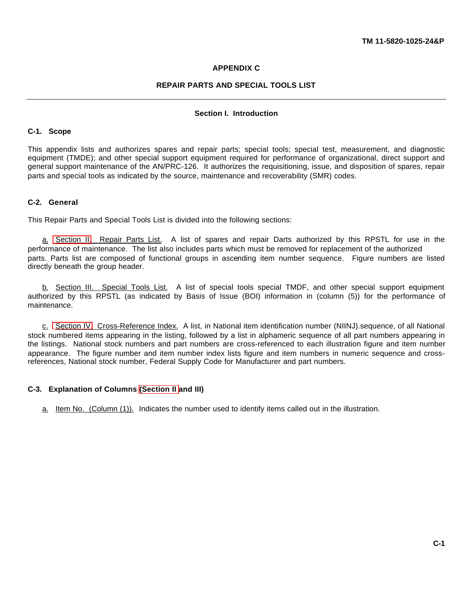## **APPENDIX C**

## **REPAIR PARTS AND SPECIAL TOOLS LIST**

## **Section I. Introduction**

#### **C-1. Scope**

This appendix lists and authorizes spares and repair parts; special tools; special test, measurement, and diagnostic equipment (TMDE); and other special support equipment required for performance of organizational, direct support and general support maintenance of the AN/PRC-126. It authorizes the requisitioning, issue, and disposition of spares, repair parts and special tools as indicated by the source, maintenance and recoverability (SMR) codes.

## **C-2. General**

This Repair Parts and Special Tools List is divided into the following sections:

a. [Section II.](#page-76-1) Repair Parts List. A list of spares and repair Darts authorized by this RPSTL for use in the performance of maintenance. The list also includes parts which must be removed for replacement of the authorized parts. Parts list are composed of functional groups in ascending item number sequence. Figure numbers are listed directly beneath the group header.

b. Section III. Special Tools List. A list of special tools special TMDF, and other special support equipment authorized by this RPSTL (as indicated by Basis of Issue (BOI) information in (column (5)) for the performance of maintenance.

c. [Section IV.](#page-83-0) Cross-Reference Index. A list, in National item identification number (NIINJ).sequence, of all National stock numbered items appearing in the listing, followed by a list in alphameric sequence of all part numbers appearing in the listings. National stock numbers and part numbers are cross-referenced to each illustration figure and item number appearance. The figure number and item number index lists figure and item numbers in numeric sequence and crossreferences, National stock number, Federal Supply Code for Manufacturer and part numbers.

## **C-3. Explanation of Columns [\(Section II](#page-76-1) and III)**

a. Item No. (Column (1)). Indicates the number used to identify items called out in the illustration.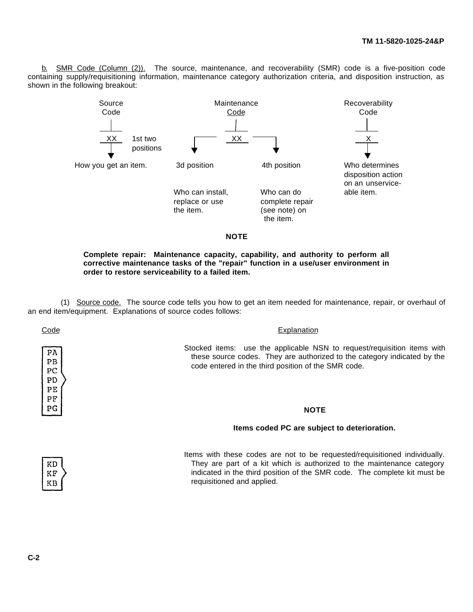b. SMR Code (Column (2)). The source, maintenance, and recoverability (SMR) code is a five-position code containing supply/requisitioning information, maintenance category authorization criteria, and disposition instruction, as shown in the following breakout:



**Complete repair: Maintenance capacity, capability, and authority to perform all corrective maintenance tasks of the "repair" function in a use/user environment in order to restore serviceability to a failed item.**

(1) Source code. The source code tells you how to get an item needed for maintenance, repair, or overhaul of an end item/equipment. Explanations of source codes follows:

PA PB PC PD  $PE$ PF  $PG$ 

Code Explanation

Stocked items: use the applicable NSN to request/requisition items with these source codes. They are authorized to the category indicated by the code entered in the third position of the SMR code.

## **NOTE**

#### **Items coded PC are subject to deterioration.**



Items with these codes are not to be requested/requisitioned individually. They are part of a kit which is authorized to the maintenance category indicated in the third position of the SMR code. The complete kit must be requisitioned and applied.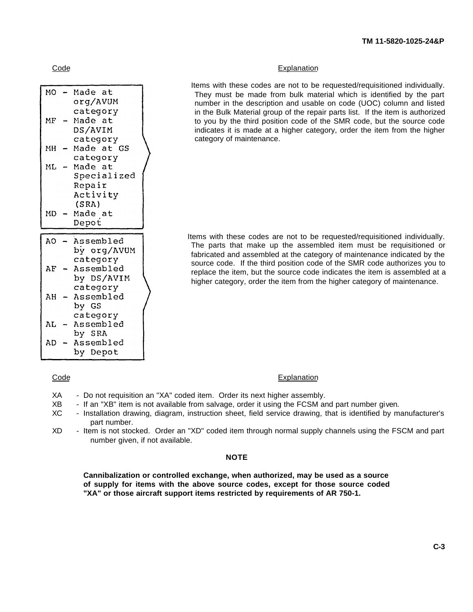| мO             | Made at               |  |
|----------------|-----------------------|--|
|                | org/AVUM              |  |
|                | category              |  |
| МF             | Made at               |  |
|                | DS/AVIM               |  |
|                | category              |  |
| MH             | Made at GS            |  |
|                | category              |  |
| Mf.            | Made at               |  |
|                | Specialized           |  |
|                | Repair                |  |
|                | Activity              |  |
|                | (SRA)                 |  |
| MD             | Made at               |  |
|                |                       |  |
|                | Depot                 |  |
|                |                       |  |
| A <sub>O</sub> | Assembled             |  |
|                | by org/AVUM           |  |
|                | category              |  |
| AF             | Assembled             |  |
|                | by DS/AVIM            |  |
|                | category              |  |
| AH             | Assembled             |  |
|                | by GS                 |  |
|                | category              |  |
| AL             | Assembled             |  |
|                | by SRA                |  |
| AD             | Assembled<br>by Depot |  |

## Code **Explanation**

Items with these codes are not to be requested/requisitioned individually. They must be made from bulk material which is identified by the part number in the description and usable on code (UOC) column and listed in the Bulk Material group of the repair parts list. If the item is authorized to you by the third position code of the SMR code, but the source code indicates it is made at a higher category, order the item from the higher category of maintenance.

Items with these codes are not to be requested/requisitioned individually. The parts that make up the assembled item must be requisitioned or fabricated and assembled at the category of maintenance indicated by the source code. If the third position code of the SMR code authorizes you to replace the item, but the source code indicates the item is assembled at a higher category, order the item from the higher category of maintenance.

#### Code Explanation

- XA Do not requisition an "XA" coded item. Order its next higher assembly.
- XB If an "XB" item is not available from salvage, order it using the FCSM and part number given.
- XC Installation drawing, diagram, instruction sheet, field service drawing, that is identified by manufacturer's part number.
- XD Item is not stocked. Order an "XD" coded item through normal supply channels using the FSCM and part number given, if not available.

## **NOTE**

**Cannibalization or controlled exchange, when authorized, may be used as a source of supply for items with the above source codes, except for those source coded "XA" or those aircraft support items restricted by requirements of AR 750-1.**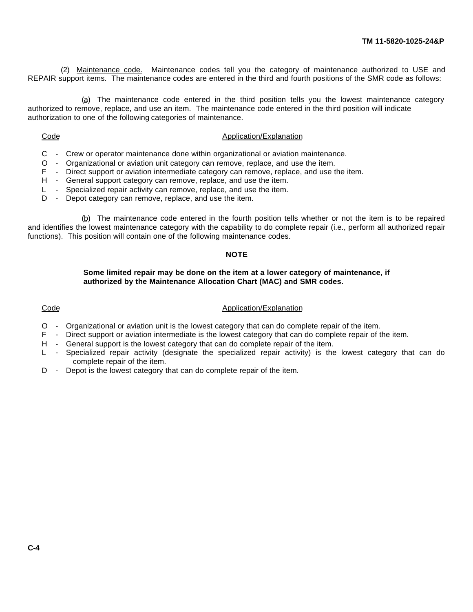(2) Maintenance code. Maintenance codes tell you the category of maintenance authorized to USE and REPAIR support items. The maintenance codes are entered in the third and fourth positions of the SMR code as follows:

(a) The maintenance code entered in the third position tells you the lowest maintenance category authorized to remove, replace, and use an item. The maintenance code entered in the third position will indicate authorization to one of the following categories of maintenance.

#### Code Application/Explanation

- C Crew or operator maintenance done within organizational or aviation maintenance.
- O Organizational or aviation unit category can remove, replace, and use the item.
- F Direct support or aviation intermediate category can remove, replace, and use the item.
- H General support category can remove, replace, and use the item.
- L Specialized repair activity can remove, replace, and use the item.
- D Depot category can remove, replace, and use the item.

(b) The maintenance code entered in the fourth position tells whether or not the item is to be repaired and identifies the lowest maintenance category with the capability to do complete repair (i.e., perform all authorized repair functions). This position will contain one of the following maintenance codes.

## **NOTE**

## **Some limited repair may be done on the item at a lower category of maintenance, if authorized by the Maintenance Allocation Chart (MAC) and SMR codes.**

## Code **Application/Explanation**

- O Organizational or aviation unit is the lowest category that can do complete repair of the item.
- F Direct support or aviation intermediate is the lowest category that can do complete repair of the item.
- H General support is the lowest category that can do complete repair of the item.
- L Specialized repair activity (designate the specialized repair activity) is the lowest category that can do complete repair of the item.
- D Depot is the lowest category that can do complete repair of the item.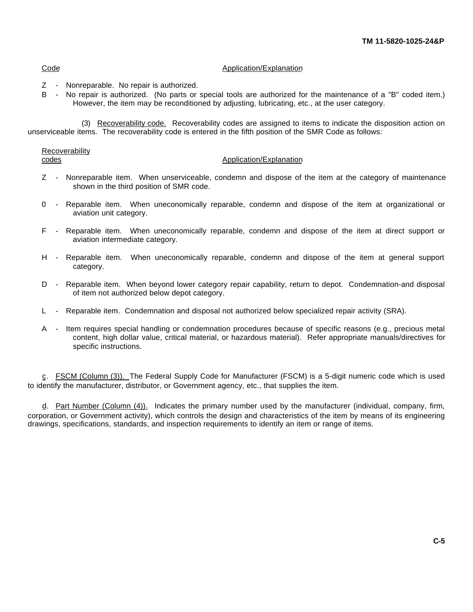## Code Application/Explanation

- Z Nonreparable. No repair is authorized.
- B No repair is authorized. (No parts or special tools are authorized for the maintenance of a "B" coded item.) However, the item may be reconditioned by adjusting, lubricating, etc., at the user category.

(3) Recoverability code. Recoverability codes are assigned to items to indicate the disposition action on unserviceable items. The recoverability code is entered in the fifth position of the SMR Code as follows:

Recoverability

#### codes **CODES CODES CODES CODES CODES CODES CODES CODES CODES CODES CODES CODES CODES CODES CODES CODES CODES CODES CODES CODES CODES CODES CODES CODES CODES CODES CODES**

- Z Nonreparable item. When unserviceable, condemn and dispose of the item at the category of maintenance shown in the third position of SMR code.
- 0 Reparable item. When uneconomically reparable, condemn and dispose of the item at organizational or aviation unit category.
- F Reparable item. When uneconomically reparable, condemn and dispose of the item at direct support or aviation intermediate category.
- H Reparable item. When uneconomically reparable, condemn and dispose of the item at general support category.
- D Reparable item. When beyond lower category repair capability, return to depot. Condemnation-and disposal of item not authorized below depot category.
- L Reparable item. Condemnation and disposal not authorized below specialized repair activity (SRA).
- A Item requires special handling or condemnation procedures because of specific reasons (e.g., precious metal content, high dollar value, critical material, or hazardous material). Refer appropriate manuals/directives for specific instructions.

c. FSCM (Column (3)). The Federal Supply Code for Manufacturer (FSCM) is a 5-digit numeric code which is used to identify the manufacturer, distributor, or Government agency, etc., that supplies the item.

d. Part Number (Column (4)). Indicates the primary number used by the manufacturer (individual, company, firm, corporation, or Government activity), which controls the design and characteristics of the item by means of its engineering drawings, specifications, standards, and inspection requirements to identify an item or range of items.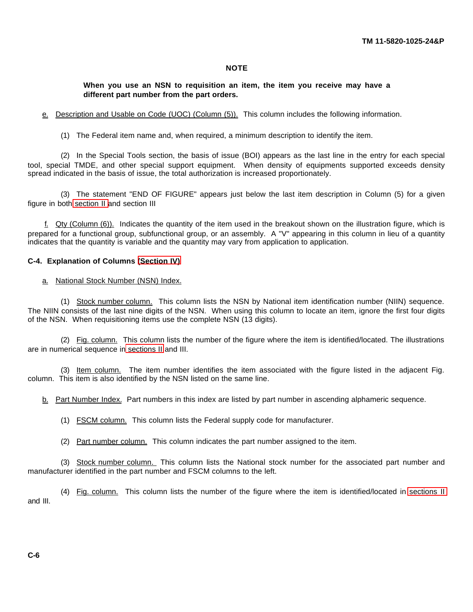# **NOTE**

# <span id="page-72-0"></span>**When you use an NSN to requisition an item, the item you receive may have a different part number from the part orders.**

e. Description and Usable on Code (UOC) (Column (5)). This column includes the following information.

(1) The Federal item name and, when required, a minimum description to identify the item.

(2) In the Special Tools section, the basis of issue (BOI) appears as the last line in the entry for each special tool, special TMDE, and other special support equipment. When density of equipments supported exceeds density spread indicated in the basis of issue, the total authorization is increased proportionately.

(3) The statement "END OF FIGURE" appears just below the last item description in Column (5) for a given figure in both [section II a](#page-76-0)nd section III

 $f.$  Qty (Column (6)). Indicates the quantity of the item used in the breakout shown on the illustration figure, which is prepared for a functional group, subfunctional group, or an assembly. A "V" appearing in this column in lieu of a quantity indicates that the quantity is variable and the quantity may vary from application to application.

#### **C-4. Explanation of Columns [\(Section IV\)](#page-83-0)**

#### a. National Stock Number (NSN) Index.

(1) Stock number column. This column lists the NSN by National item identification number (NIIN) sequence. The NIIN consists of the last nine digits of the NSN. When using this column to locate an item, ignore the first four digits of the NSN. When requisitioning items use the complete NSN (13 digits).

(2) Fig. column. This column lists the number of the figure where the item is identified/located. The illustrations are in numerical sequence in [sections II](#page-76-0) and III.

(3) Item column. The item number identifies the item associated with the figure listed in the adjacent Fig. column. This item is also identified by the NSN listed on the same line.

b. Part Number Index. Part numbers in this index are listed by part number in ascending alphameric sequence.

(1) FSCM column. This column lists the Federal supply code for manufacturer.

(2) Part number column. This column indicates the part number assigned to the item.

(3) Stock number column. This column lists the National stock number for the associated part number and manufacturer identified in the part number and FSCM columns to the left.

(4) Fig. column. This column lists the number of the figure where the item is identified/located in [sections II](#page-76-0) and III.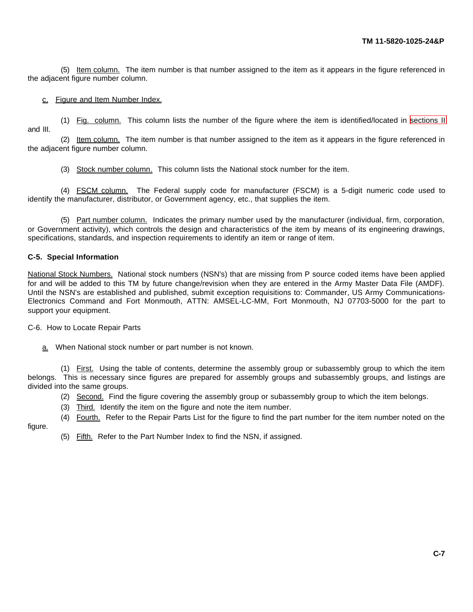(5) Item column. The item number is that number assigned to the item as it appears in the figure referenced in the adjacent figure number column.

## c. Figure and Item Number Index.

(1) Fig. column. This column lists the number of the figure where the item is identified/located in [sections II](#page-76-0) and III.

(2) Item column. The item number is that number assigned to the item as it appears in the figure referenced in the adjacent figure number column.

(3) Stock number column. This column lists the National stock number for the item.

(4) FSCM column. The Federal supply code for manufacturer (FSCM) is a 5-digit numeric code used to identify the manufacturer, distributor, or Government agency, etc., that supplies the item.

(5) Part number column. Indicates the primary number used by the manufacturer (individual, firm, corporation, or Government activity), which controls the design and characteristics of the item by means of its engineering drawings, specifications, standards, and inspection requirements to identify an item or range of item.

### **C-5. Special Information**

National Stock Numbers. National stock numbers (NSN's) that are missing from P source coded items have been applied for and will be added to this TM by future change/revision when they are entered in the Army Master Data File (AMDF). Until the NSN's are established and published, submit exception requisitions to: Commander, US Army Communications-Electronics Command and Fort Monmouth, ATTN: AMSEL-LC-MM, Fort Monmouth, NJ 07703-5000 for the part to support your equipment.

C-6. How to Locate Repair Parts

a. When National stock number or part number is not known.

(1) First. Using the table of contents, determine the assembly group or subassembly group to which the item belongs. This is necessary since figures are prepared for assembly groups and subassembly groups, and listings are divided into the same groups.

- (2) Second. Find the figure covering the assembly group or subassembly group to which the item belongs.
- (3) Third. Identify the item on the figure and note the item number.
- (4) Fourth. Refer to the Repair Parts List for the figure to find the part number for the item number noted on the

figure.

(5) Fifth. Refer to the Part Number Index to find the NSN, if assigned.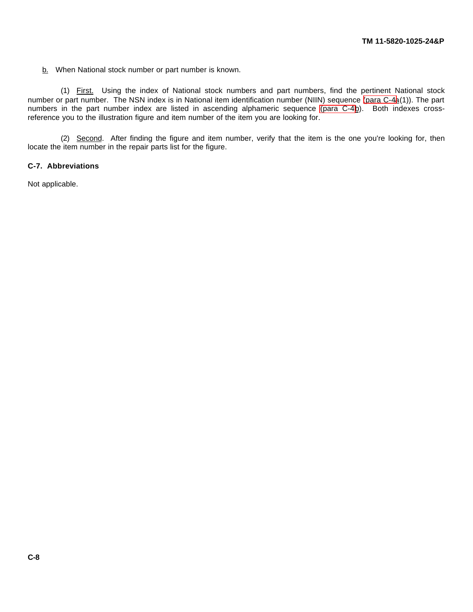b. When National stock number or part number is known.

(1) First. Using the index of National stock numbers and part numbers, find the pertinent National stock number or part number. The NSN index is in National item identification number (NIIN) sequence [\(para C-4a](#page-72-0)(1)). The part numbers in the part number index are listed in ascending alphameric sequence (para  $C-4\underline{b}$ ). Both indexes crossreference you to the illustration figure and item number of the item you are looking for.

(2) Second. After finding the figure and item number, verify that the item is the one you're looking for, then locate the item number in the repair parts list for the figure.

# **C-7. Abbreviations**

Not applicable.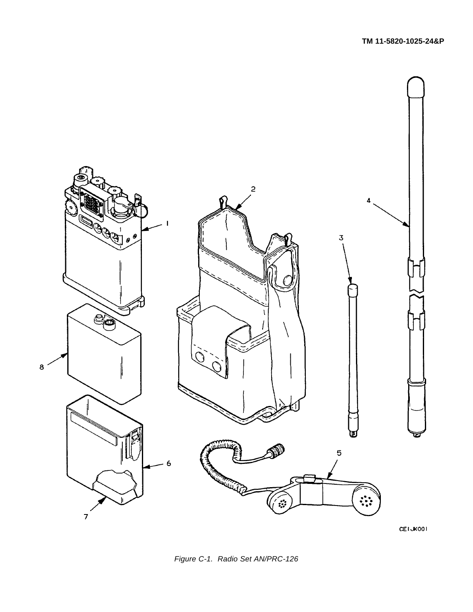

CETJK001

<span id="page-75-0"></span>*Figure C-1. Radio Set AN/PRC-126*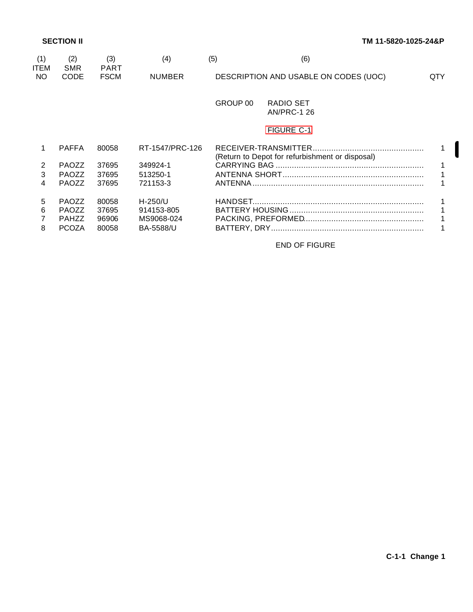I

<span id="page-76-0"></span>

| (1)<br><b>ITEM</b> | (2)<br><b>SMR</b>                                            | (3)<br><b>PART</b>               | (4)                                                       | (5)      | (6)                                             |     |
|--------------------|--------------------------------------------------------------|----------------------------------|-----------------------------------------------------------|----------|-------------------------------------------------|-----|
| NO.                | <b>CODE</b>                                                  | <b>FSCM</b>                      | <b>NUMBER</b>                                             |          | DESCRIPTION AND USABLE ON CODES (UOC)           | QTY |
|                    |                                                              |                                  |                                                           | GROUP 00 | RADIO SET<br><b>AN/PRC-1 26</b>                 |     |
|                    |                                                              |                                  |                                                           |          | <b>FIGURE C-1</b>                               |     |
|                    | <b>PAFFA</b>                                                 | 80058                            | RT-1547/PRC-126                                           |          | (Return to Depot for refurbishment or disposal) |     |
| 2                  | <b>PAOZZ</b>                                                 | 37695                            | 349924-1                                                  |          |                                                 |     |
| 3                  | <b>PAOZZ</b>                                                 | 37695                            | 513250-1                                                  |          |                                                 |     |
| 4                  | <b>PAOZZ</b>                                                 | 37695                            | 721153-3                                                  | ANTENNA  |                                                 |     |
| 5<br>6<br>8        | <b>PAOZZ</b><br><b>PAOZZ</b><br><b>PAHZZ</b><br><b>PCOZA</b> | 80058<br>37695<br>96906<br>80058 | $H-250/U$<br>914153-805<br>MS9068-024<br><b>BA-5588/U</b> |          |                                                 |     |

END OF FIGURE

**C-1-1 Change 1**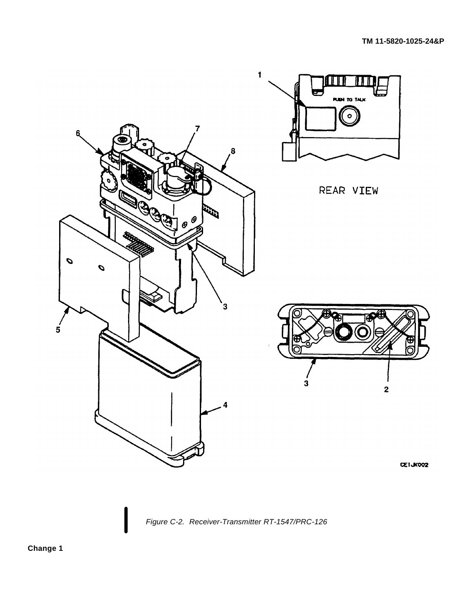

<span id="page-77-0"></span>*Figure C-2. Receiver-Transmitter RT-1547/PRC-126*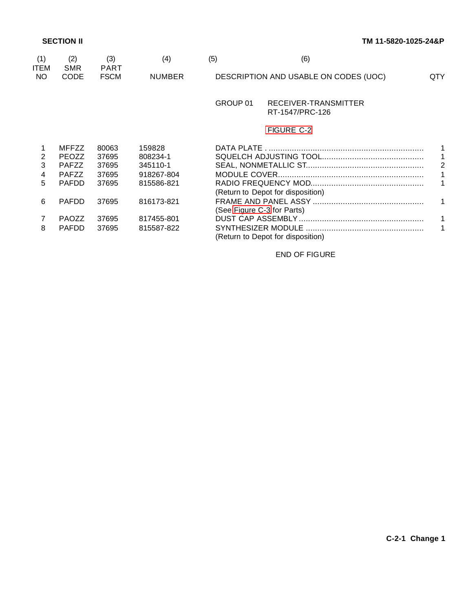| (1)<br><b>ITEM</b> | (2)<br><b>SMR</b> | (3)<br><b>PART</b> | (4)           | (5)                        | (6)                                     |                |
|--------------------|-------------------|--------------------|---------------|----------------------------|-----------------------------------------|----------------|
| NO.                | <b>CODE</b>       | <b>FSCM</b>        | <b>NUMBER</b> |                            | DESCRIPTION AND USABLE ON CODES (UOC)   | QTY.           |
|                    |                   |                    |               | GROUP 01                   | RECEIVER-TRANSMITTER<br>RT-1547/PRC-126 |                |
|                    |                   |                    |               |                            | <b>FIGURE C-2</b>                       |                |
|                    | <b>MFFZZ</b>      | 80063              | 159828        |                            |                                         |                |
| 2                  | <b>PEOZZ</b>      | 37695              | 808234-1      |                            |                                         | 1              |
| 3                  | <b>PAFZZ</b>      | 37695              | 345110-1      |                            |                                         | $\overline{2}$ |
| 4                  | <b>PAFZZ</b>      | 37695              | 918267-804    |                            |                                         | 1              |
| 5                  | <b>PAFDD</b>      | 37695              | 815586-821    |                            |                                         |                |
|                    |                   |                    |               |                            | (Return to Depot for disposition)       |                |
| 6                  | <b>PAFDD</b>      | 37695              | 816173-821    |                            |                                         | $\mathbf{1}$   |
|                    |                   |                    |               | (See Figure C-3 for Parts) |                                         |                |
| $\overline{7}$     | <b>PAOZZ</b>      | 37695              | 817455-801    |                            |                                         | $\mathbf{1}$   |
| 8                  | <b>PAFDD</b>      | 37695              | 815587-822    |                            | (Return to Depot for disposition)       | 1              |

END OF FIGURE

**C-2-1 Change 1**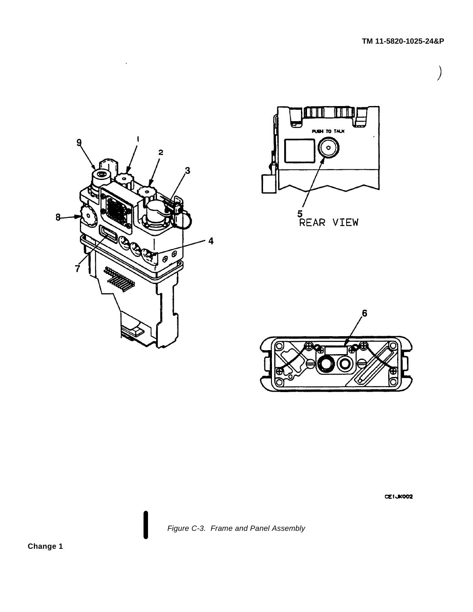

 $\ddot{\phantom{a}}$ 





CETJK002

<span id="page-79-0"></span>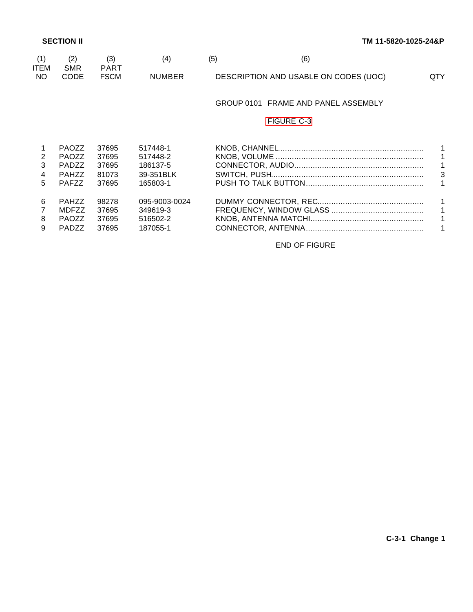| (1)<br><b>ITEM</b> | (2)<br><b>SMR</b> | (3)<br><b>PART</b> | (4)           | (5) | (6)                                   |              |
|--------------------|-------------------|--------------------|---------------|-----|---------------------------------------|--------------|
| NO                 | CODE              | <b>FSCM</b>        | <b>NUMBER</b> |     | DESCRIPTION AND USABLE ON CODES (UOC) | <b>QTY</b>   |
|                    |                   |                    |               |     | GROUP 0101 FRAME AND PANEL ASSEMBLY   |              |
|                    |                   |                    |               |     | <b>FIGURE C-3</b>                     |              |
|                    | <b>PAOZZ</b>      | 37695              | 517448-1      |     |                                       | 1.           |
| 2                  | <b>PAOZZ</b>      | 37695              | 517448-2      |     |                                       | 1            |
| 3                  | <b>PADZZ</b>      | 37695              | 186137-5      |     |                                       | $\mathbf{1}$ |
| 4                  | <b>PAHZZ</b>      | 81073              | 39-351BLK     |     |                                       | 3            |
| 5                  | <b>PAFZZ</b>      | 37695              | 165803-1      |     |                                       | 1            |
| 6                  | <b>PAHZZ</b>      | 98278              | 095-9003-0024 |     |                                       | 1            |
|                    | <b>MDFZZ</b>      | 37695              | 349619-3      |     |                                       | $\mathbf{1}$ |
| 8                  | <b>PAOZZ</b>      | 37695              | 516502-2      |     |                                       | 1            |
| 9                  | <b>PADZZ</b>      | 37695              | 187055-1      |     |                                       |              |

END OF FIGURE

**C-3-1 Change 1**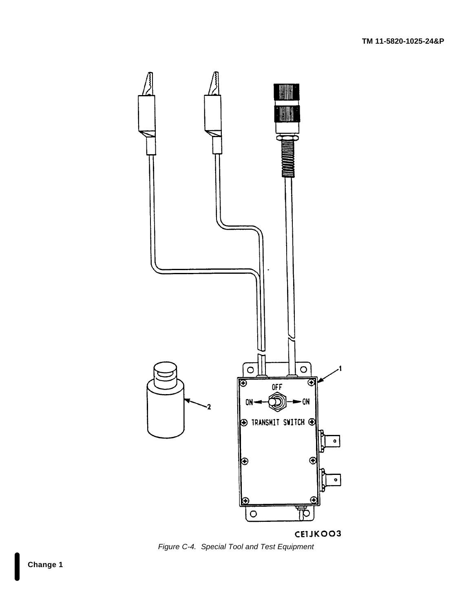

<span id="page-81-0"></span>*Figure C-4. Special Tool and Test Equipment*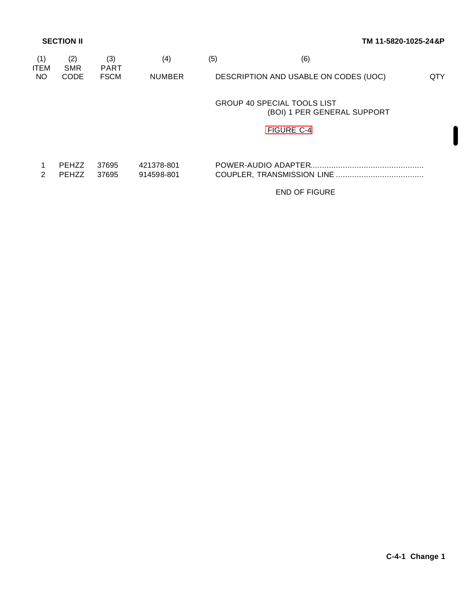| (1)<br><b>ITEM</b> | (2)<br><b>SMR</b>            | (3)<br><b>PART</b> | (4)                      | (5) | (6)                                                               |     |
|--------------------|------------------------------|--------------------|--------------------------|-----|-------------------------------------------------------------------|-----|
| NO.                | <b>CODE</b>                  | <b>FSCM</b>        | <b>NUMBER</b>            |     | DESCRIPTION AND USABLE ON CODES (UOC)                             | QTY |
|                    |                              |                    |                          |     | <b>GROUP 40 SPECIAL TOOLS LIST</b><br>(BOI) 1 PER GENERAL SUPPORT |     |
|                    |                              |                    |                          |     | <b>FIGURE C-4</b>                                                 |     |
| $\mathcal{P}$      | <b>PEHZZ</b><br><b>PEHZZ</b> | 37695<br>37695     | 421378-801<br>914598-801 |     |                                                                   |     |
|                    |                              |                    |                          |     | <b>END OF FIGURE</b>                                              |     |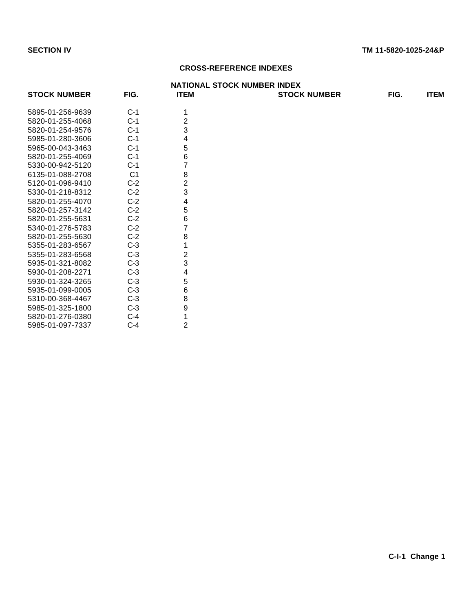# **CROSS-REFERENCE INDEXES**

<span id="page-83-0"></span>

|                     |                |                | <b>NATIONAL STOCK NUMBER INDEX</b> |      |             |
|---------------------|----------------|----------------|------------------------------------|------|-------------|
| <b>STOCK NUMBER</b> | FIG.           | <b>ITEM</b>    | <b>STOCK NUMBER</b>                | FIG. | <b>ITEM</b> |
| 5895-01-256-9639    | $C-1$          |                |                                    |      |             |
| 5820-01-255-4068    | $C-1$          | 2              |                                    |      |             |
| 5820-01-254-9576    | $C-1$          | 3              |                                    |      |             |
| 5985-01-280-3606    | $C-1$          | 4              |                                    |      |             |
| 5965-00-043-3463    | $C-1$          | 5              |                                    |      |             |
| 5820-01-255-4069    | $C-1$          | 6              |                                    |      |             |
| 5330-00-942-5120    | $C-1$          | 7              |                                    |      |             |
| 6135-01-088-2708    | C <sub>1</sub> | 8              |                                    |      |             |
| 5120-01-096-9410    | $C-2$          | $\overline{2}$ |                                    |      |             |
| 5330-01-218-8312    | $C-2$          | 3              |                                    |      |             |
| 5820-01-255-4070    | $C-2$          | 4              |                                    |      |             |
| 5820-01-257-3142    | $C-2$          | 5              |                                    |      |             |
| 5820-01-255-5631    | $C-2$          | 6              |                                    |      |             |
| 5340-01-276-5783    | $C-2$          | 7              |                                    |      |             |
| 5820-01-255-5630    | $C-2$          | 8              |                                    |      |             |
| 5355-01-283-6567    | $C-3$          |                |                                    |      |             |
| 5355-01-283-6568    | $C-3$          | 2              |                                    |      |             |
| 5935-01-321-8082    | $C-3$          | 3              |                                    |      |             |
| 5930-01-208-2271    | $C-3$          | 4              |                                    |      |             |
| 5930-01-324-3265    | $C-3$          | 5              |                                    |      |             |
| 5935-01-099-0005    | $C-3$          | 6              |                                    |      |             |
| 5310-00-368-4467    | $C-3$          | 8              |                                    |      |             |
| 5985-01-325-1800    | $C-3$          | 9              |                                    |      |             |
| 5820-01-276-0380    | $C-4$          | 1              |                                    |      |             |
| 5985-01-097-7337    | $C-4$          | $\overline{2}$ |                                    |      |             |
|                     |                |                |                                    |      |             |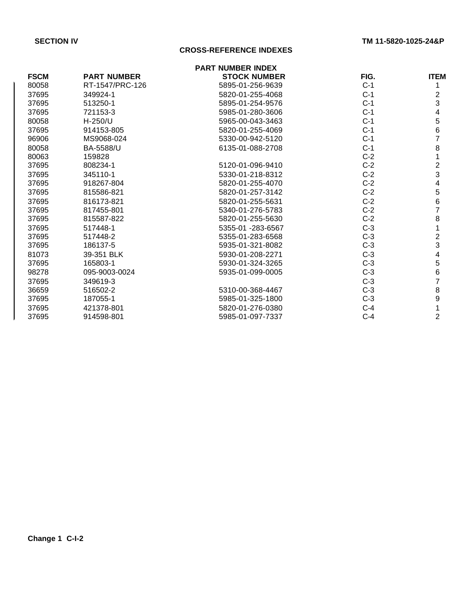# **CROSS-REFERENCE INDEXES**

|             |                    | <b>PART NUMBER INDEX</b> |       |                         |
|-------------|--------------------|--------------------------|-------|-------------------------|
| <b>FSCM</b> | <b>PART NUMBER</b> | <b>STOCK NUMBER</b>      | FIG.  | <b>ITEM</b>             |
| 80058       | RT-1547/PRC-126    | 5895-01-256-9639         | $C-1$ |                         |
| 37695       | 349924-1           | 5820-01-255-4068         | $C-1$ | 2                       |
| 37695       | 513250-1           | 5895-01-254-9576         | $C-1$ | 3                       |
| 37695       | 721153-3           | 5985-01-280-3606         | $C-1$ | 4                       |
| 80058       | $H-250/U$          | 5965-00-043-3463         | $C-1$ | 5                       |
| 37695       | 914153-805         | 5820-01-255-4069         | $C-1$ | 6                       |
| 96906       | MS9068-024         | 5330-00-942-5120         | $C-1$ | $\overline{7}$          |
| 80058       | BA-5588/U          | 6135-01-088-2708         | $C-1$ | 8                       |
| 80063       | 159828             |                          | $C-2$ |                         |
| 37695       | 808234-1           | 5120-01-096-9410         | $C-2$ | $\overline{2}$          |
| 37695       | 345110-1           | 5330-01-218-8312         | $C-2$ | $\mathfrak{S}$          |
| 37695       | 918267-804         | 5820-01-255-4070         | $C-2$ | 4                       |
| 37695       | 815586-821         | 5820-01-257-3142         | $C-2$ | 5                       |
| 37695       | 816173-821         | 5820-01-255-5631         | $C-2$ | 6                       |
| 37695       | 817455-801         | 5340-01-276-5783         | $C-2$ | $\overline{7}$          |
| 37695       | 815587-822         | 5820-01-255-5630         | $C-2$ | 8                       |
| 37695       | 517448-1           | 5355-01 -283-6567        | $C-3$ |                         |
| 37695       | 517448-2           | 5355-01-283-6568         | $C-3$ | $\overline{\mathbf{c}}$ |
| 37695       | 186137-5           | 5935-01-321-8082         | $C-3$ | 3                       |
| 81073       | 39-351 BLK         | 5930-01-208-2271         | $C-3$ | 4                       |
| 37695       | 165803-1           | 5930-01-324-3265         | $C-3$ | 5                       |
| 98278       | 095-9003-0024      | 5935-01-099-0005         | $C-3$ | 6                       |
| 37695       | 349619-3           |                          | $C-3$ | 7                       |
| 36659       | 516502-2           | 5310-00-368-4467         | $C-3$ | 8                       |
| 37695       | 187055-1           | 5985-01-325-1800         | $C-3$ | 9                       |
| 37695       | 421378-801         | 5820-01-276-0380         | $C-4$ |                         |
| 37695       | 914598-801         | 5985-01-097-7337         | $C-4$ | 2                       |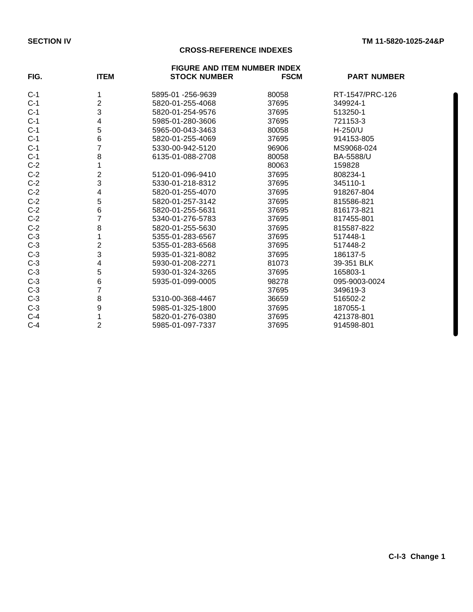# **CROSS-REFERENCE INDEXES**

|       |                |                     | <b>FIGURE AND ITEM NUMBER INDEX</b> |                    |  |
|-------|----------------|---------------------|-------------------------------------|--------------------|--|
| FIG.  | <b>ITEM</b>    | <b>STOCK NUMBER</b> | <b>FSCM</b>                         | <b>PART NUMBER</b> |  |
| $C-1$ | 1              | 5895-01 -256-9639   | 80058                               | RT-1547/PRC-126    |  |
| $C-1$ | $\overline{2}$ | 5820-01-255-4068    | 37695                               | 349924-1           |  |
| $C-1$ | 3              | 5820-01-254-9576    | 37695                               | 513250-1           |  |
| $C-1$ | 4              | 5985-01-280-3606    | 37695                               | 721153-3           |  |
| $C-1$ | 5              | 5965-00-043-3463    | 80058                               | H-250/U            |  |
| $C-1$ | 6              | 5820-01-255-4069    | 37695                               | 914153-805         |  |
| $C-1$ | 7              | 5330-00-942-5120    | 96906                               | MS9068-024         |  |
| $C-1$ | 8              | 6135-01-088-2708    | 80058                               | BA-5588/U          |  |
| $C-2$ |                |                     | 80063                               | 159828             |  |
| $C-2$ | $\overline{c}$ | 5120-01-096-9410    | 37695                               | 808234-1           |  |
| $C-2$ | 3              | 5330-01-218-8312    | 37695                               | 345110-1           |  |
| $C-2$ | 4              | 5820-01-255-4070    | 37695                               | 918267-804         |  |
| $C-2$ | 5              | 5820-01-257-3142    | 37695                               | 815586-821         |  |
| $C-2$ | 6              | 5820-01-255-5631    | 37695                               | 816173-821         |  |
| $C-2$ | 7              | 5340-01-276-5783    | 37695                               | 817455-801         |  |
| $C-2$ | 8              | 5820-01-255-5630    | 37695                               | 815587-822         |  |
| $C-3$ |                | 5355-01-283-6567    | 37695                               | 517448-1           |  |
| $C-3$ | $\overline{c}$ | 5355-01-283-6568    | 37695                               | 517448-2           |  |
| $C-3$ | 3              | 5935-01-321-8082    | 37695                               | 186137-5           |  |
| $C-3$ | 4              | 5930-01-208-2271    | 81073                               | 39-351 BLK         |  |
| $C-3$ | 5              | 5930-01-324-3265    | 37695                               | 165803-1           |  |
| $C-3$ | 6              | 5935-01-099-0005    | 98278                               | 095-9003-0024      |  |
| $C-3$ | 7              |                     | 37695                               | 349619-3           |  |
| $C-3$ | 8              | 5310-00-368-4467    | 36659                               | 516502-2           |  |
| $C-3$ | 9              | 5985-01-325-1800    | 37695                               | 187055-1           |  |
| $C-4$ | 1              | 5820-01-276-0380    | 37695                               | 421378-801         |  |
| $C-4$ | $\overline{c}$ | 5985-01-097-7337    | 37695                               | 914598-801         |  |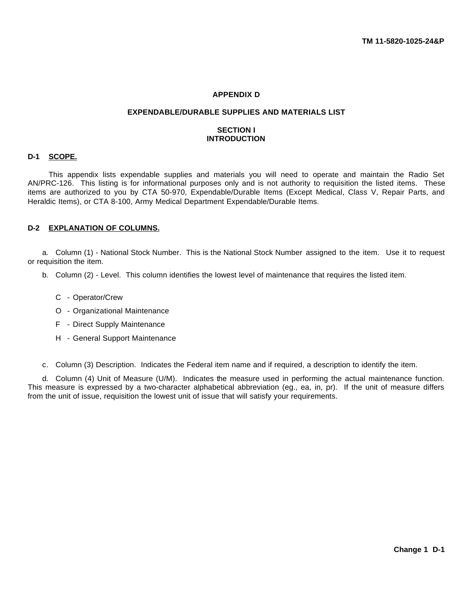# **APPENDIX D**

#### **EXPENDABLE/DURABLE SUPPLIES AND MATERIALS LIST**

# **SECTION I INTRODUCTION**

## **D-1 SCOPE.**

This appendix lists expendable supplies and materials you will need to operate and maintain the Radio Set AN/PRC-126. This listing is for informational purposes only and is not authority to requisition the listed items. These items are authorized to you by CTA 50-970, Expendable/Durable Items (Except Medical, Class V, Repair Parts, and Heraldic Items), or CTA 8-100, Army Medical Department Expendable/Durable Items.

### **D-2 EXPLANATION OF COLUMNS.**

a. Column (1) - National Stock Number. This is the National Stock Number assigned to the item. Use it to request or requisition the item.

- b. Column (2) Level. This column identifies the lowest level of maintenance that requires the listed item.
	- C Operator/Crew
	- O Organizational Maintenance
	- F Direct Supply Maintenance
	- H General Support Maintenance

c. Column (3) Description. Indicates the Federal item name and if required, a description to identify the item.

d. Column (4) Unit of Measure (U/M). Indicates the measure used in performing the actual maintenance function. This measure is expressed by a two-character alphabetical abbreviation (eg., ea, in, pr). If the unit of measure differs from the unit of issue, requisition the lowest unit of issue that will satisfy your requirements.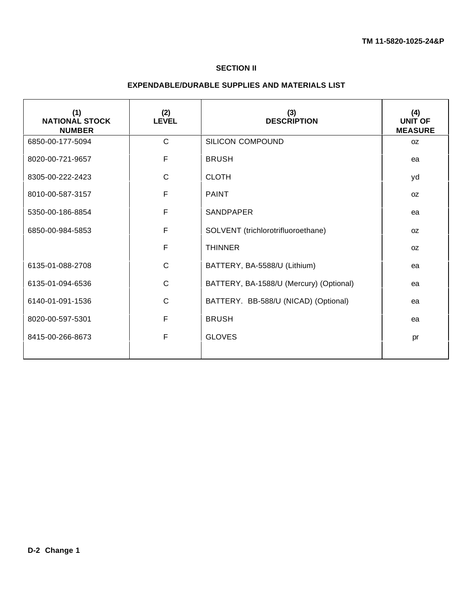# **SECTION II**

# **EXPENDABLE/DURABLE SUPPLIES AND MATERIALS LIST**

| (1)<br><b>NATIONAL STOCK</b><br><b>NUMBER</b> | (2)<br><b>LEVEL</b> | (3)<br><b>DESCRIPTION</b>               | (4)<br><b>UNIT OF</b><br><b>MEASURE</b> |
|-----------------------------------------------|---------------------|-----------------------------------------|-----------------------------------------|
| 6850-00-177-5094                              | $\mathsf{C}$        | SILICON COMPOUND                        | OZ.                                     |
| 8020-00-721-9657                              | F                   | <b>BRUSH</b>                            | ea                                      |
| 8305-00-222-2423                              | $\mathsf{C}$        | <b>CLOTH</b>                            | yd                                      |
| 8010-00-587-3157                              | F                   | <b>PAINT</b>                            | <b>OZ</b>                               |
| 5350-00-186-8854                              | F                   | <b>SANDPAPER</b>                        | ea                                      |
| 6850-00-984-5853                              | F                   | SOLVENT (trichlorotrifluoroethane)      | OZ.                                     |
|                                               | F                   | <b>THINNER</b>                          | 0Z                                      |
| 6135-01-088-2708                              | $\mathsf{C}$        | BATTERY, BA-5588/U (Lithium)            | ea                                      |
| 6135-01-094-6536                              | $\mathsf{C}$        | BATTERY, BA-1588/U (Mercury) (Optional) | ea                                      |
| 6140-01-091-1536                              | $\mathsf{C}$        | BATTERY. BB-588/U (NICAD) (Optional)    | ea                                      |
| 8020-00-597-5301                              | F                   | <b>BRUSH</b>                            | ea                                      |
| 8415-00-266-8673                              | F                   | <b>GLOVES</b>                           | pr                                      |
|                                               |                     |                                         |                                         |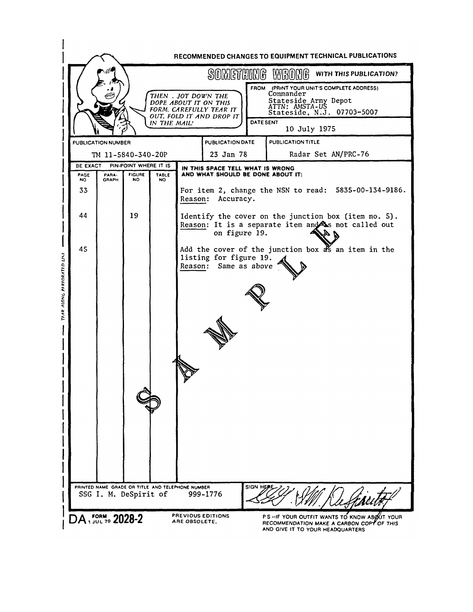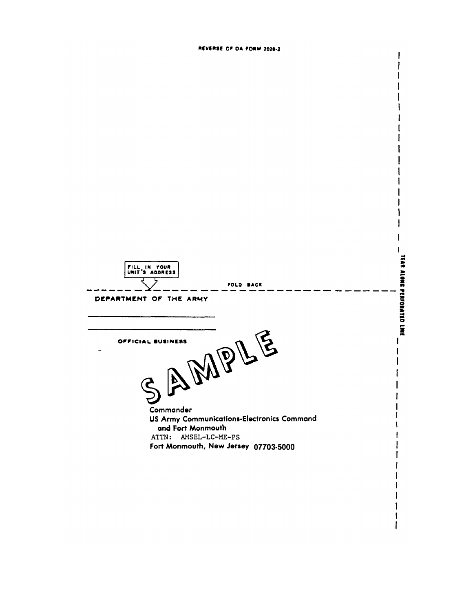REVERSE OF DA FORM 2028-2

 $\mathsf{I}$ 

 $\mathbf{I}$  $\mathbf{I}$ 

 $\mathbf{I}$  $\mathbf{l}$ **TEAR ALONG PERFORATED LINE** FILL IN YOUR<br>UNIT'S ADDRESS FOLD BACK DEPARTMENT OF THE ARMY AMPLE OFFICIAL BUSINESS  $\mathbf{I}$  $\mathbf{I}$  $\mathbf{I}$ **Š** Commander US Army Communications-Electronics Command and Fort Monmouth ATTN: AMSEL-LC-ME-PS Fort Monmouth, New Jersey 07703-5000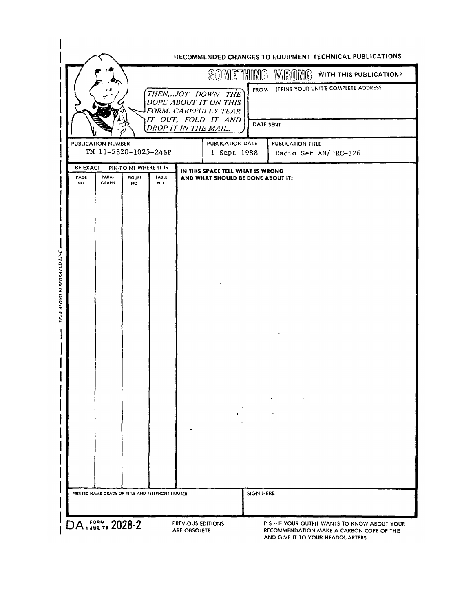|                                      |                                            |                                                     |                    |                                                                       |                  | SOMETHING WRONG<br>WITH THIS PUBLICATION? |
|--------------------------------------|--------------------------------------------|-----------------------------------------------------|--------------------|-----------------------------------------------------------------------|------------------|-------------------------------------------|
|                                      |                                            |                                                     |                    | THENJOT DOWN THE<br>DOPE ABOUT IT ON THIS<br>FORM. CAREFULLY TEAR     | <b>FROM</b>      | (PRINT YOUR UNIT'S COMPLETE ADDRESS       |
|                                      |                                            |                                                     |                    | IT OUT, FOLD IT AND<br>DROP IT IN THE MAIL.                           | DATE SENT        |                                           |
|                                      | PUBLICATION NUMBER<br>TM 11-5820-1025-24&P |                                                     |                    | PUBLICATION DATE<br>1 Sept 1988                                       |                  | PUBLICATION TITLE<br>Radio Set AN/PRC-126 |
| <b>BE EXACT</b><br>PAGE<br><b>NO</b> | PARA-<br><b>GRAPH</b>                      | PIN-POINT WHERE IT IS<br><b>FIGURE</b><br><b>NO</b> | TABLE<br><b>NO</b> | IN THIS SPACE TELL WHAT IS WRONG<br>AND WHAT SHOULD BE DONE ABOUT IT: |                  |                                           |
|                                      |                                            |                                                     |                    |                                                                       |                  |                                           |
|                                      |                                            |                                                     |                    |                                                                       |                  |                                           |
|                                      |                                            |                                                     |                    |                                                                       |                  |                                           |
|                                      |                                            |                                                     |                    |                                                                       |                  |                                           |
|                                      |                                            |                                                     |                    |                                                                       |                  |                                           |
|                                      |                                            |                                                     |                    |                                                                       |                  |                                           |
|                                      |                                            |                                                     |                    |                                                                       |                  |                                           |
|                                      |                                            |                                                     |                    |                                                                       |                  |                                           |
|                                      |                                            |                                                     |                    |                                                                       |                  |                                           |
|                                      |                                            |                                                     |                    |                                                                       |                  |                                           |
|                                      |                                            |                                                     |                    |                                                                       |                  |                                           |
|                                      |                                            |                                                     |                    |                                                                       |                  |                                           |
|                                      |                                            |                                                     |                    |                                                                       |                  |                                           |
|                                      |                                            | PRINTED NAME GRADE OR TITLE AND TELEPHONE NUMBER    |                    |                                                                       | <b>SIGN HERE</b> |                                           |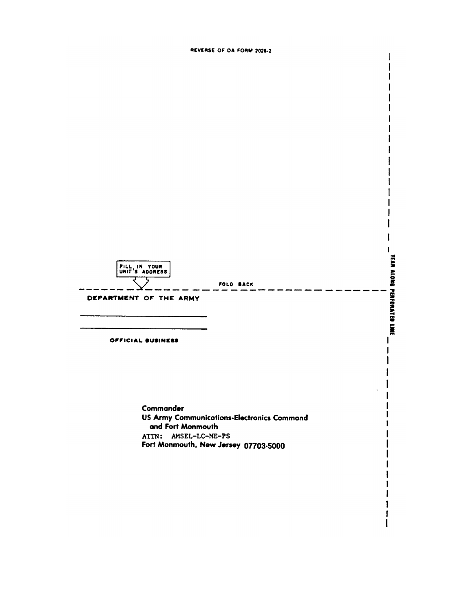REVERSE OF DA FORM 2028-2

 $\mathbf{I}$ 

t



Commander US Army Communications-Electronics Command and Fort Monmouth ATTN: AMSEL-LC-ME-PS Fort Monmouth, New Jersey 07703-5000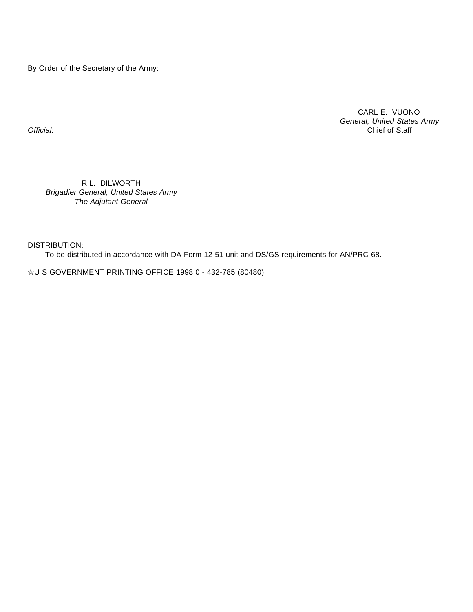By Order of the Secretary of the Army:

CARL E. VUONO *General, United States Army Official:* Chief of Staff

R.L. DILWORTH *Brigadier General, United States Army The Adjutant General*

DISTRIBUTION:

To be distributed in accordance with DA Form 12-51 unit and DS/GS requirements for AN/PRC-68.

IU S GOVERNMENT PRINTING OFFICE 1998 0 - 432-785 (80480)